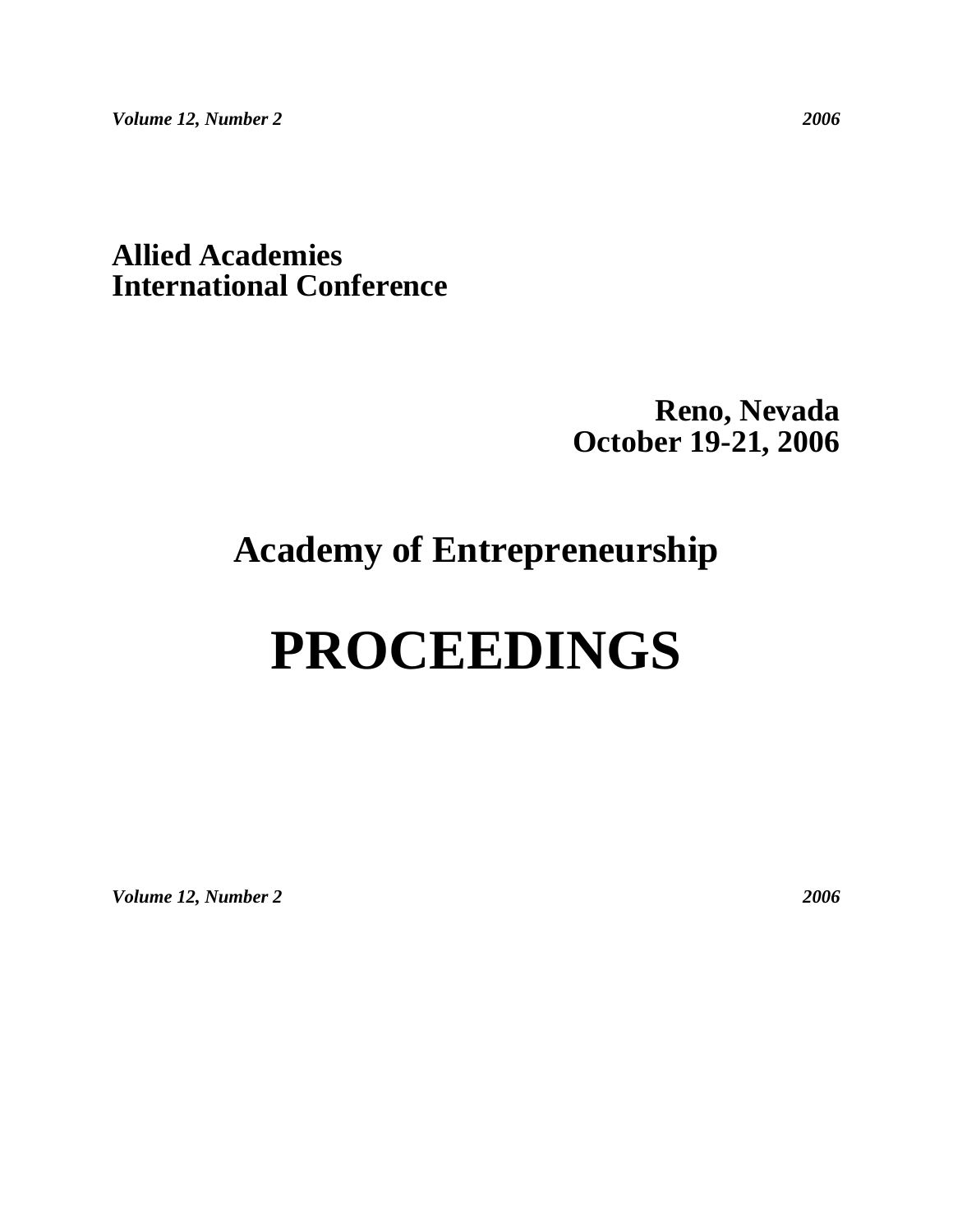# **Allied Academies International Conference**

# **Reno, Nevada October 19-21, 2006**

# **Academy of Entrepreneurship**

# **PROCEEDINGS**

*Volume 12, Number 2 2006*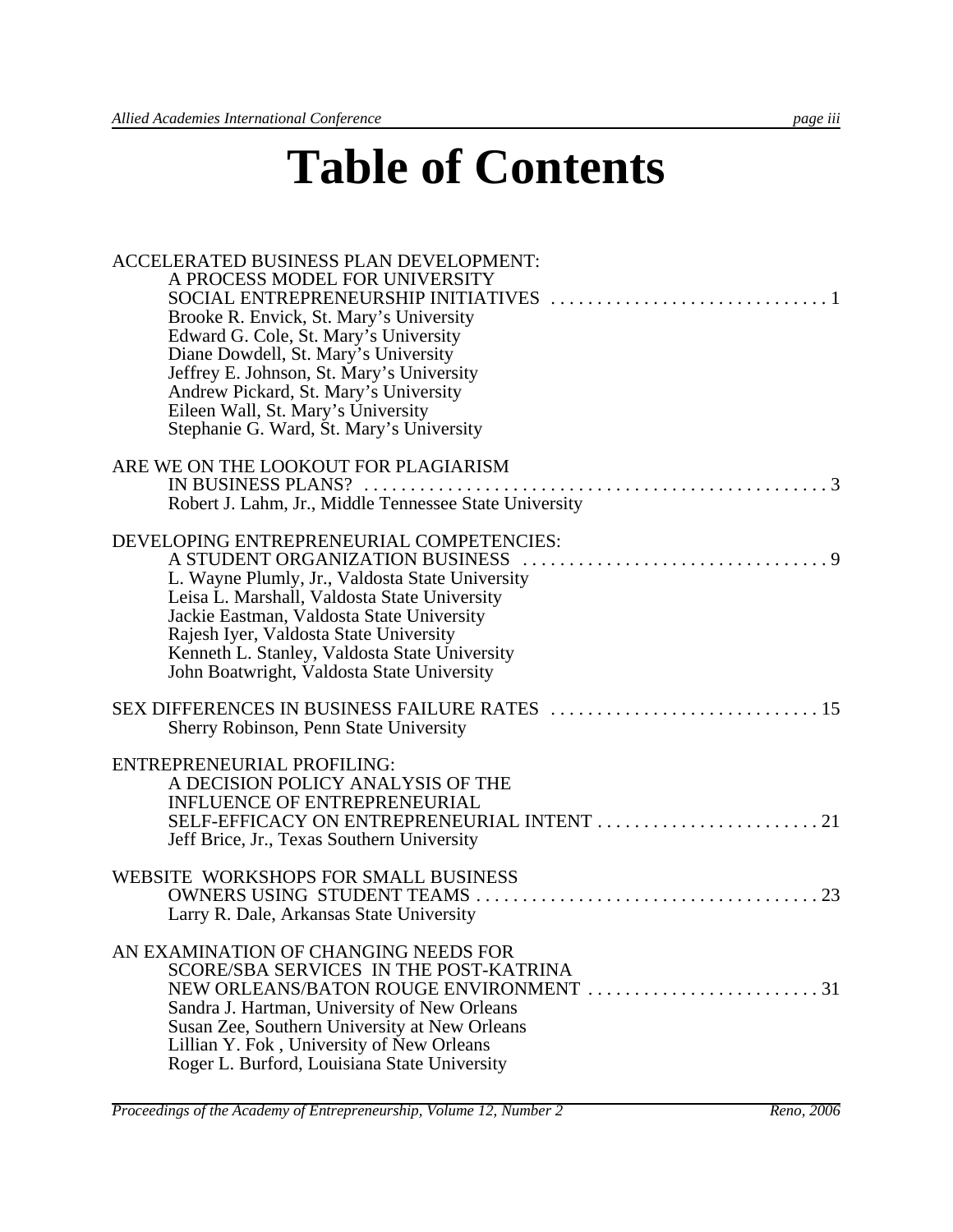# **Table of Contents**

| ACCELERATED BUSINESS PLAN DEVELOPMENT:<br>A PROCESS MODEL FOR UNIVERSITY<br>Brooke R. Envick, St. Mary's University<br>Edward G. Cole, St. Mary's University<br>Diane Dowdell, St. Mary's University<br>Jeffrey E. Johnson, St. Mary's University<br>Andrew Pickard, St. Mary's University<br>Eileen Wall, St. Mary's University<br>Stephanie G. Ward, St. Mary's University |  |
|------------------------------------------------------------------------------------------------------------------------------------------------------------------------------------------------------------------------------------------------------------------------------------------------------------------------------------------------------------------------------|--|
| ARE WE ON THE LOOKOUT FOR PLAGIARISM<br>Robert J. Lahm, Jr., Middle Tennessee State University                                                                                                                                                                                                                                                                               |  |
| DEVELOPING ENTREPRENEURIAL COMPETENCIES:<br>A STUDENT ORGANIZATION BUSINESS<br>L. Wayne Plumly, Jr., Valdosta State University<br>Leisa L. Marshall, Valdosta State University<br>Jackie Eastman, Valdosta State University<br>Rajesh Iyer, Valdosta State University<br>Kenneth L. Stanley, Valdosta State University<br>John Boatwright, Valdosta State University         |  |
| Sherry Robinson, Penn State University                                                                                                                                                                                                                                                                                                                                       |  |
| ENTREPRENEURIAL PROFILING:<br>A DECISION POLICY ANALYSIS OF THE<br><b>INFLUENCE OF ENTREPRENEURIAL</b><br>Jeff Brice, Jr., Texas Southern University                                                                                                                                                                                                                         |  |
| WEBSITE WORKSHOPS FOR SMALL BUSINESS<br>Larry R. Dale, Arkansas State University                                                                                                                                                                                                                                                                                             |  |
| AN EXAMINATION OF CHANGING NEEDS FOR<br>SCORE/SBA SERVICES IN THE POST-KATRINA<br>Sandra J. Hartman, University of New Orleans<br>Susan Zee, Southern University at New Orleans<br>Lillian Y. Fok, University of New Orleans<br>Roger L. Burford, Louisiana State University                                                                                                 |  |

*Proceedings of the Academy of Entrepreneurship, Volume 12, Number 2* Reno, 2006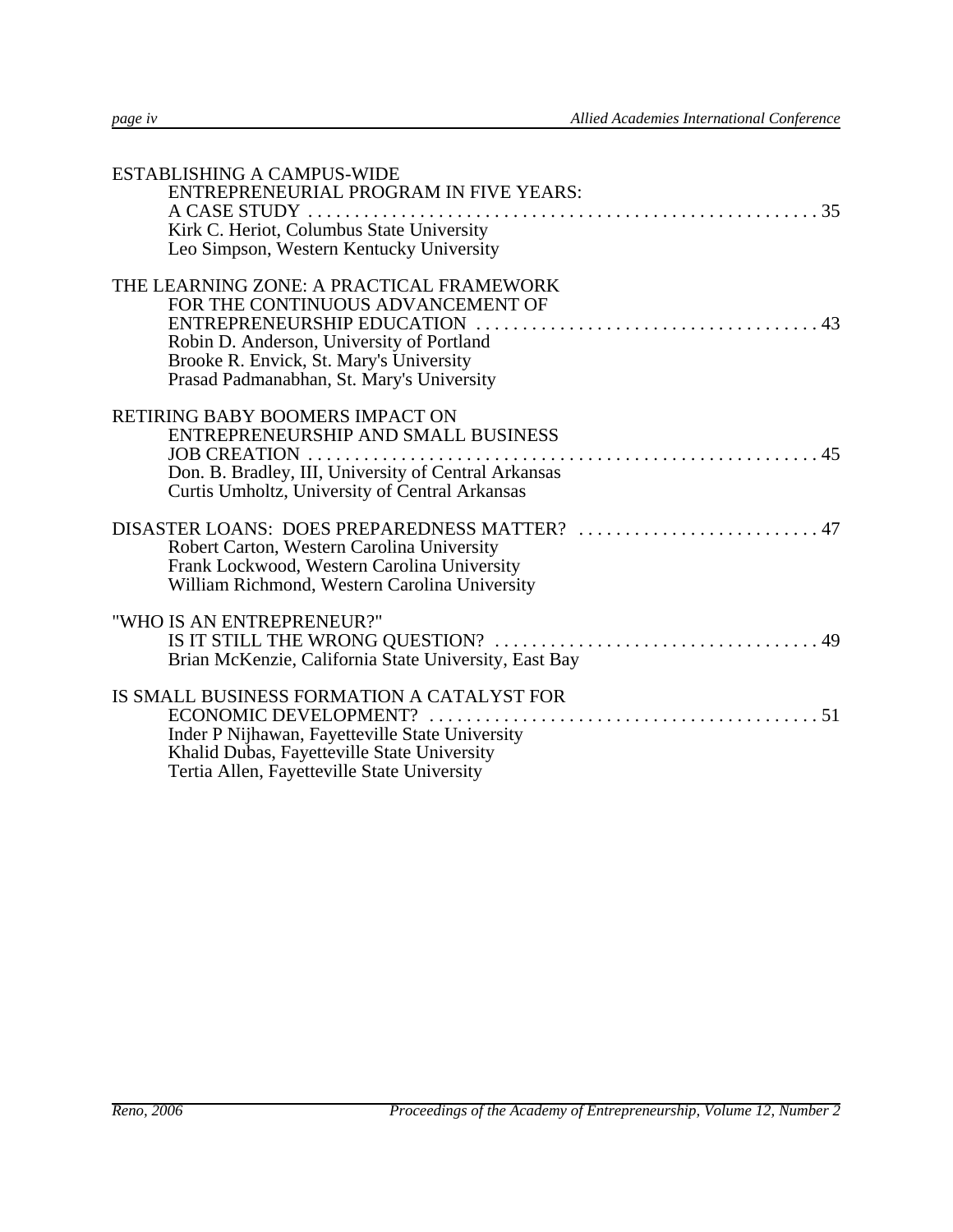| <b>ESTABLISHING A CAMPUS-WIDE</b><br>ENTREPRENEURIAL PROGRAM IN FIVE YEARS:<br>Kirk C. Heriot, Columbus State University<br>Leo Simpson, Western Kentucky University                                               |
|--------------------------------------------------------------------------------------------------------------------------------------------------------------------------------------------------------------------|
| THE LEARNING ZONE: A PRACTICAL FRAMEWORK<br>FOR THE CONTINUOUS ADVANCEMENT OF<br>Robin D. Anderson, University of Portland<br>Brooke R. Envick, St. Mary's University<br>Prasad Padmanabhan, St. Mary's University |
| RETIRING BABY BOOMERS IMPACT ON<br>ENTREPRENEURSHIP AND SMALL BUSINESS<br>Don. B. Bradley, III, University of Central Arkansas<br>Curtis Umholtz, University of Central Arkansas                                   |
| Robert Carton, Western Carolina University<br>Frank Lockwood, Western Carolina University<br>William Richmond, Western Carolina University                                                                         |
| "WHO IS AN ENTREPRENEUR?"<br>Brian McKenzie, California State University, East Bay                                                                                                                                 |
| IS SMALL BUSINESS FORMATION A CATALYST FOR<br>Inder P Nijhawan, Fayetteville State University<br>Khalid Dubas, Fayetteville State University<br>Tertia Allen, Fayetteville State University                        |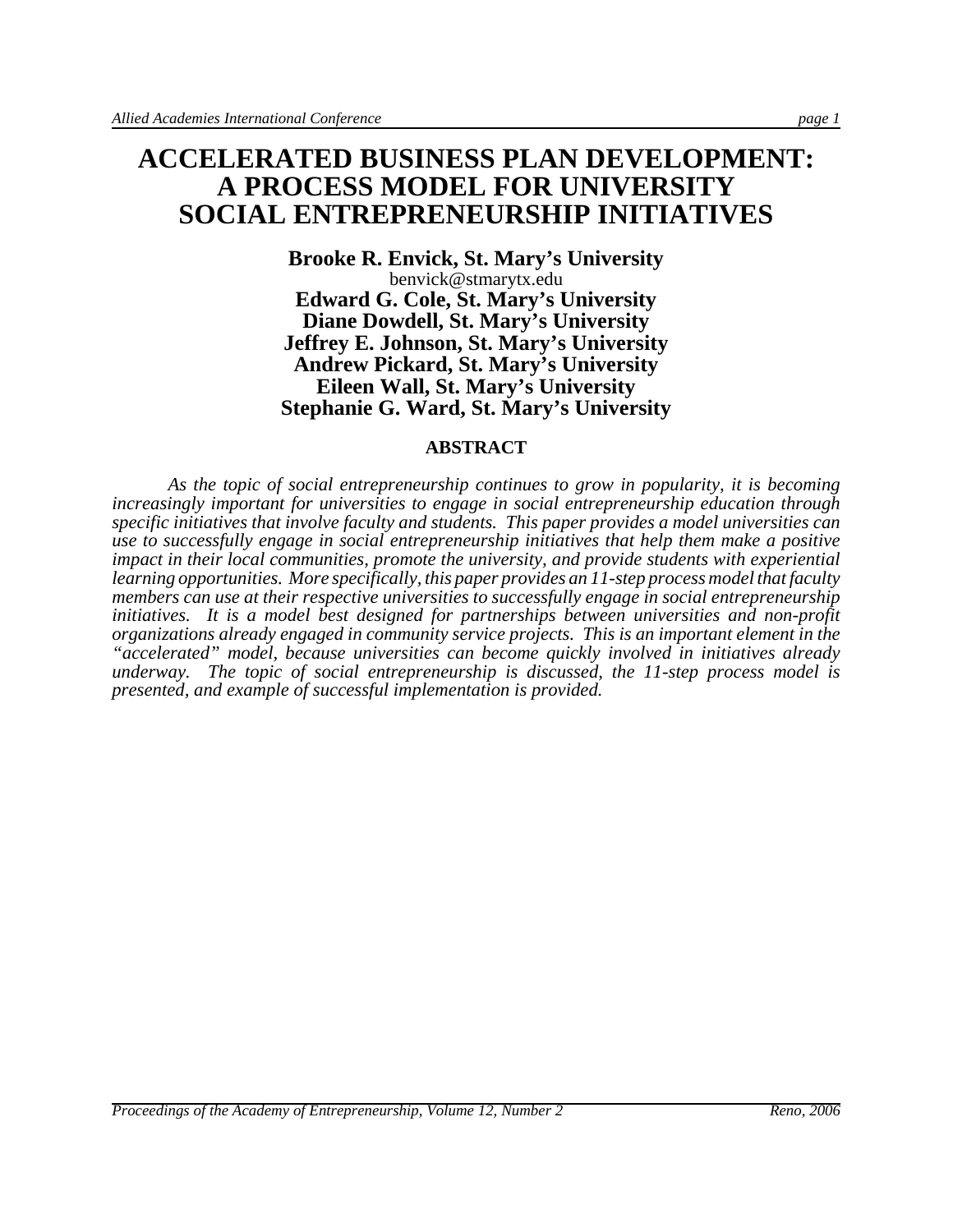**Brooke R. Envick, St. Mary's University** benvick@stmarytx.edu **Edward G. Cole, St. Mary's University Diane Dowdell, St. Mary's University Jeffrey E. Johnson, St. Mary's University Andrew Pickard, St. Mary's University Eileen Wall, St. Mary's University Stephanie G. Ward, St. Mary's University**

#### **ABSTRACT**

*As the topic of social entrepreneurship continues to grow in popularity, it is becoming increasingly important for universities to engage in social entrepreneurship education through specific initiatives that involve faculty and students. This paper provides a model universities can use to successfully engage in social entrepreneurship initiatives that help them make a positive impact in their local communities, promote the university, and provide students with experiential learning opportunities. More specifically, this paper provides an 11-step process model that faculty members can use at their respective universities to successfully engage in social entrepreneurship initiatives. It is a model best designed for partnerships between universities and non-profit organizations already engaged in community service projects. This is an important element in the "accelerated" model, because universities can become quickly involved in initiatives already underway. The topic of social entrepreneurship is discussed, the 11-step process model is presented, and example of successful implementation is provided.*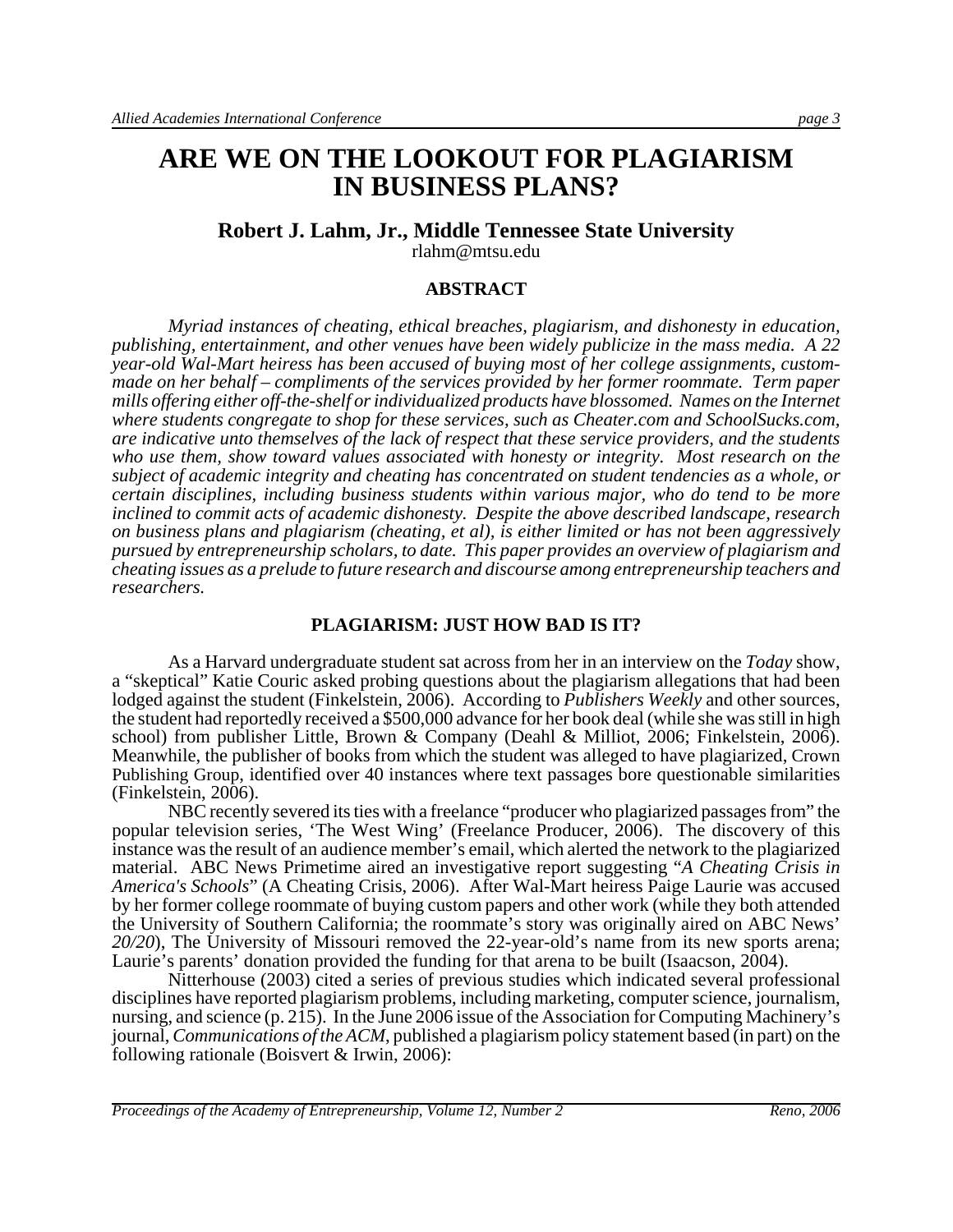# **ARE WE ON THE LOOKOUT FOR PLAGIARISM IN BUSINESS PLANS?**

#### **Robert J. Lahm, Jr., Middle Tennessee State University** rlahm@mtsu.edu

#### **ABSTRACT**

*Myriad instances of cheating, ethical breaches, plagiarism, and dishonesty in education, publishing, entertainment, and other venues have been widely publicize in the mass media. A 22 year-old Wal-Mart heiress has been accused of buying most of her college assignments, custommade on her behalf – compliments of the services provided by her former roommate. Term paper mills offering either off-the-shelf or individualized products have blossomed. Names on the Internet where students congregate to shop for these services, such as Cheater.com and SchoolSucks.com, are indicative unto themselves of the lack of respect that these service providers, and the students who use them, show toward values associated with honesty or integrity. Most research on the subject of academic integrity and cheating has concentrated on student tendencies as a whole, or certain disciplines, including business students within various major, who do tend to be more inclined to commit acts of academic dishonesty. Despite the above described landscape, research on business plans and plagiarism (cheating, et al), is either limited or has not been aggressively pursued by entrepreneurship scholars, to date. This paper provides an overview of plagiarism and cheating issues as a prelude to future research and discourse among entrepreneurship teachers and researchers.* 

#### **PLAGIARISM: JUST HOW BAD IS IT?**

As a Harvard undergraduate student sat across from her in an interview on the *Today* show, a "skeptical" Katie Couric asked probing questions about the plagiarism allegations that had been lodged against the student (Finkelstein, 2006). According to *Publishers Weekly* and other sources, the student had reportedly received a \$500,000 advance for her book deal (while she was still in high school) from publisher Little, Brown & Company (Deahl & Milliot, 2006; Finkelstein, 2006). Meanwhile, the publisher of books from which the student was alleged to have plagiarized, Crown Publishing Group, identified over 40 instances where text passages bore questionable similarities (Finkelstein, 2006).

NBC recently severed its ties with a freelance "producer who plagiarized passages from" the popular television series, 'The West Wing' (Freelance Producer, 2006). The discovery of this instance was the result of an audience member's email, which alerted the network to the plagiarized material. ABC News Primetime aired an investigative report suggesting "*A Cheating Crisis in America's Schools*" (A Cheating Crisis, 2006). After Wal-Mart heiress Paige Laurie was accused by her former college roommate of buying custom papers and other work (while they both attended the University of Southern California; the roommate's story was originally aired on ABC News' *20/20*), The University of Missouri removed the 22-year-old's name from its new sports arena; Laurie's parents' donation provided the funding for that arena to be built (Isaacson, 2004).

Nitterhouse (2003) cited a series of previous studies which indicated several professional disciplines have reported plagiarism problems, including marketing, computer science, journalism, nursing, and science (p. 215). In the June 2006 issue of the Association for Computing Machinery's journal, *Communications of the ACM*, published a plagiarism policy statement based (in part) on the following rationale (Boisvert & Irwin, 2006):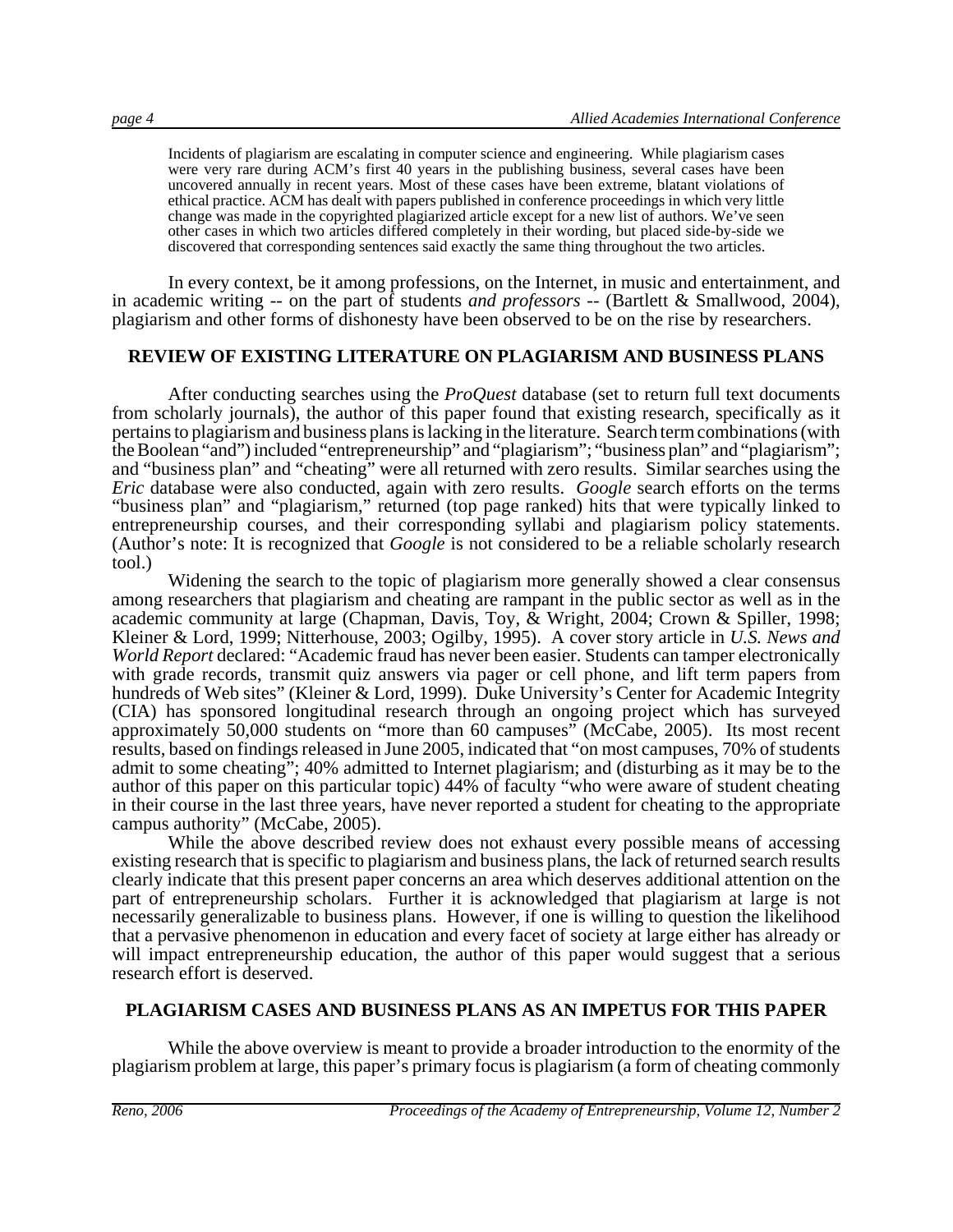Incidents of plagiarism are escalating in computer science and engineering. While plagiarism cases were very rare during ACM's first 40 years in the publishing business, several cases have been uncovered annually in recent years. Most of these cases have been extreme, blatant violations of ethical practice. ACM has dealt with papers published in conference proceedings in which very little change was made in the copyrighted plagiarized article except for a new list of authors. We've seen other cases in which two articles differed completely in their wording, but placed side-by-side we discovered that corresponding sentences said exactly the same thing throughout the two articles.

In every context, be it among professions, on the Internet, in music and entertainment, and in academic writing -- on the part of students *and professors* -- (Bartlett & Smallwood, 2004), plagiarism and other forms of dishonesty have been observed to be on the rise by researchers.

#### **REVIEW OF EXISTING LITERATURE ON PLAGIARISM AND BUSINESS PLANS**

After conducting searches using the *ProQuest* database (set to return full text documents from scholarly journals), the author of this paper found that existing research, specifically as it pertains to plagiarism and business plans is lacking in the literature. Search term combinations (with the Boolean "and") included "entrepreneurship" and "plagiarism"; "business plan" and "plagiarism"; and "business plan" and "cheating" were all returned with zero results. Similar searches using the *Eric* database were also conducted, again with zero results. *Google* search efforts on the terms "business plan" and "plagiarism," returned (top page ranked) hits that were typically linked to entrepreneurship courses, and their corresponding syllabi and plagiarism policy statements. (Author's note: It is recognized that *Google* is not considered to be a reliable scholarly research tool.)

Widening the search to the topic of plagiarism more generally showed a clear consensus among researchers that plagiarism and cheating are rampant in the public sector as well as in the academic community at large (Chapman, Davis, Toy,  $\&$  Wright, 2004; Crown  $\&$  Spiller, 1998; Kleiner & Lord, 1999; Nitterhouse, 2003; Ogilby, 1995). A cover story article in *U.S. News and World Report* declared: "Academic fraud has never been easier. Students can tamper electronically with grade records, transmit quiz answers via pager or cell phone, and lift term papers from hundreds of Web sites" (Kleiner & Lord, 1999). Duke University's Center for Academic Integrity (CIA) has sponsored longitudinal research through an ongoing project which has surveyed approximately 50,000 students on "more than 60 campuses" (McCabe, 2005). Its most recent results, based on findings released in June 2005, indicated that "on most campuses, 70% of students admit to some cheating"; 40% admitted to Internet plagiarism; and (disturbing as it may be to the author of this paper on this particular topic) 44% of faculty "who were aware of student cheating in their course in the last three years, have never reported a student for cheating to the appropriate campus authority" (McCabe, 2005).

While the above described review does not exhaust every possible means of accessing existing research that is specific to plagiarism and business plans, the lack of returned search results clearly indicate that this present paper concerns an area which deserves additional attention on the part of entrepreneurship scholars. Further it is acknowledged that plagiarism at large is not necessarily generalizable to business plans. However, if one is willing to question the likelihood that a pervasive phenomenon in education and every facet of society at large either has already or will impact entrepreneurship education, the author of this paper would suggest that a serious research effort is deserved.

#### **PLAGIARISM CASES AND BUSINESS PLANS AS AN IMPETUS FOR THIS PAPER**

While the above overview is meant to provide a broader introduction to the enormity of the plagiarism problem at large, this paper's primary focus is plagiarism (a form of cheating commonly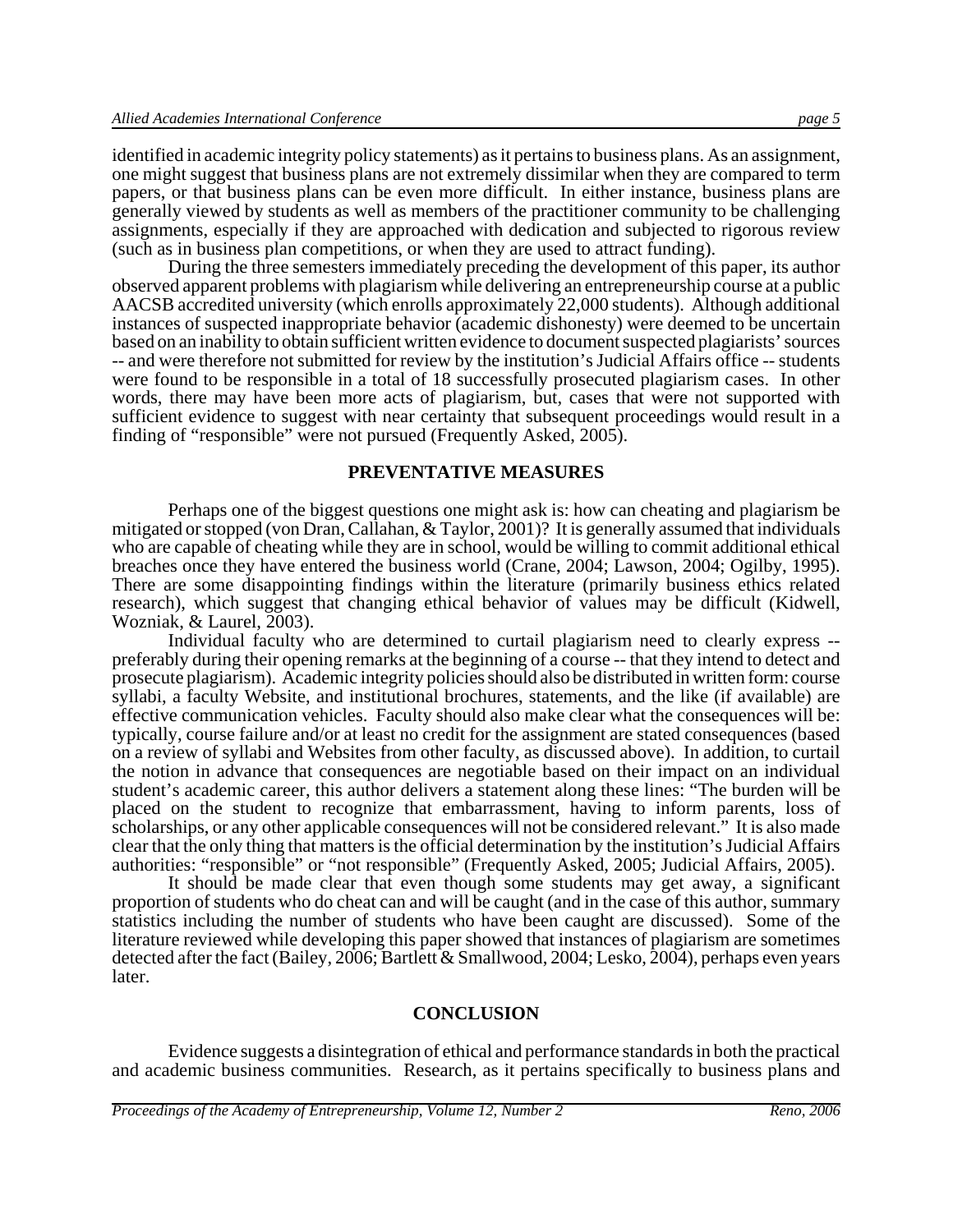identified in academic integrity policy statements) as it pertains to business plans. As an assignment, one might suggest that business plans are not extremely dissimilar when they are compared to term papers, or that business plans can be even more difficult. In either instance, business plans are generally viewed by students as well as members of the practitioner community to be challenging assignments, especially if they are approached with dedication and subjected to rigorous review (such as in business plan competitions, or when they are used to attract funding).

During the three semesters immediately preceding the development of this paper, its author observed apparent problems with plagiarism while delivering an entrepreneurship course at a public AACSB accredited university (which enrolls approximately 22,000 students). Although additional instances of suspected inappropriate behavior (academic dishonesty) were deemed to be uncertain based on an inability to obtain sufficient written evidence to document suspected plagiarists' sources -- and were therefore not submitted for review by the institution's Judicial Affairs office -- students were found to be responsible in a total of 18 successfully prosecuted plagiarism cases. In other words, there may have been more acts of plagiarism, but, cases that were not supported with sufficient evidence to suggest with near certainty that subsequent proceedings would result in a finding of "responsible" were not pursued (Frequently Asked, 2005).

#### **PREVENTATIVE MEASURES**

Perhaps one of the biggest questions one might ask is: how can cheating and plagiarism be mitigated or stopped (von Dran, Callahan, & Taylor, 2001)? It is generally assumed that individuals who are capable of cheating while they are in school, would be willing to commit additional ethical breaches once they have entered the business world (Crane, 2004; Lawson, 2004; Ogilby, 1995). There are some disappointing findings within the literature (primarily business ethics related research), which suggest that changing ethical behavior of values may be difficult (Kidwell, Wozniak, & Laurel, 2003).

Individual faculty who are determined to curtail plagiarism need to clearly express - preferably during their opening remarks at the beginning of a course -- that they intend to detect and prosecute plagiarism). Academic integrity policies should also be distributed in written form: course syllabi, a faculty Website, and institutional brochures, statements, and the like (if available) are effective communication vehicles. Faculty should also make clear what the consequences will be: typically, course failure and/or at least no credit for the assignment are stated consequences (based on a review of syllabi and Websites from other faculty, as discussed above). In addition, to curtail the notion in advance that consequences are negotiable based on their impact on an individual student's academic career, this author delivers a statement along these lines: "The burden will be placed on the student to recognize that embarrassment, having to inform parents, loss of scholarships, or any other applicable consequences will not be considered relevant." It is also made clear that the only thing that matters is the official determination by the institution's Judicial Affairs authorities: "responsible" or "not responsible" (Frequently Asked, 2005; Judicial Affairs, 2005).

It should be made clear that even though some students may get away, a significant proportion of students who do cheat can and will be caught (and in the case of this author, summary statistics including the number of students who have been caught are discussed). Some of the literature reviewed while developing this paper showed that instances of plagiarism are sometimes detected after the fact (Bailey, 2006; Bartlett & Smallwood, 2004; Lesko, 2004), perhaps even years later.

#### **CONCLUSION**

Evidence suggests a disintegration of ethical and performance standards in both the practical and academic business communities. Research, as it pertains specifically to business plans and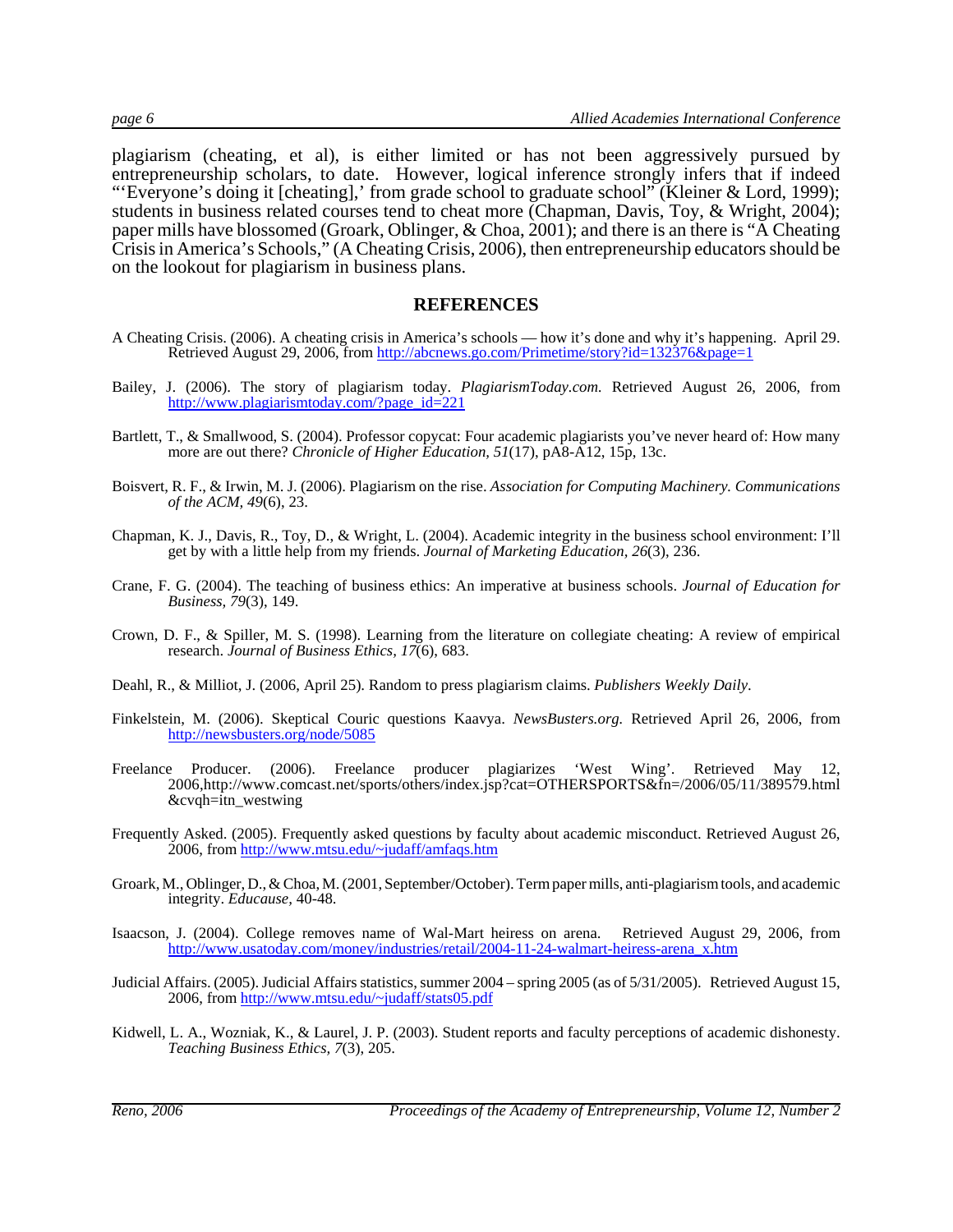plagiarism (cheating, et al), is either limited or has not been aggressively pursued by entrepreneurship scholars, to date. However, logical inference strongly infers that if indeed "'Everyone's doing it [cheating],' from grade school to graduate school" (Kleiner & Lord, 1999); students in business related courses tend to cheat more (Chapman, Davis, Toy, & Wright, 2004); paper mills have blossomed (Groark, Oblinger, & Choa, 2001); and there is an there is "A Cheating Crisis in America's Schools," (A Cheating Crisis, 2006), then entrepreneurship educators should be on the lookout for plagiarism in business plans.

#### **REFERENCES**

- A Cheating Crisis. (2006). A cheating crisis in America's schools how it's done and why it's happening. April 29. Retrieved August 29, 2006, from http://abcnews.go.com/Primetime/story?id=132376&page=1
- Bailey, J. (2006). The story of plagiarism today. *PlagiarismToday.com.* Retrieved August 26, 2006, from http://www.plagiarismtoday.com/?page\_id=221
- Bartlett, T., & Smallwood, S. (2004). Professor copycat: Four academic plagiarists you've never heard of: How many more are out there? *Chronicle of Higher Education, 51*(17), pA8-A12, 15p, 13c.
- Boisvert, R. F., & Irwin, M. J. (2006). Plagiarism on the rise. *Association for Computing Machinery. Communications of the ACM, 49*(6), 23.
- Chapman, K. J., Davis, R., Toy, D., & Wright, L. (2004). Academic integrity in the business school environment: I'll get by with a little help from my friends. *Journal of Marketing Education, 26*(3), 236.
- Crane, F. G. (2004). The teaching of business ethics: An imperative at business schools. *Journal of Education for Business, 79*(3), 149.
- Crown, D. F., & Spiller, M. S. (1998). Learning from the literature on collegiate cheating: A review of empirical research. *Journal of Business Ethics, 17*(6), 683.
- Deahl, R., & Milliot, J. (2006, April 25). Random to press plagiarism claims. *Publishers Weekly Daily*.
- Finkelstein, M. (2006). Skeptical Couric questions Kaavya. *NewsBusters.org.* Retrieved April 26, 2006, from http://newsbusters.org/node/5085
- Freelance Producer. (2006). Freelance producer plagiarizes 'West Wing'. Retrieved May 12, 2006,http://www.comcast.net/sports/others/index.jsp?cat=OTHERSPORTS&fn=/2006/05/11/389579.html &cvqh=itn\_westwing
- Frequently Asked. (2005). Frequently asked questions by faculty about academic misconduct. Retrieved August 26, 2006, from http://www.mtsu.edu/~judaff/amfaqs.htm
- Groark, M., Oblinger, D., & Choa, M. (2001, September/October). Term paper mills, anti-plagiarism tools, and academic integrity. *Educause,* 40-48.
- Isaacson, J. (2004). College removes name of Wal-Mart heiress on arena. Retrieved August 29, 2006, from http://www.usatoday.com/money/industries/retail/2004-11-24-walmart-heiress-arena\_x.htm
- Judicial Affairs. (2005). Judicial Affairs statistics, summer 2004 spring 2005 (as of 5/31/2005). Retrieved August 15, 2006, from http://www.mtsu.edu/~judaff/stats05.pdf
- Kidwell, L. A., Wozniak, K., & Laurel, J. P. (2003). Student reports and faculty perceptions of academic dishonesty. *Teaching Business Ethics, 7*(3), 205.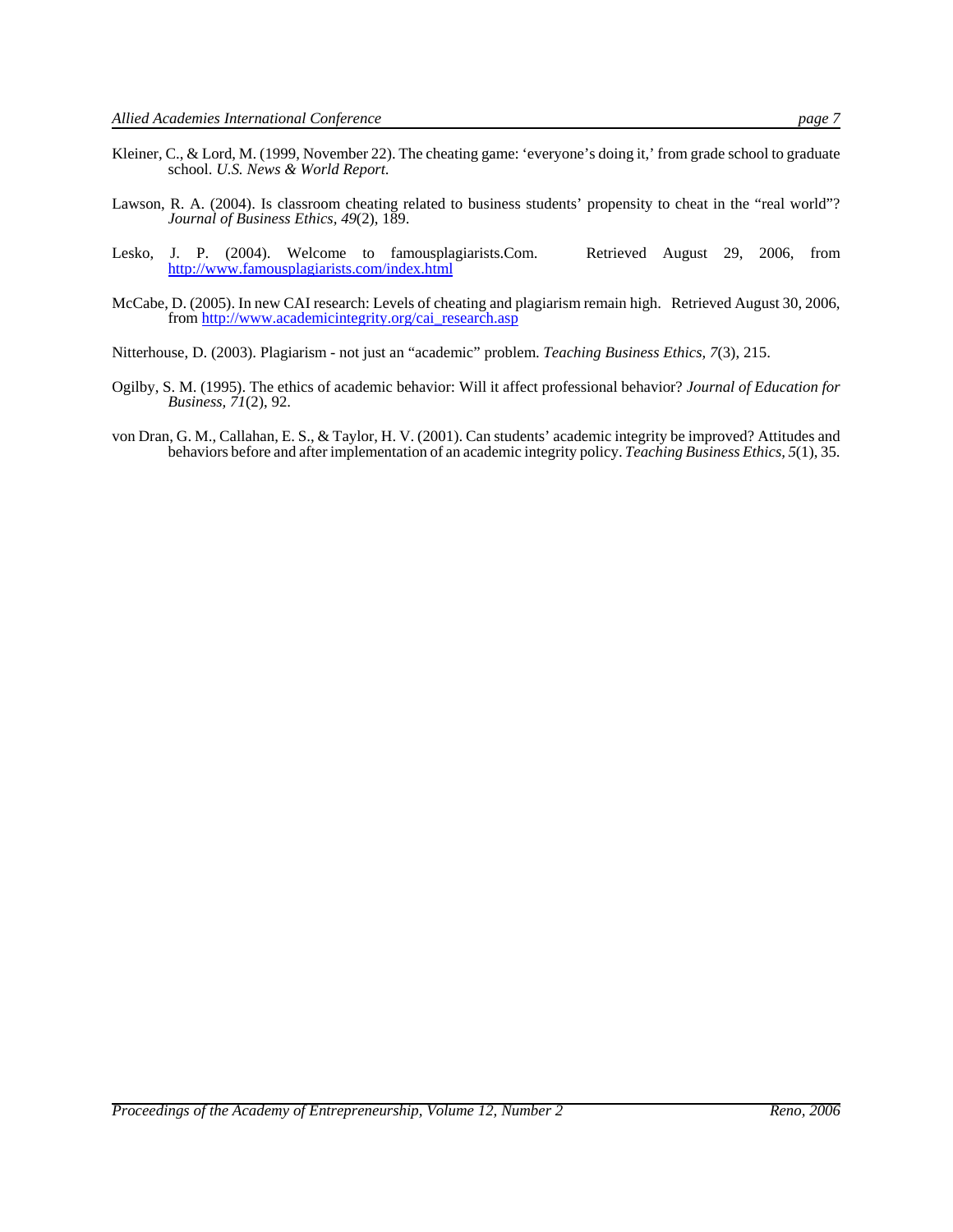- Kleiner, C., & Lord, M. (1999, November 22). The cheating game: 'everyone's doing it,' from grade school to graduate school. *U.S. News & World Report*.
- Lawson, R. A. (2004). Is classroom cheating related to business students' propensity to cheat in the "real world"? *Journal of Business Ethics, 49*(2), 189.
- Lesko, J. P. (2004). Welcome to famousplagiarists.Com. Retrieved August 29, 2006, from http://www.famousplagiarists.com/index.html
- McCabe, D. (2005). In new CAI research: Levels of cheating and plagiarism remain high. Retrieved August 30, 2006, from http://www.academicintegrity.org/cai\_research.asp
- Nitterhouse, D. (2003). Plagiarism not just an "academic" problem. *Teaching Business Ethics, 7*(3), 215.
- Ogilby, S. M. (1995). The ethics of academic behavior: Will it affect professional behavior? *Journal of Education for Business, 71*(2), 92.
- von Dran, G. M., Callahan, E. S., & Taylor, H. V. (2001). Can students' academic integrity be improved? Attitudes and behaviors before and after implementation of an academic integrity policy. *Teaching Business Ethics, 5*(1), 35.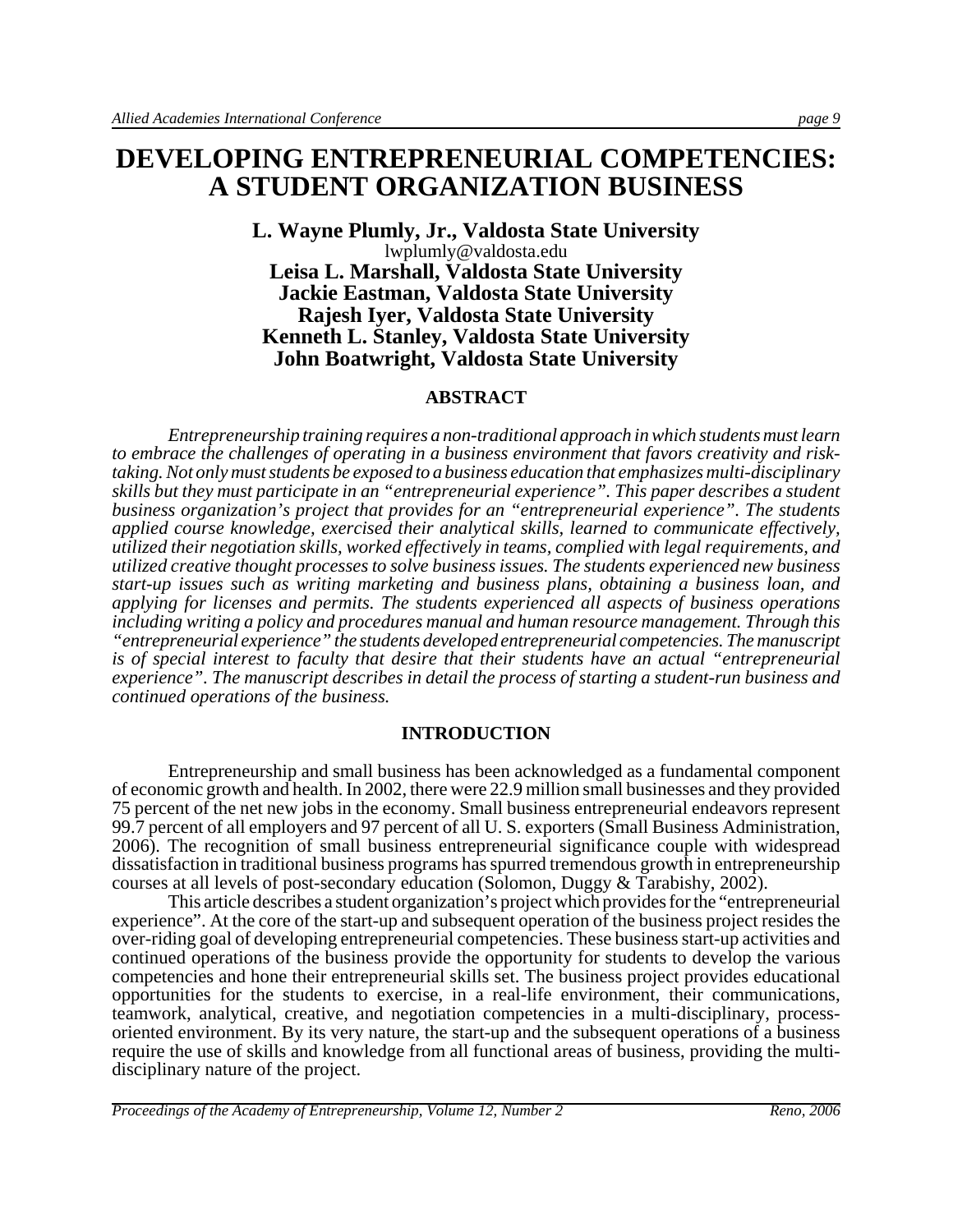# **DEVELOPING ENTREPRENEURIAL COMPETENCIES: A STUDENT ORGANIZATION BUSINESS**

#### **L. Wayne Plumly, Jr., Valdosta State University** lwplumly@valdosta.edu **Leisa L. Marshall, Valdosta State University Jackie Eastman, Valdosta State University Rajesh Iyer, Valdosta State University Kenneth L. Stanley, Valdosta State University John Boatwright, Valdosta State University**

#### **ABSTRACT**

*Entrepreneurship training requires a non-traditional approach in which students must learn to embrace the challenges of operating in a business environment that favors creativity and risktaking. Not only must students be exposed to a business education that emphasizes multi-disciplinary skills but they must participate in an "entrepreneurial experience". This paper describes a student business organization's project that provides for an "entrepreneurial experience". The students applied course knowledge, exercised their analytical skills, learned to communicate effectively, utilized their negotiation skills, worked effectively in teams, complied with legal requirements, and utilized creative thought processes to solve business issues. The students experienced new business start-up issues such as writing marketing and business plans, obtaining a business loan, and applying for licenses and permits. The students experienced all aspects of business operations including writing a policy and procedures manual and human resource management. Through this "entrepreneurial experience" the students developed entrepreneurial competencies. The manuscript is of special interest to faculty that desire that their students have an actual "entrepreneurial experience". The manuscript describes in detail the process of starting a student-run business and continued operations of the business.* 

#### **INTRODUCTION**

 Entrepreneurship and small business has been acknowledged as a fundamental component of economic growth and health. In 2002, there were 22.9 million small businesses and they provided 75 percent of the net new jobs in the economy. Small business entrepreneurial endeavors represent 99.7 percent of all employers and 97 percent of all U. S. exporters (Small Business Administration, 2006). The recognition of small business entrepreneurial significance couple with widespread dissatisfaction in traditional business programs has spurred tremendous growth in entrepreneurship courses at all levels of post-secondary education (Solomon, Duggy & Tarabishy, 2002).

This article describes a student organization's project which provides for the "entrepreneurial experience". At the core of the start-up and subsequent operation of the business project resides the over-riding goal of developing entrepreneurial competencies. These business start-up activities and continued operations of the business provide the opportunity for students to develop the various competencies and hone their entrepreneurial skills set. The business project provides educational opportunities for the students to exercise, in a real-life environment, their communications, teamwork, analytical, creative, and negotiation competencies in a multi-disciplinary, processoriented environment. By its very nature, the start-up and the subsequent operations of a business require the use of skills and knowledge from all functional areas of business, providing the multidisciplinary nature of the project.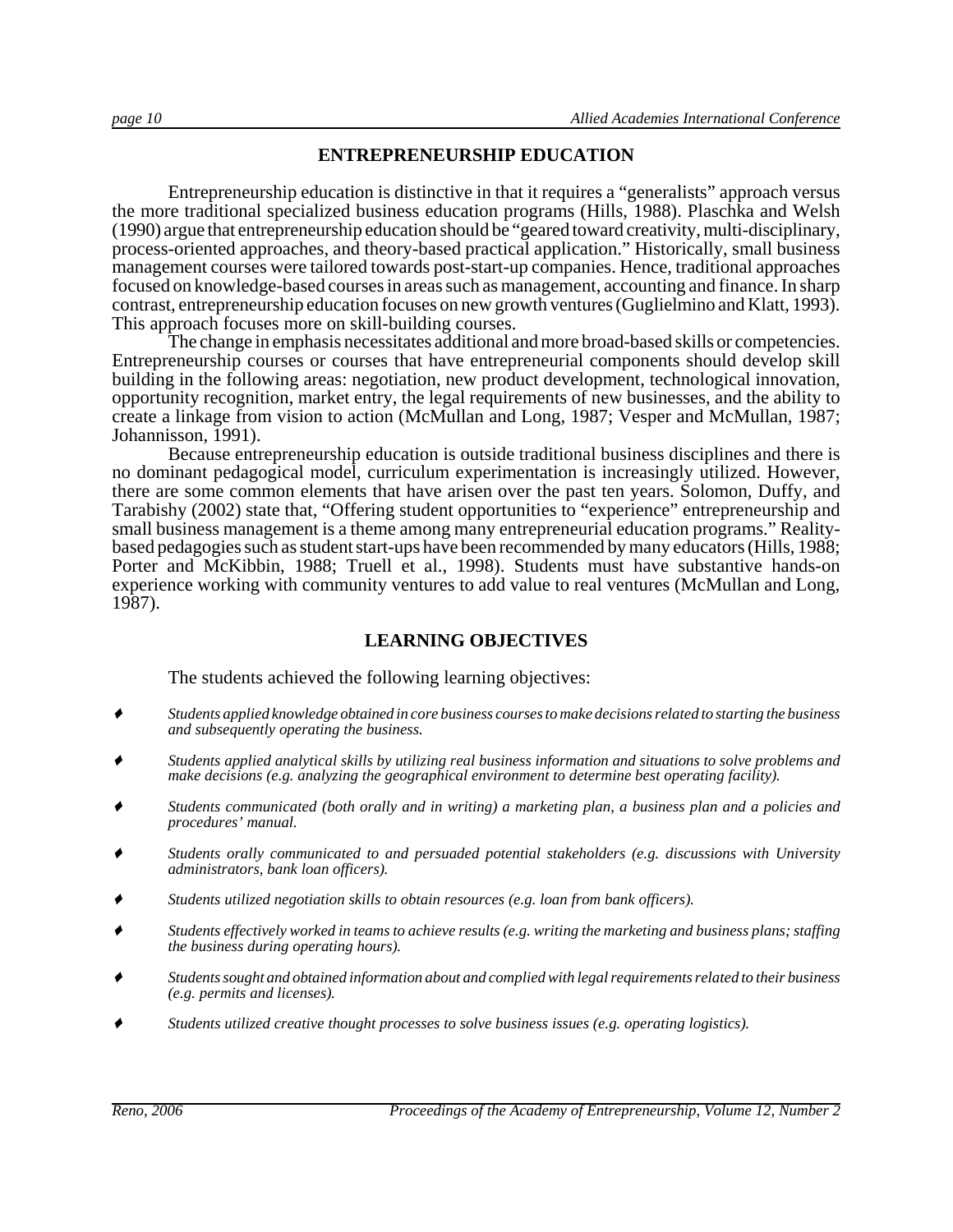#### **ENTREPRENEURSHIP EDUCATION**

Entrepreneurship education is distinctive in that it requires a "generalists" approach versus the more traditional specialized business education programs (Hills, 1988). Plaschka and Welsh (1990) argue that entrepreneurship education should be "geared toward creativity, multi-disciplinary, process-oriented approaches, and theory-based practical application." Historically, small business management courses were tailored towards post-start-up companies. Hence, traditional approaches focused on knowledge-based courses in areas such as management, accounting and finance. In sharp contrast, entrepreneurship education focuses on new growth ventures (Guglielmino and Klatt, 1993). This approach focuses more on skill-building courses.

The change in emphasis necessitates additional and more broad-based skills or competencies. Entrepreneurship courses or courses that have entrepreneurial components should develop skill building in the following areas: negotiation, new product development, technological innovation, opportunity recognition, market entry, the legal requirements of new businesses, and the ability to create a linkage from vision to action (McMullan and Long, 1987; Vesper and McMullan, 1987; Johannisson, 1991).

Because entrepreneurship education is outside traditional business disciplines and there is no dominant pedagogical model, curriculum experimentation is increasingly utilized. However, there are some common elements that have arisen over the past ten years. Solomon, Duffy, and Tarabishy (2002) state that, "Offering student opportunities to "experience" entrepreneurship and small business management is a theme among many entrepreneurial education programs." Realitybased pedagogies such as student start-ups have been recommended by many educators (Hills, 1988; Porter and McKibbin, 1988; Truell et al., 1998). Students must have substantive hands-on experience working with community ventures to add value to real ventures (McMullan and Long, 1987).

#### **LEARNING OBJECTIVES**

The students achieved the following learning objectives:

- ' *Students applied knowledge obtained in core business courses to make decisions related to starting the business and subsequently operating the business.*
- ' *Students applied analytical skills by utilizing real business information and situations to solve problems and make decisions (e.g. analyzing the geographical environment to determine best operating facility).*
- ' *Students communicated (both orally and in writing) a marketing plan, a business plan and a policies and procedures' manual.*
- ' *Students orally communicated to and persuaded potential stakeholders (e.g. discussions with University administrators, bank loan officers).*
- ' *Students utilized negotiation skills to obtain resources (e.g. loan from bank officers).*
- ' *Students effectively worked in teams to achieve results (e.g. writing the marketing and business plans; staffing the business during operating hours).*
- ' *Students sought and obtained information about and complied with legal requirements related to their business (e.g. permits and licenses).*
- ' *Students utilized creative thought processes to solve business issues (e.g. operating logistics).*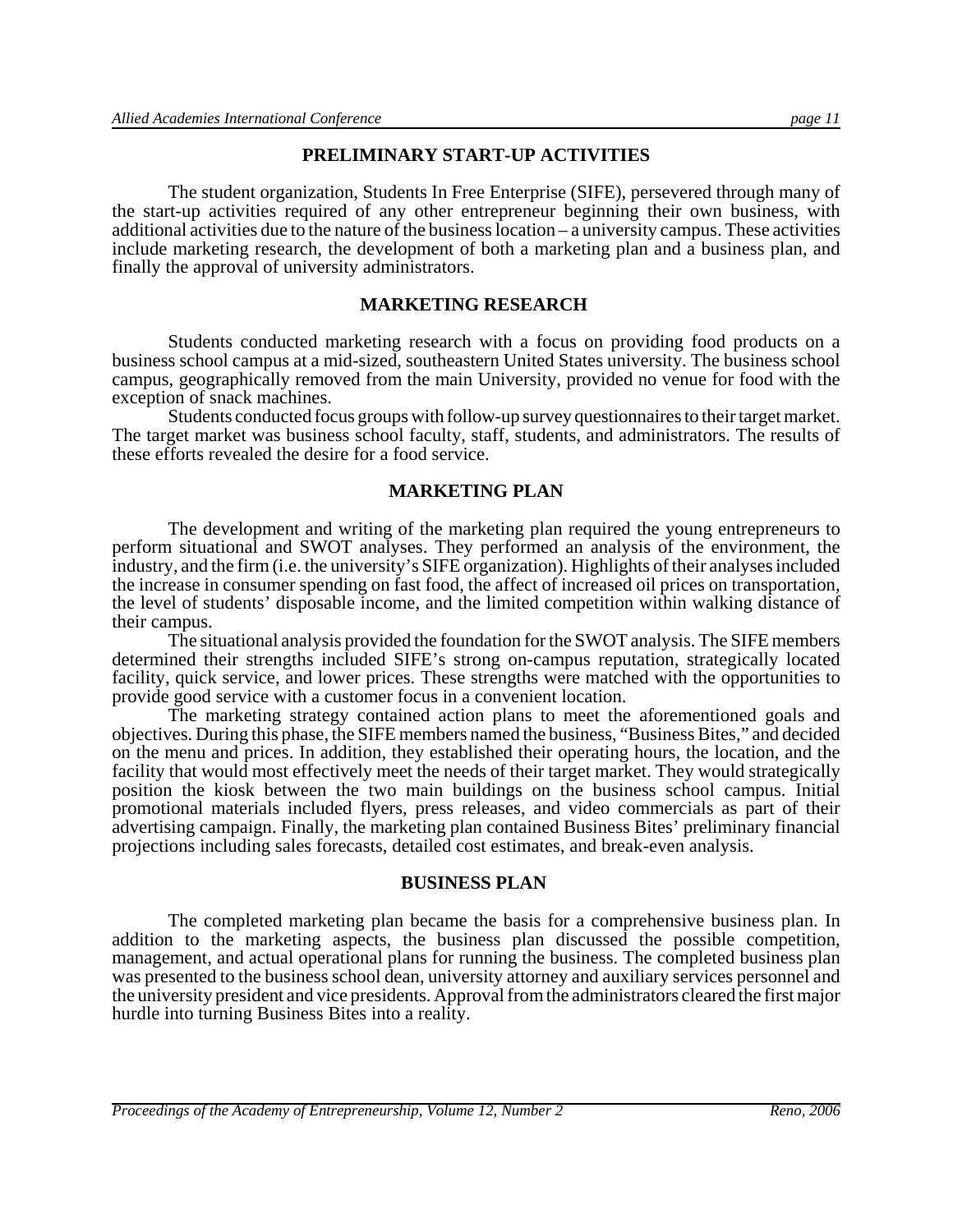#### **PRELIMINARY START-UP ACTIVITIES**

The student organization, Students In Free Enterprise (SIFE), persevered through many of the start-up activities required of any other entrepreneur beginning their own business, with additional activities due to the nature of the business location – a university campus. These activities include marketing research, the development of both a marketing plan and a business plan, and finally the approval of university administrators.

#### **MARKETING RESEARCH**

Students conducted marketing research with a focus on providing food products on a business school campus at a mid-sized, southeastern United States university. The business school campus, geographically removed from the main University, provided no venue for food with the exception of snack machines.

Students conducted focus groups with follow-up survey questionnaires to their target market. The target market was business school faculty, staff, students, and administrators. The results of these efforts revealed the desire for a food service.

#### **MARKETING PLAN**

The development and writing of the marketing plan required the young entrepreneurs to perform situational and SWOT analyses. They performed an analysis of the environment, the industry, and the firm (i.e. the university's SIFE organization). Highlights of their analyses included the increase in consumer spending on fast food, the affect of increased oil prices on transportation, the level of students' disposable income, and the limited competition within walking distance of their campus.

The situational analysis provided the foundation for the SWOT analysis. The SIFE members determined their strengths included SIFE's strong on-campus reputation, strategically located facility, quick service, and lower prices. These strengths were matched with the opportunities to provide good service with a customer focus in a convenient location.

The marketing strategy contained action plans to meet the aforementioned goals and objectives. During this phase, the SIFE members named the business, "Business Bites," and decided on the menu and prices. In addition, they established their operating hours, the location, and the facility that would most effectively meet the needs of their target market. They would strategically position the kiosk between the two main buildings on the business school campus. Initial promotional materials included flyers, press releases, and video commercials as part of their advertising campaign. Finally, the marketing plan contained Business Bites' preliminary financial projections including sales forecasts, detailed cost estimates, and break-even analysis.

#### **BUSINESS PLAN**

The completed marketing plan became the basis for a comprehensive business plan. In addition to the marketing aspects, the business plan discussed the possible competition, management, and actual operational plans for running the business. The completed business plan was presented to the business school dean, university attorney and auxiliary services personnel and the university president and vice presidents. Approval from the administrators cleared the first major hurdle into turning Business Bites into a reality.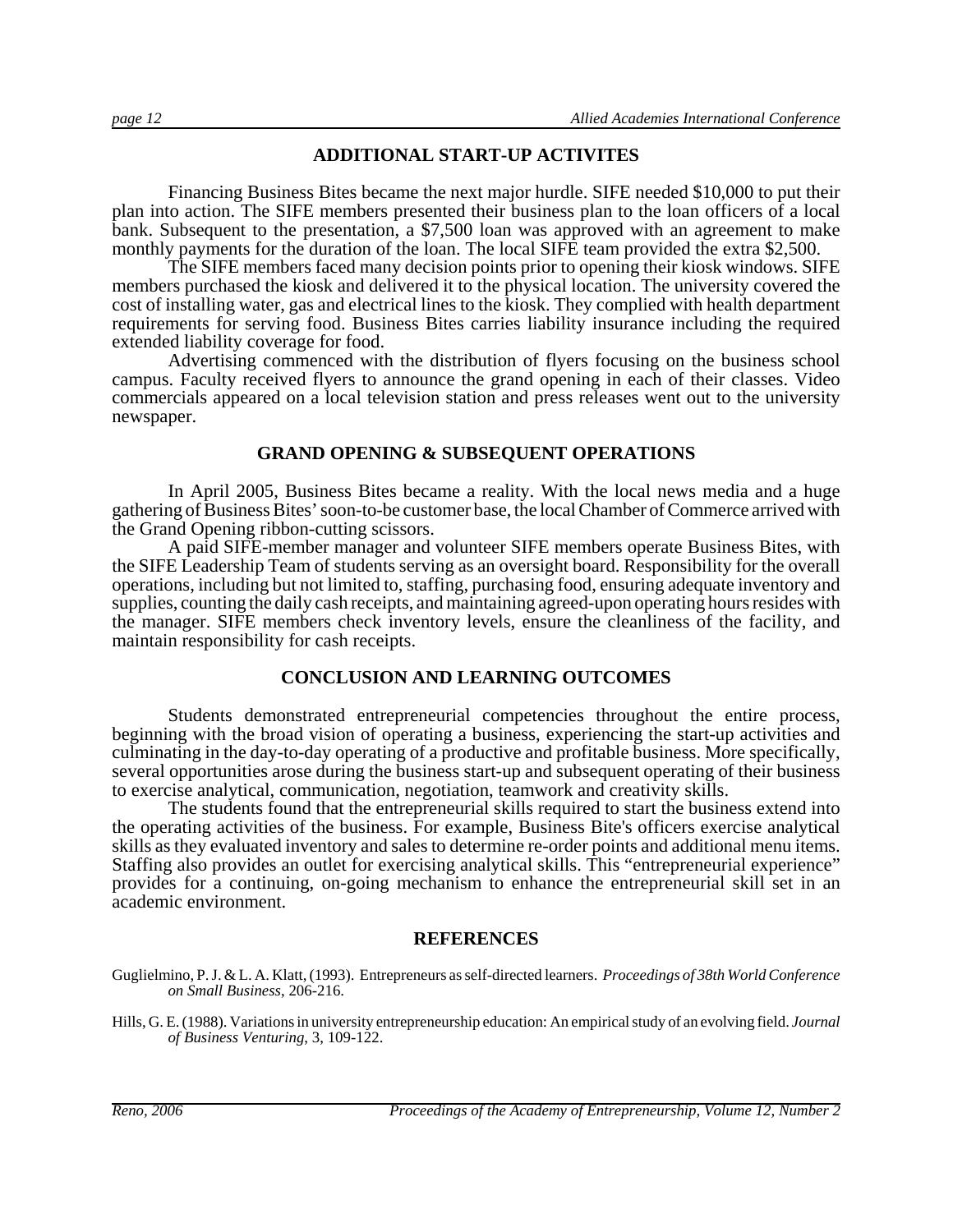#### **ADDITIONAL START-UP ACTIVITES**

Financing Business Bites became the next major hurdle. SIFE needed \$10,000 to put their plan into action. The SIFE members presented their business plan to the loan officers of a local bank. Subsequent to the presentation, a \$7,500 loan was approved with an agreement to make monthly payments for the duration of the loan. The local SIFE team provided the extra \$2,500.

The SIFE members faced many decision points prior to opening their kiosk windows. SIFE members purchased the kiosk and delivered it to the physical location. The university covered the cost of installing water, gas and electrical lines to the kiosk. They complied with health department requirements for serving food. Business Bites carries liability insurance including the required extended liability coverage for food.

Advertising commenced with the distribution of flyers focusing on the business school campus. Faculty received flyers to announce the grand opening in each of their classes. Video commercials appeared on a local television station and press releases went out to the university newspaper.

#### **GRAND OPENING & SUBSEQUENT OPERATIONS**

In April 2005, Business Bites became a reality. With the local news media and a huge gathering of Business Bites' soon-to-be customer base, the local Chamber of Commerce arrived with the Grand Opening ribbon-cutting scissors.

A paid SIFE-member manager and volunteer SIFE members operate Business Bites, with the SIFE Leadership Team of students serving as an oversight board. Responsibility for the overall operations, including but not limited to, staffing, purchasing food, ensuring adequate inventory and supplies, counting the daily cash receipts, and maintaining agreed-upon operating hours resides with the manager. SIFE members check inventory levels, ensure the cleanliness of the facility, and maintain responsibility for cash receipts.

#### **CONCLUSION AND LEARNING OUTCOMES**

Students demonstrated entrepreneurial competencies throughout the entire process, beginning with the broad vision of operating a business, experiencing the start-up activities and culminating in the day-to-day operating of a productive and profitable business. More specifically, several opportunities arose during the business start-up and subsequent operating of their business to exercise analytical, communication, negotiation, teamwork and creativity skills.

The students found that the entrepreneurial skills required to start the business extend into the operating activities of the business. For example, Business Bite's officers exercise analytical skills as they evaluated inventory and sales to determine re-order points and additional menu items. Staffing also provides an outlet for exercising analytical skills. This "entrepreneurial experience" provides for a continuing, on-going mechanism to enhance the entrepreneurial skill set in an academic environment.

#### **REFERENCES**

- Guglielmino, P. J. & L. A. Klatt, (1993). Entrepreneurs as self-directed learners. *Proceedings of 38th World Conference on Small Business*, 206-216.
- Hills, G. E. (1988). Variations in university entrepreneurship education: An empirical study of an evolving field. *Journal of Business Venturing*, 3, 109-122.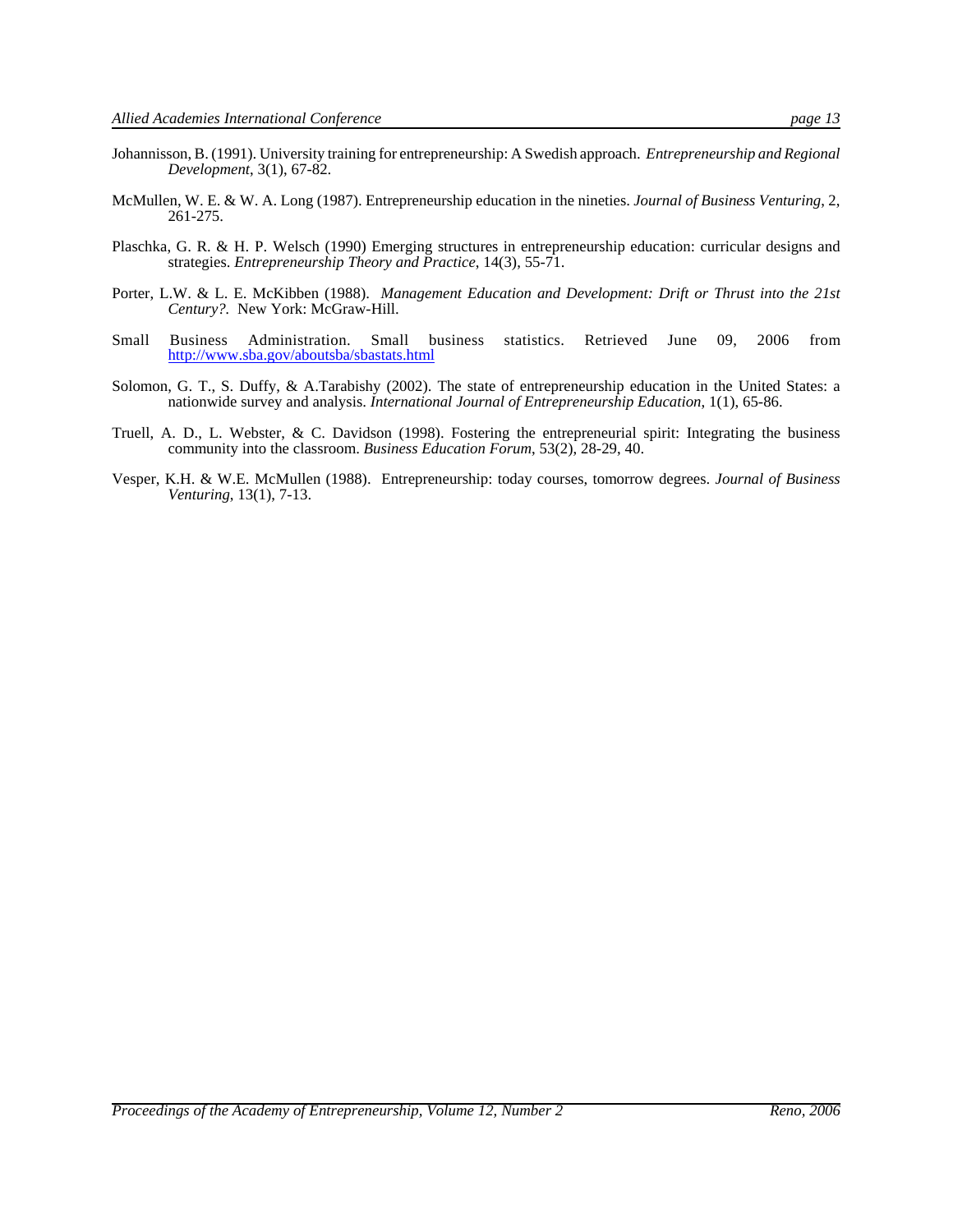- Johannisson, B. (1991). University training for entrepreneurship: A Swedish approach. *Entrepreneurship and Regional Development*, 3(1), 67-82.
- McMullen, W. E. & W. A. Long (1987). Entrepreneurship education in the nineties. *Journal of Business Venturing*, 2, 261-275.
- Plaschka, G. R. & H. P. Welsch (1990) Emerging structures in entrepreneurship education: curricular designs and strategies. *Entrepreneurship Theory and Practice*, 14(3), 55-71.
- Porter, L.W. & L. E. McKibben (1988). *Management Education and Development: Drift or Thrust into the 21st Century?.* New York: McGraw-Hill.
- Small Business Administration. Small business statistics. Retrieved June 09, 2006 from http://www.sba.gov/aboutsba/sbastats.html
- Solomon, G. T., S. Duffy, & A.Tarabishy (2002). The state of entrepreneurship education in the United States: a nationwide survey and analysis. *International Journal of Entrepreneurship Education*, 1(1), 65-86.
- Truell, A. D., L. Webster, & C. Davidson (1998). Fostering the entrepreneurial spirit: Integrating the business community into the classroom. *Business Education Forum*, 53(2), 28-29, 40.
- Vesper, K.H. & W.E. McMullen (1988). Entrepreneurship: today courses, tomorrow degrees. *Journal of Business Venturing*, 13(1), 7-13.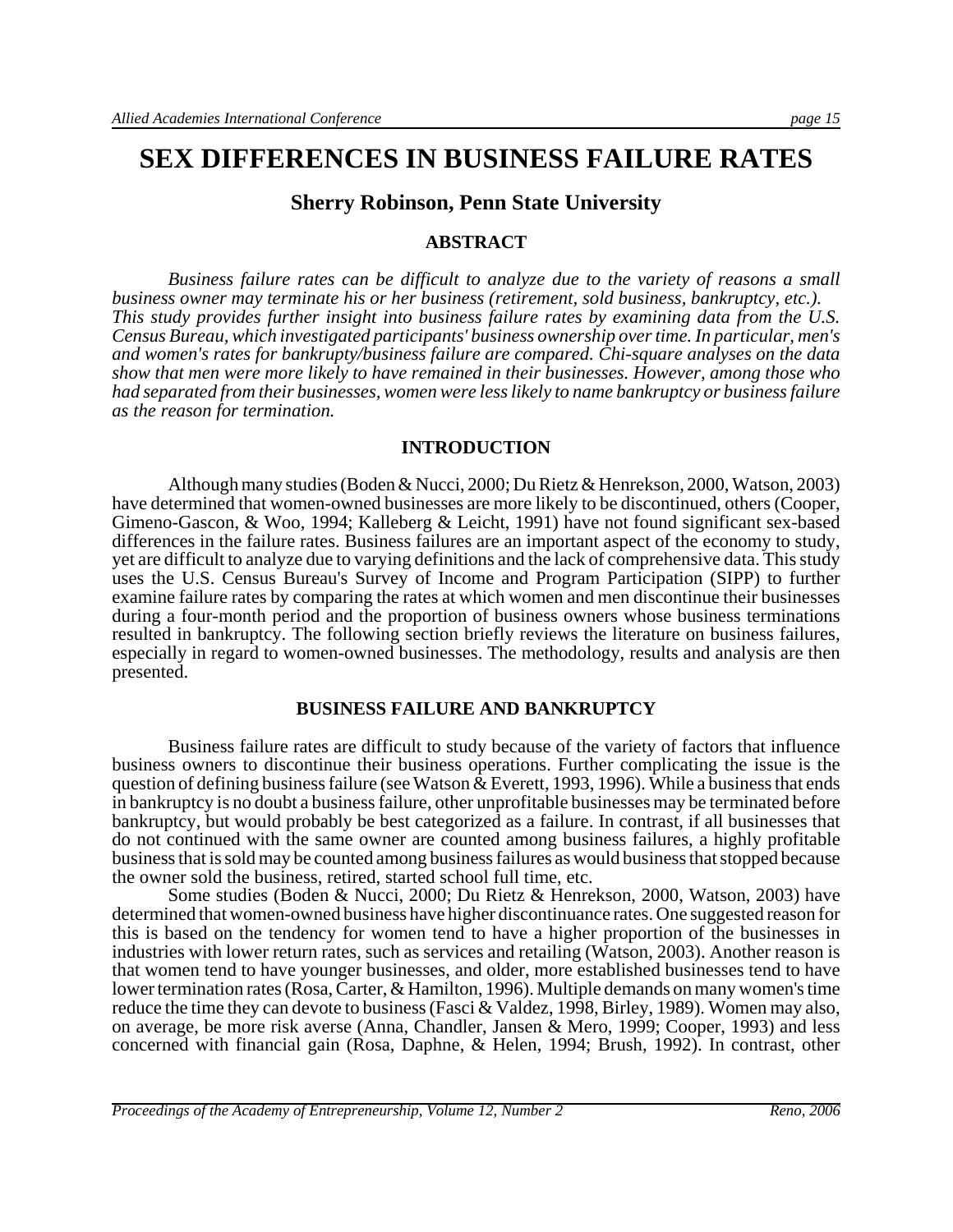### **SEX DIFFERENCES IN BUSINESS FAILURE RATES**

#### **Sherry Robinson, Penn State University**

#### **ABSTRACT**

*Business failure rates can be difficult to analyze due to the variety of reasons a small business owner may terminate his or her business (retirement, sold business, bankruptcy, etc.). This study provides further insight into business failure rates by examining data from the U.S. Census Bureau, which investigated participants' business ownership over time. In particular, men's and women's rates for bankrupty/business failure are compared. Chi-square analyses on the data show that men were more likely to have remained in their businesses. However, among those who had separated from their businesses, women were less likely to name bankruptcy or business failure as the reason for termination.* 

#### **INTRODUCTION**

Although many studies (Boden & Nucci, 2000; Du Rietz & Henrekson, 2000, Watson, 2003) have determined that women-owned businesses are more likely to be discontinued, others (Cooper, Gimeno-Gascon, & Woo, 1994; Kalleberg & Leicht, 1991) have not found significant sex-based differences in the failure rates. Business failures are an important aspect of the economy to study, yet are difficult to analyze due to varying definitions and the lack of comprehensive data. This study uses the U.S. Census Bureau's Survey of Income and Program Participation (SIPP) to further examine failure rates by comparing the rates at which women and men discontinue their businesses during a four-month period and the proportion of business owners whose business terminations resulted in bankruptcy. The following section briefly reviews the literature on business failures, especially in regard to women-owned businesses. The methodology, results and analysis are then presented.

#### **BUSINESS FAILURE AND BANKRUPTCY**

Business failure rates are difficult to study because of the variety of factors that influence business owners to discontinue their business operations. Further complicating the issue is the question of defining business failure (see Watson & Everett, 1993, 1996). While a business that ends in bankruptcy is no doubt a business failure, other unprofitable businesses may be terminated before bankruptcy, but would probably be best categorized as a failure. In contrast, if all businesses that do not continued with the same owner are counted among business failures, a highly profitable business that is sold may be counted among business failures as would business that stopped because the owner sold the business, retired, started school full time, etc.

Some studies (Boden & Nucci, 2000; Du Rietz & Henrekson, 2000, Watson, 2003) have determined that women-owned business have higher discontinuance rates. One suggested reason for this is based on the tendency for women tend to have a higher proportion of the businesses in industries with lower return rates, such as services and retailing (Watson, 2003). Another reason is that women tend to have younger businesses, and older, more established businesses tend to have lower termination rates (Rosa, Carter, & Hamilton, 1996). Multiple demands on many women's time reduce the time they can devote to business (Fasci & Valdez, 1998, Birley, 1989). Women may also, on average, be more risk averse (Anna, Chandler, Jansen & Mero, 1999; Cooper, 1993) and less concerned with financial gain (Rosa, Daphne, & Helen, 1994; Brush, 1992). In contrast, other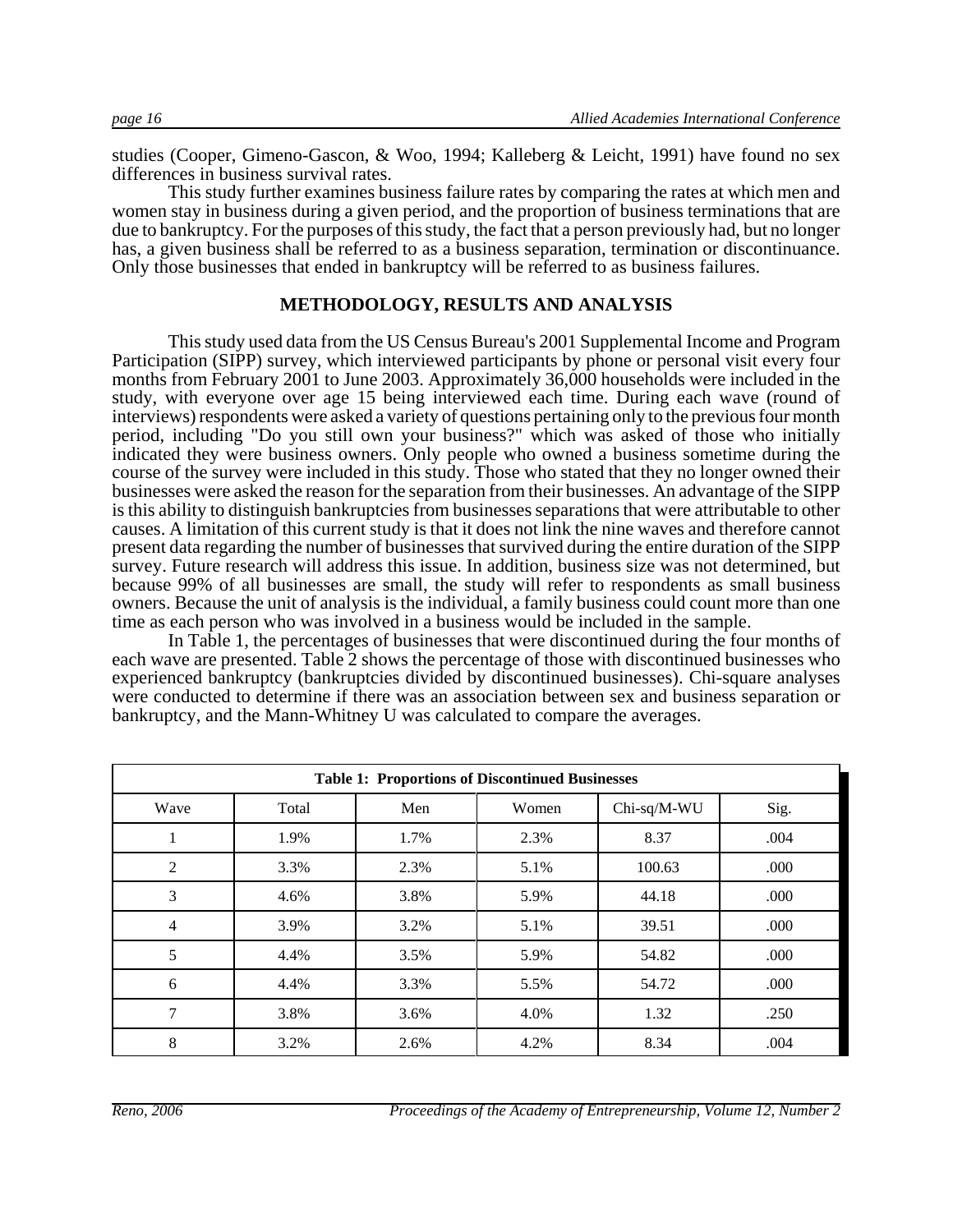studies (Cooper, Gimeno-Gascon, & Woo, 1994; Kalleberg & Leicht, 1991) have found no sex differences in business survival rates.

This study further examines business failure rates by comparing the rates at which men and women stay in business during a given period, and the proportion of business terminations that are due to bankruptcy. For the purposes of this study, the fact that a person previously had, but no longer has, a given business shall be referred to as a business separation, termination or discontinuance. Only those businesses that ended in bankruptcy will be referred to as business failures.

#### **METHODOLOGY, RESULTS AND ANALYSIS**

This study used data from the US Census Bureau's 2001 Supplemental Income and Program Participation (SIPP) survey, which interviewed participants by phone or personal visit every four months from February 2001 to June 2003. Approximately 36,000 households were included in the study, with everyone over age 15 being interviewed each time. During each wave (round of interviews) respondents were asked a variety of questions pertaining only to the previous four month period, including "Do you still own your business?" which was asked of those who initially indicated they were business owners. Only people who owned a business sometime during the course of the survey were included in this study. Those who stated that they no longer owned their businesses were asked the reason for the separation from their businesses. An advantage of the SIPP is this ability to distinguish bankruptcies from businesses separations that were attributable to other causes. A limitation of this current study is that it does not link the nine waves and therefore cannot present data regarding the number of businesses that survived during the entire duration of the SIPP survey. Future research will address this issue. In addition, business size was not determined, but because 99% of all businesses are small, the study will refer to respondents as small business owners. Because the unit of analysis is the individual, a family business could count more than one time as each person who was involved in a business would be included in the sample.

In Table 1, the percentages of businesses that were discontinued during the four months of each wave are presented. Table 2 shows the percentage of those with discontinued businesses who experienced bankruptcy (bankruptcies divided by discontinued businesses). Chi-square analyses were conducted to determine if there was an association between sex and business separation or bankruptcy, and the Mann-Whitney U was calculated to compare the averages.

|                | <b>Table 1: Proportions of Discontinued Businesses</b> |      |       |             |      |
|----------------|--------------------------------------------------------|------|-------|-------------|------|
| Wave           | Total                                                  | Men  | Women | Chi-sq/M-WU | Sig. |
|                | 1.9%                                                   | 1.7% | 2.3%  | 8.37        | .004 |
| 2              | 3.3%                                                   | 2.3% | 5.1%  | 100.63      | .000 |
| 3              | 4.6%                                                   | 3.8% | 5.9%  | 44.18       | .000 |
| $\overline{4}$ | 3.9%                                                   | 3.2% | 5.1%  | 39.51       | .000 |
| 5              | 4.4%                                                   | 3.5% | 5.9%  | 54.82       | .000 |
| 6              | 4.4%                                                   | 3.3% | 5.5%  | 54.72       | .000 |
| 7              | 3.8%                                                   | 3.6% | 4.0%  | 1.32        | .250 |
| 8              | 3.2%                                                   | 2.6% | 4.2%  | 8.34        | .004 |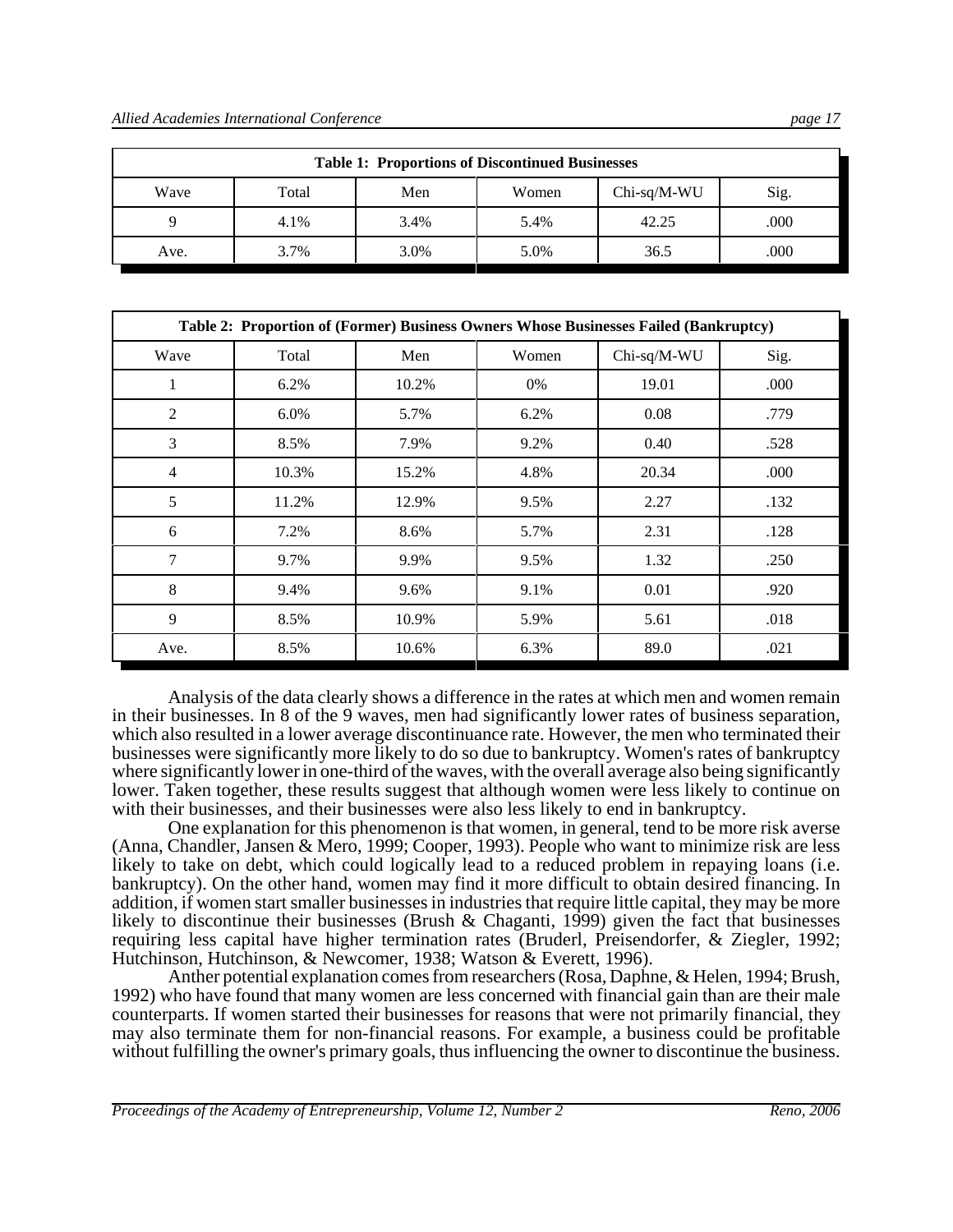| <i>vu</i> s<br>. . |
|--------------------|
|                    |
|                    |
|                    |
|                    |

| <b>Table 1: Proportions of Discontinued Businesses</b> |       |      |       |               |      |
|--------------------------------------------------------|-------|------|-------|---------------|------|
| Wave                                                   | Total | Men  | Women | $Chi-sq/M-WU$ | Sig. |
| Q                                                      | 4.1%  | 3.4% | 5.4%  | 42.25         | .000 |
| Ave.                                                   | 3.7%  | 3.0% | 5.0%  | 36.5          | .000 |

|                | Table 2: Proportion of (Former) Business Owners Whose Businesses Failed (Bankruptcy) |       |       |             |      |
|----------------|--------------------------------------------------------------------------------------|-------|-------|-------------|------|
| Wave           | Total                                                                                | Men   | Women | Chi-sq/M-WU | Sig. |
| 1              | 6.2%                                                                                 | 10.2% | 0%    | 19.01       | .000 |
| $\mathfrak{2}$ | 6.0%                                                                                 | 5.7%  | 6.2%  | 0.08        | .779 |
| 3              | 8.5%                                                                                 | 7.9%  | 9.2%  | 0.40        | .528 |
| $\overline{4}$ | 10.3%                                                                                | 15.2% | 4.8%  | 20.34       | .000 |
| 5              | 11.2%                                                                                | 12.9% | 9.5%  | 2.27        | .132 |
| 6              | 7.2%                                                                                 | 8.6%  | 5.7%  | 2.31        | .128 |
| 7              | 9.7%                                                                                 | 9.9%  | 9.5%  | 1.32        | .250 |
| 8              | 9.4%                                                                                 | 9.6%  | 9.1%  | 0.01        | .920 |
| 9              | 8.5%                                                                                 | 10.9% | 5.9%  | 5.61        | .018 |
| Ave.           | 8.5%                                                                                 | 10.6% | 6.3%  | 89.0        | .021 |

Analysis of the data clearly shows a difference in the rates at which men and women remain in their businesses. In 8 of the 9 waves, men had significantly lower rates of business separation, which also resulted in a lower average discontinuance rate. However, the men who terminated their businesses were significantly more likely to do so due to bankruptcy. Women's rates of bankruptcy where significantly lower in one-third of the waves, with the overall average also being significantly lower. Taken together, these results suggest that although women were less likely to continue on with their businesses, and their businesses were also less likely to end in bankruptcy.

One explanation for this phenomenon is that women, in general, tend to be more risk averse (Anna, Chandler, Jansen & Mero, 1999; Cooper, 1993). People who want to minimize risk are less likely to take on debt, which could logically lead to a reduced problem in repaying loans (i.e. bankruptcy). On the other hand, women may find it more difficult to obtain desired financing. In addition, if women start smaller businesses in industries that require little capital, they may be more likely to discontinue their businesses (Brush & Chaganti, 1999) given the fact that businesses requiring less capital have higher termination rates (Bruderl, Preisendorfer, & Ziegler, 1992; Hutchinson, Hutchinson, & Newcomer, 1938; Watson & Everett, 1996).

Anther potential explanation comes from researchers (Rosa, Daphne, & Helen, 1994; Brush, 1992) who have found that many women are less concerned with financial gain than are their male counterparts. If women started their businesses for reasons that were not primarily financial, they may also terminate them for non-financial reasons. For example, a business could be profitable without fulfilling the owner's primary goals, thus influencing the owner to discontinue the business.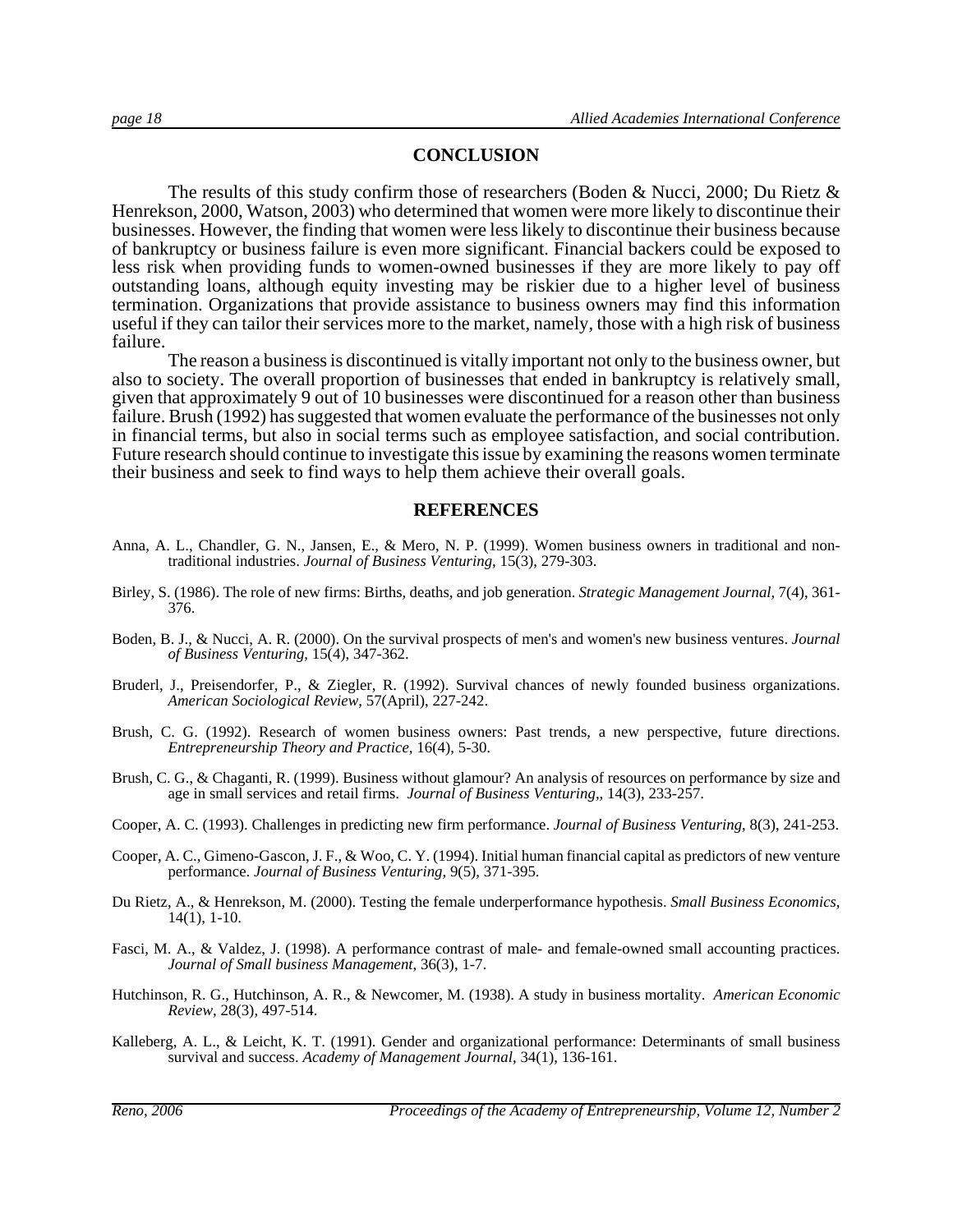#### **CONCLUSION**

The results of this study confirm those of researchers (Boden & Nucci, 2000; Du Rietz & Henrekson, 2000, Watson, 2003) who determined that women were more likely to discontinue their businesses. However, the finding that women were less likely to discontinue their business because of bankruptcy or business failure is even more significant. Financial backers could be exposed to less risk when providing funds to women-owned businesses if they are more likely to pay off outstanding loans, although equity investing may be riskier due to a higher level of business termination. Organizations that provide assistance to business owners may find this information useful if they can tailor their services more to the market, namely, those with a high risk of business failure.

The reason a business is discontinued is vitally important not only to the business owner, but also to society. The overall proportion of businesses that ended in bankruptcy is relatively small, given that approximately 9 out of 10 businesses were discontinued for a reason other than business failure. Brush (1992) has suggested that women evaluate the performance of the businesses not only in financial terms, but also in social terms such as employee satisfaction, and social contribution. Future research should continue to investigate this issue by examining the reasons women terminate their business and seek to find ways to help them achieve their overall goals.

#### **REFERENCES**

- Anna, A. L., Chandler, G. N., Jansen, E., & Mero, N. P. (1999). Women business owners in traditional and nontraditional industries. *Journal of Business Venturing*, 15(3), 279-303.
- Birley, S. (1986). The role of new firms: Births, deaths, and job generation. *Strategic Management Journal*, 7(4), 361- 376.
- Boden, B. J., & Nucci, A. R. (2000). On the survival prospects of men's and women's new business ventures. *Journal of Business Venturing*, 15(4), 347-362.
- Bruderl, J., Preisendorfer, P., & Ziegler, R. (1992). Survival chances of newly founded business organizations. *American Sociological Review*, 57(April), 227-242.
- Brush, C. G. (1992). Research of women business owners: Past trends, a new perspective, future directions. *Entrepreneurship Theory and Practice*, 16(4), 5-30.
- Brush, C. G., & Chaganti, R. (1999). Business without glamour? An analysis of resources on performance by size and age in small services and retail firms. *Journal of Business Venturing,*, 14(3), 233-257.
- Cooper, A. C. (1993). Challenges in predicting new firm performance. *Journal of Business Venturing*, 8(3), 241-253.
- Cooper, A. C., Gimeno-Gascon, J. F., & Woo, C. Y. (1994). Initial human financial capital as predictors of new venture performance. *Journal of Business Venturing*, 9(5), 371-395.
- Du Rietz, A., & Henrekson, M. (2000). Testing the female underperformance hypothesis. *Small Business Economics,* 14(1), 1-10.
- Fasci, M. A., & Valdez, J. (1998). A performance contrast of male- and female-owned small accounting practices. *Journal of Small business Management*, 36(3), 1-7.
- Hutchinson, R. G., Hutchinson, A. R., & Newcomer, M. (1938). A study in business mortality. *American Economic Review,* 28(3), 497-514.
- Kalleberg, A. L., & Leicht, K. T. (1991). Gender and organizational performance: Determinants of small business survival and success. *Academy of Management Journal,* 34(1), 136-161.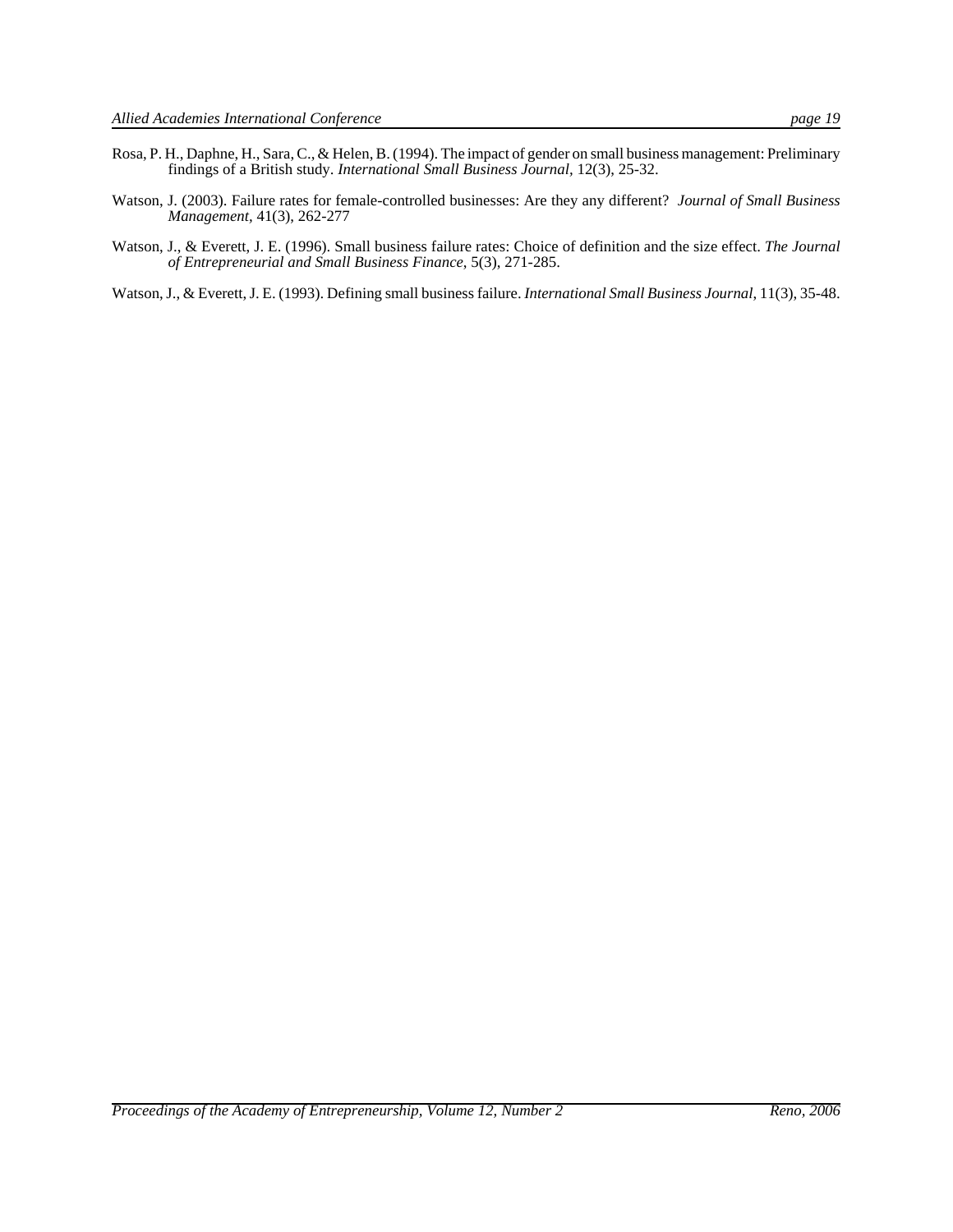- Rosa, P. H., Daphne, H., Sara, C., & Helen, B. (1994). The impact of gender on small business management: Preliminary findings of a British study. *International Small Business Journal,* 12(3), 25-32.
- Watson, J. (2003). Failure rates for female-controlled businesses: Are they any different? *Journal of Small Business Management,* 41(3), 262-277
- Watson, J., & Everett, J. E. (1996). Small business failure rates: Choice of definition and the size effect. *The Journal of Entrepreneurial and Small Business Finance*, 5(3), 271-285.

Watson, J., & Everett, J. E. (1993). Defining small business failure. *International Small Business Journal*, 11(3), 35-48.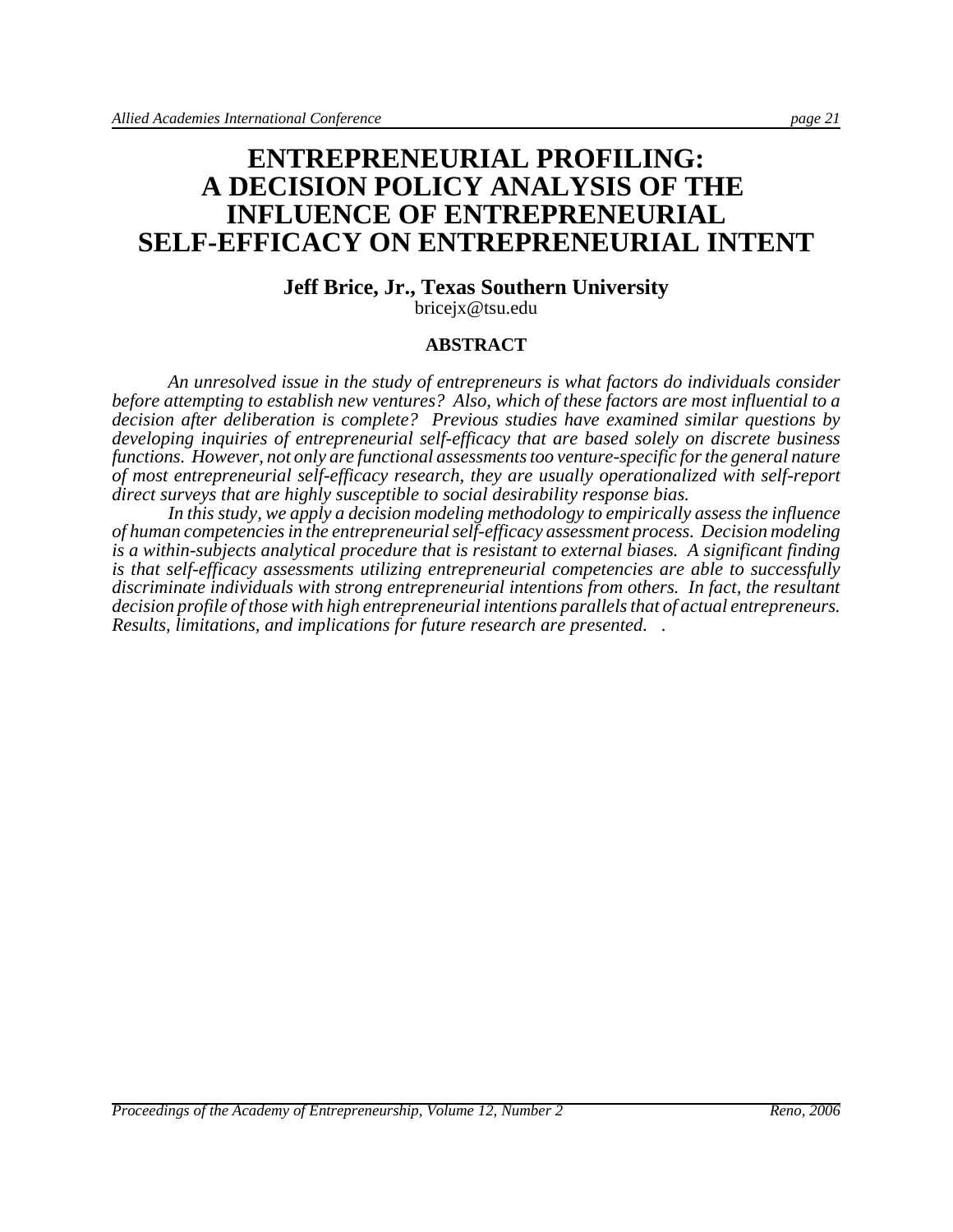# **ENTREPRENEURIAL PROFILING: A DECISION POLICY ANALYSIS OF THE INFLUENCE OF ENTREPRENEURIAL SELF-EFFICACY ON ENTREPRENEURIAL INTENT**

#### **Jeff Brice, Jr., Texas Southern University** bricejx@tsu.edu

#### **ABSTRACT**

*An unresolved issue in the study of entrepreneurs is what factors do individuals consider before attempting to establish new ventures? Also, which of these factors are most influential to a decision after deliberation is complete? Previous studies have examined similar questions by developing inquiries of entrepreneurial self-efficacy that are based solely on discrete business functions. However, not only are functional assessments too venture-specific for the general nature of most entrepreneurial self-efficacy research, they are usually operationalized with self-report direct surveys that are highly susceptible to social desirability response bias.* 

*In this study, we apply a decision modeling methodology to empirically assess the influence of human competencies in the entrepreneurial self-efficacy assessment process. Decision modeling is a within-subjects analytical procedure that is resistant to external biases. A significant finding is that self-efficacy assessments utilizing entrepreneurial competencies are able to successfully discriminate individuals with strong entrepreneurial intentions from others. In fact, the resultant decision profile of those with high entrepreneurial intentions parallels that of actual entrepreneurs. Results, limitations, and implications for future research are presented. .*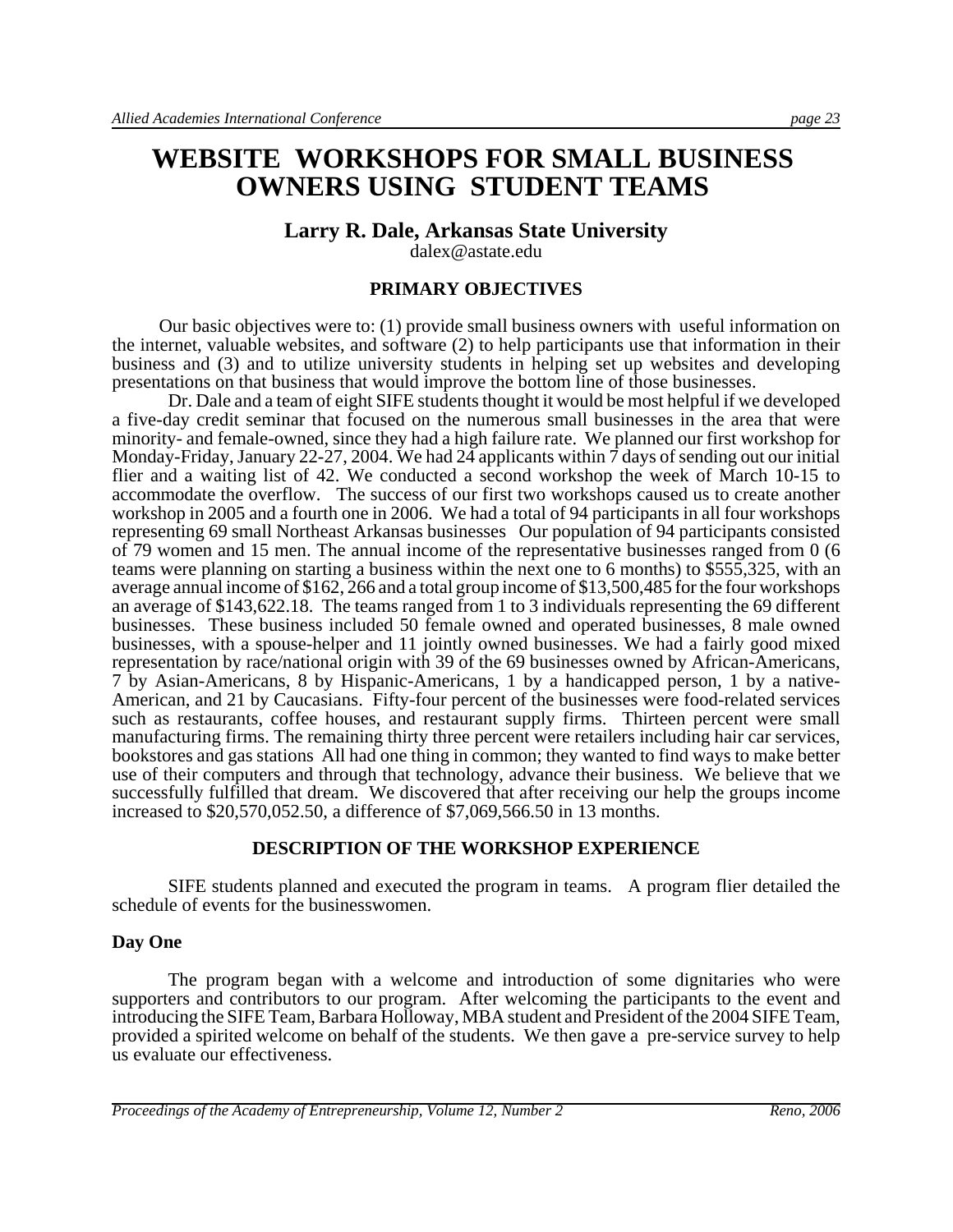# **WEBSITE WORKSHOPS FOR SMALL BUSINESS OWNERS USING STUDENT TEAMS**

### **Larry R. Dale, Arkansas State University**

dalex@astate.edu

#### **PRIMARY OBJECTIVES**

 Our basic objectives were to: (1) provide small business owners with useful information on the internet, valuable websites, and software (2) to help participants use that information in their business and (3) and to utilize university students in helping set up websites and developing presentations on that business that would improve the bottom line of those businesses.

Dr. Dale and a team of eight SIFE students thought it would be most helpful if we developed a five-day credit seminar that focused on the numerous small businesses in the area that were minority- and female-owned, since they had a high failure rate. We planned our first workshop for Monday-Friday, January 22-27, 2004. We had 24 applicants within 7 days of sending out our initial flier and a waiting list of 42. We conducted a second workshop the week of March 10-15 to accommodate the overflow. The success of our first two workshops caused us to create another workshop in 2005 and a fourth one in 2006. We had a total of 94 participants in all four workshops representing 69 small Northeast Arkansas businesses Our population of 94 participants consisted of 79 women and 15 men. The annual income of the representative businesses ranged from 0 (6 teams were planning on starting a business within the next one to 6 months) to \$555,325, with an average annual income of \$162, 266 and a total group income of \$13,500,485 for the four workshops an average of \$143,622.18. The teams ranged from 1 to 3 individuals representing the 69 different businesses. These business included 50 female owned and operated businesses, 8 male owned businesses, with a spouse-helper and 11 jointly owned businesses. We had a fairly good mixed representation by race/national origin with 39 of the 69 businesses owned by African-Americans, 7 by Asian-Americans, 8 by Hispanic-Americans, 1 by a handicapped person, 1 by a native-American, and 21 by Caucasians. Fifty-four percent of the businesses were food-related services such as restaurants, coffee houses, and restaurant supply firms. Thirteen percent were small manufacturing firms. The remaining thirty three percent were retailers including hair car services, bookstores and gas stations All had one thing in common; they wanted to find ways to make better use of their computers and through that technology, advance their business. We believe that we successfully fulfilled that dream. We discovered that after receiving our help the groups income increased to \$20,570,052.50, a difference of \$7,069,566.50 in 13 months.

#### **DESCRIPTION OF THE WORKSHOP EXPERIENCE**

SIFE students planned and executed the program in teams. A program flier detailed the schedule of events for the businesswomen.

#### **Day One**

The program began with a welcome and introduction of some dignitaries who were supporters and contributors to our program. After welcoming the participants to the event and introducing the SIFE Team, Barbara Holloway, MBA student and President of the 2004 SIFE Team, provided a spirited welcome on behalf of the students. We then gave a pre-service survey to help us evaluate our effectiveness.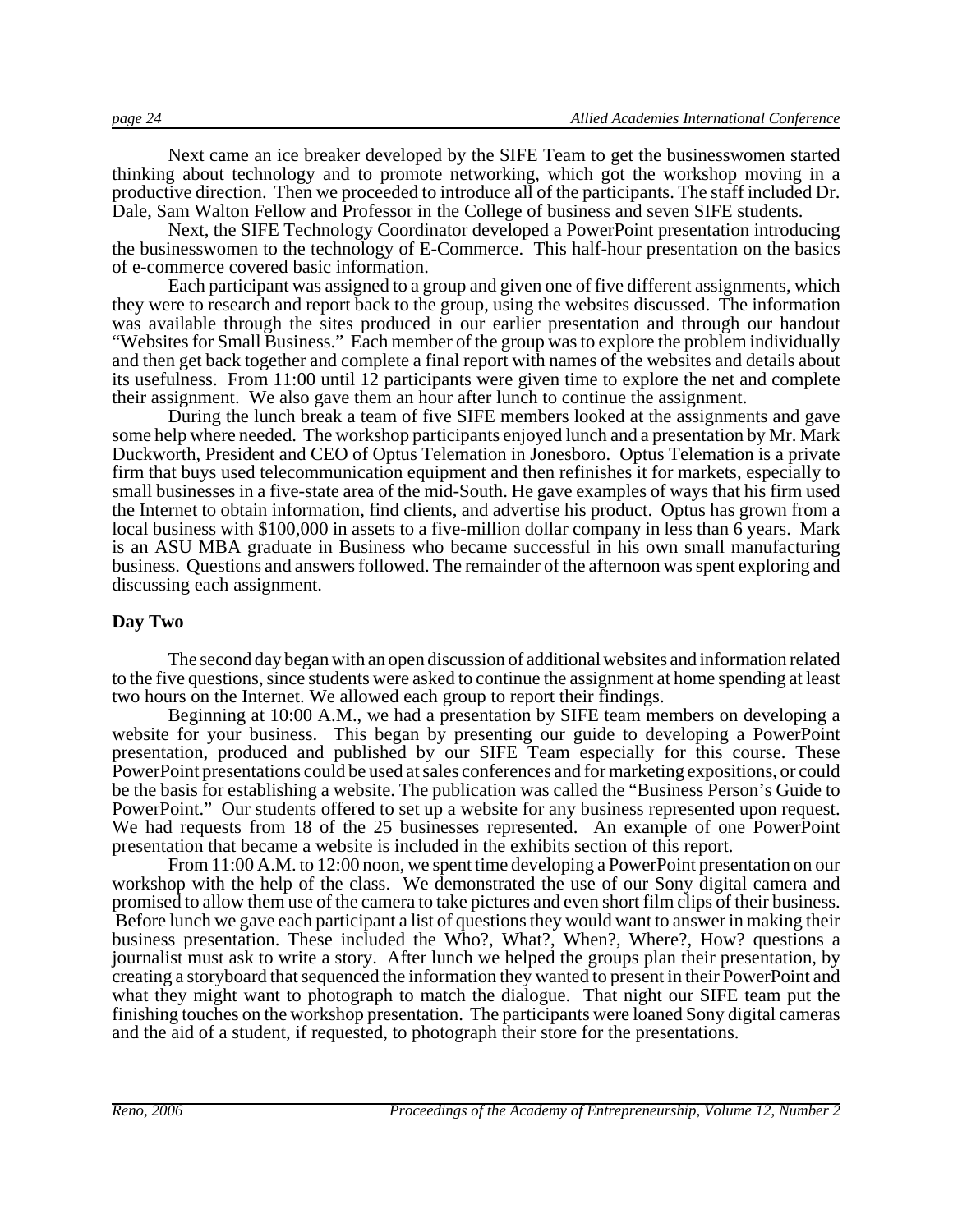Next came an ice breaker developed by the SIFE Team to get the businesswomen started thinking about technology and to promote networking, which got the workshop moving in a productive direction. Then we proceeded to introduce all of the participants. The staff included Dr. Dale, Sam Walton Fellow and Professor in the College of business and seven SIFE students.

Next, the SIFE Technology Coordinator developed a PowerPoint presentation introducing the businesswomen to the technology of E-Commerce. This half-hour presentation on the basics of e-commerce covered basic information.

Each participant was assigned to a group and given one of five different assignments, which they were to research and report back to the group, using the websites discussed. The information was available through the sites produced in our earlier presentation and through our handout "Websites for Small Business." Each member of the group was to explore the problem individually and then get back together and complete a final report with names of the websites and details about its usefulness. From 11:00 until 12 participants were given time to explore the net and complete their assignment. We also gave them an hour after lunch to continue the assignment.

During the lunch break a team of five SIFE members looked at the assignments and gave some help where needed. The workshop participants enjoyed lunch and a presentation by Mr. Mark Duckworth, President and CEO of Optus Telemation in Jonesboro. Optus Telemation is a private firm that buys used telecommunication equipment and then refinishes it for markets, especially to small businesses in a five-state area of the mid-South. He gave examples of ways that his firm used the Internet to obtain information, find clients, and advertise his product. Optus has grown from a local business with \$100,000 in assets to a five-million dollar company in less than 6 years. Mark is an ASU MBA graduate in Business who became successful in his own small manufacturing business. Questions and answers followed. The remainder of the afternoon was spent exploring and discussing each assignment.

#### **Day Two**

The second day began with an open discussion of additional websites and information related to the five questions, since students were asked to continue the assignment at home spending at least two hours on the Internet. We allowed each group to report their findings.

Beginning at 10:00 A.M., we had a presentation by SIFE team members on developing a website for your business. This began by presenting our guide to developing a PowerPoint presentation, produced and published by our SIFE Team especially for this course. These PowerPoint presentations could be used at sales conferences and for marketing expositions, or could be the basis for establishing a website. The publication was called the "Business Person's Guide to PowerPoint." Our students offered to set up a website for any business represented upon request. We had requests from 18 of the 25 businesses represented. An example of one PowerPoint presentation that became a website is included in the exhibits section of this report.

From 11:00 A.M. to 12:00 noon, we spent time developing a PowerPoint presentation on our workshop with the help of the class. We demonstrated the use of our Sony digital camera and promised to allow them use of the camera to take pictures and even short film clips of their business. Before lunch we gave each participant a list of questions they would want to answer in making their business presentation. These included the Who?, What?, When?, Where?, How? questions a journalist must ask to write a story. After lunch we helped the groups plan their presentation, by creating a storyboard that sequenced the information they wanted to present in their PowerPoint and what they might want to photograph to match the dialogue. That night our SIFE team put the finishing touches on the workshop presentation. The participants were loaned Sony digital cameras and the aid of a student, if requested, to photograph their store for the presentations.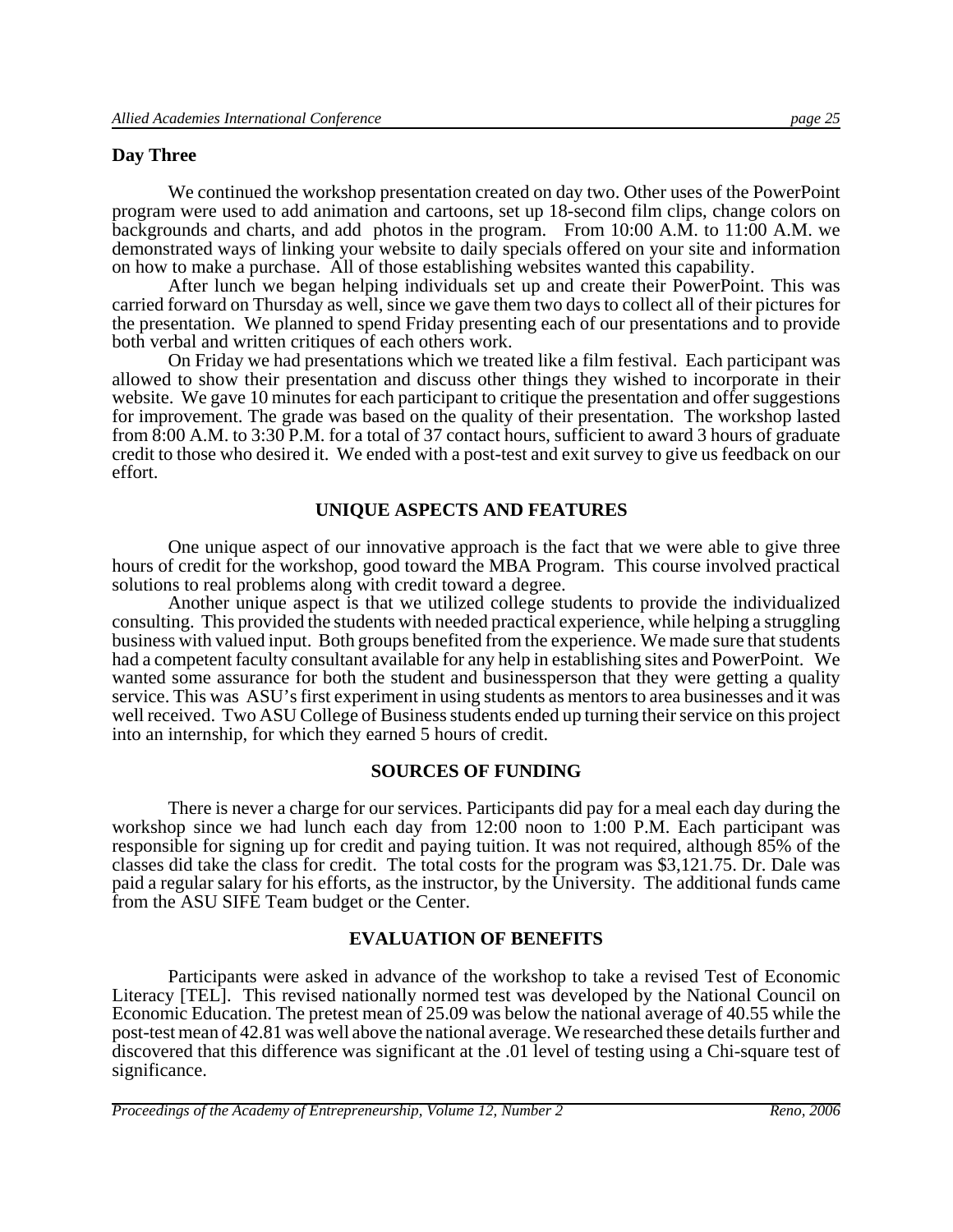#### **Day Three**

We continued the workshop presentation created on day two. Other uses of the PowerPoint program were used to add animation and cartoons, set up 18-second film clips, change colors on backgrounds and charts, and add photos in the program. From 10:00 A.M. to 11:00 A.M. we demonstrated ways of linking your website to daily specials offered on your site and information on how to make a purchase. All of those establishing websites wanted this capability.

After lunch we began helping individuals set up and create their PowerPoint. This was carried forward on Thursday as well, since we gave them two days to collect all of their pictures for the presentation. We planned to spend Friday presenting each of our presentations and to provide both verbal and written critiques of each others work.

On Friday we had presentations which we treated like a film festival. Each participant was allowed to show their presentation and discuss other things they wished to incorporate in their website. We gave 10 minutes for each participant to critique the presentation and offer suggestions for improvement. The grade was based on the quality of their presentation. The workshop lasted from 8:00 A.M. to 3:30 P.M. for a total of 37 contact hours, sufficient to award 3 hours of graduate credit to those who desired it. We ended with a post-test and exit survey to give us feedback on our effort.

#### **UNIQUE ASPECTS AND FEATURES**

One unique aspect of our innovative approach is the fact that we were able to give three hours of credit for the workshop, good toward the MBA Program. This course involved practical solutions to real problems along with credit toward a degree.

Another unique aspect is that we utilized college students to provide the individualized consulting. This provided the students with needed practical experience, while helping a struggling business with valued input. Both groups benefited from the experience. We made sure that students had a competent faculty consultant available for any help in establishing sites and PowerPoint. We wanted some assurance for both the student and businessperson that they were getting a quality service. This was ASU's first experiment in using students as mentors to area businesses and it was well received. Two ASU College of Business students ended up turning their service on this project into an internship, for which they earned 5 hours of credit.

#### **SOURCES OF FUNDING**

There is never a charge for our services. Participants did pay for a meal each day during the workshop since we had lunch each day from 12:00 noon to 1:00 P.M. Each participant was responsible for signing up for credit and paying tuition. It was not required, although 85% of the classes did take the class for credit. The total costs for the program was \$3,121.75. Dr. Dale was paid a regular salary for his efforts, as the instructor, by the University. The additional funds came from the ASU SIFE Team budget or the Center.

#### **EVALUATION OF BENEFITS**

Participants were asked in advance of the workshop to take a revised Test of Economic Literacy [TEL]. This revised nationally normed test was developed by the National Council on Economic Education. The pretest mean of 25.09 was below the national average of 40.55 while the post-test mean of 42.81 was well above the national average. We researched these details further and discovered that this difference was significant at the .01 level of testing using a Chi-square test of significance.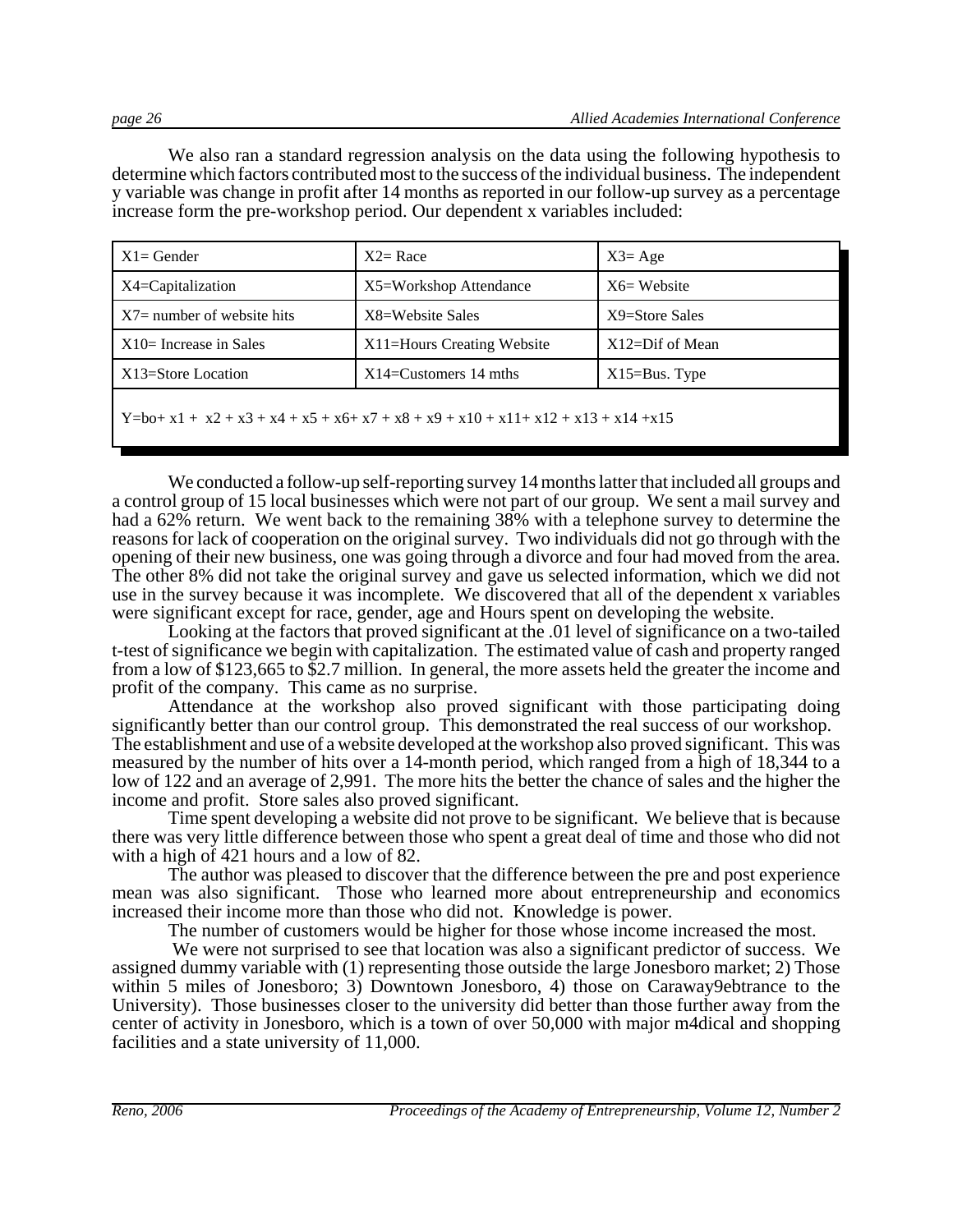We also ran a standard regression analysis on the data using the following hypothesis to determine which factors contributed most to the success of the individual business. The independent y variable was change in profit after 14 months as reported in our follow-up survey as a percentage increase form the pre-workshop period. Our dependent x variables included:

| $X1 =$ Gender                                                                             | $X2 = Race$                | $X3 = Age$           |  |  |
|-------------------------------------------------------------------------------------------|----------------------------|----------------------|--|--|
| $X4 =$ Capitalization                                                                     | X5=Workshop Attendance     | $X6=$ Website        |  |  |
| $X7$ number of website hits                                                               | X8=Website Sales           | X9=Store Sales       |  |  |
| $X10=$ Increase in Sales                                                                  | X11=Hours Creating Website | $X12 = Diff of Mean$ |  |  |
| X13=Store Location<br>$X14 =$ Customers 14 mths<br>$X15 = Bus.$ Type                      |                            |                      |  |  |
| $Y = bo + x1 + x2 + x3 + x4 + x5 + x6 + x7 + x8 + x9 + x10 + x11 + x12 + x13 + x14 + x15$ |                            |                      |  |  |

We conducted a follow-up self-reporting survey 14 months latter that included all groups and a control group of 15 local businesses which were not part of our group. We sent a mail survey and had a 62% return. We went back to the remaining 38% with a telephone survey to determine the reasons for lack of cooperation on the original survey. Two individuals did not go through with the opening of their new business, one was going through a divorce and four had moved from the area. The other 8% did not take the original survey and gave us selected information, which we did not use in the survey because it was incomplete. We discovered that all of the dependent x variables were significant except for race, gender, age and Hours spent on developing the website.

Looking at the factors that proved significant at the .01 level of significance on a two-tailed t-test of significance we begin with capitalization. The estimated value of cash and property ranged from a low of \$123,665 to \$2.7 million. In general, the more assets held the greater the income and profit of the company. This came as no surprise.

Attendance at the workshop also proved significant with those participating doing significantly better than our control group. This demonstrated the real success of our workshop. The establishment and use of a website developed at the workshop also proved significant. This was measured by the number of hits over a 14-month period, which ranged from a high of 18,344 to a low of 122 and an average of 2,991. The more hits the better the chance of sales and the higher the income and profit. Store sales also proved significant.

Time spent developing a website did not prove to be significant. We believe that is because there was very little difference between those who spent a great deal of time and those who did not with a high of 421 hours and a low of 82.

The author was pleased to discover that the difference between the pre and post experience mean was also significant. Those who learned more about entrepreneurship and economics increased their income more than those who did not. Knowledge is power.

The number of customers would be higher for those whose income increased the most.

 We were not surprised to see that location was also a significant predictor of success. We assigned dummy variable with (1) representing those outside the large Jonesboro market; 2) Those within 5 miles of Jonesboro; 3) Downtown Jonesboro, 4) those on Caraway9ebtrance to the University). Those businesses closer to the university did better than those further away from the center of activity in Jonesboro, which is a town of over 50,000 with major m4dical and shopping facilities and a state university of 11,000.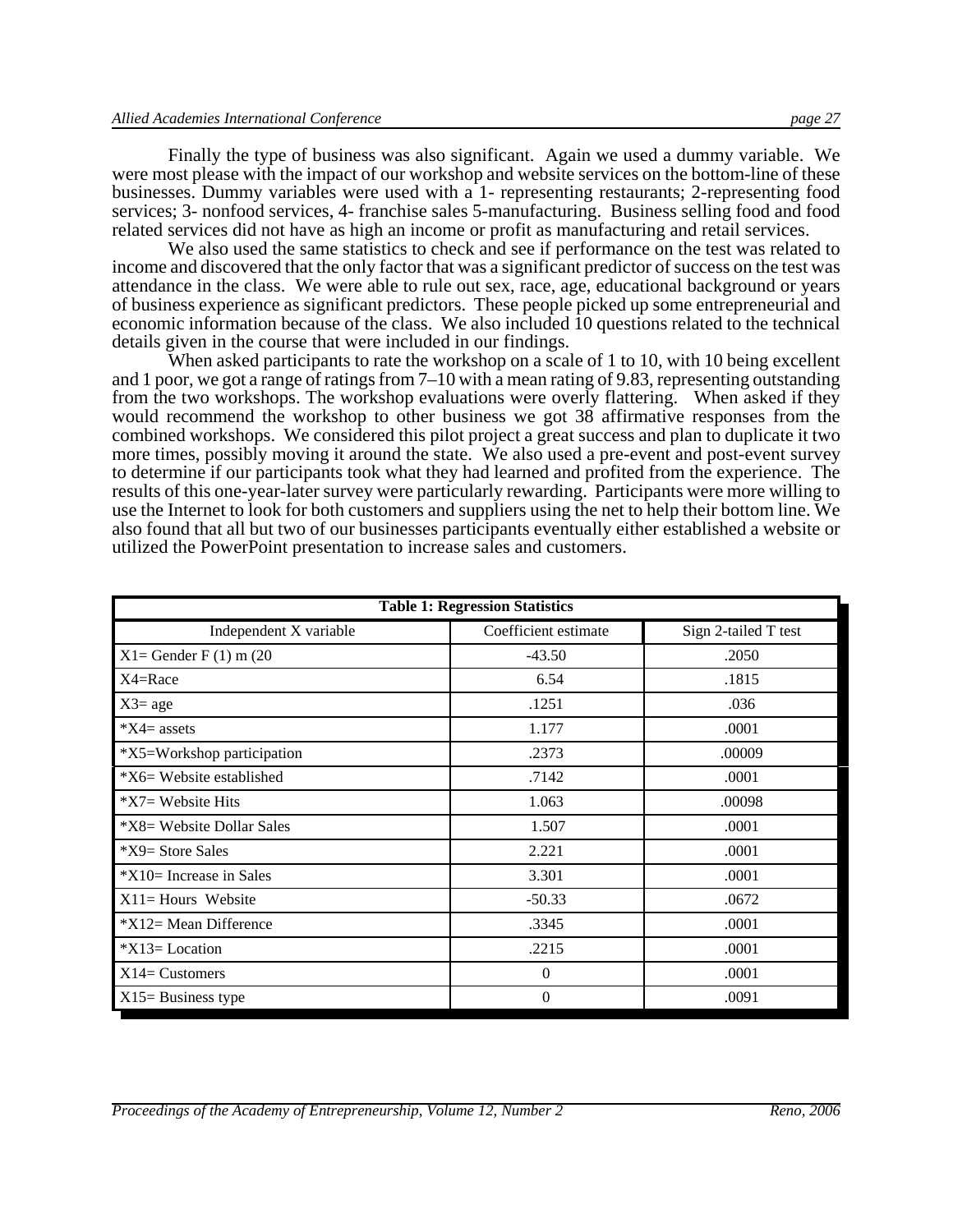Finally the type of business was also significant. Again we used a dummy variable. We were most please with the impact of our workshop and website services on the bottom-line of these businesses. Dummy variables were used with a 1- representing restaurants; 2-representing food services; 3- nonfood services, 4- franchise sales 5-manufacturing. Business selling food and food related services did not have as high an income or profit as manufacturing and retail services.

We also used the same statistics to check and see if performance on the test was related to income and discovered that the only factor that was a significant predictor of success on the test was attendance in the class. We were able to rule out sex, race, age, educational background or years of business experience as significant predictors. These people picked up some entrepreneurial and economic information because of the class. We also included 10 questions related to the technical details given in the course that were included in our findings.

When asked participants to rate the workshop on a scale of 1 to 10, with 10 being excellent and 1 poor, we got a range of ratings from 7–10 with a mean rating of 9.83, representing outstanding from the two workshops. The workshop evaluations were overly flattering. When asked if they would recommend the workshop to other business we got 38 affirmative responses from the combined workshops. We considered this pilot project a great success and plan to duplicate it two more times, possibly moving it around the state. We also used a pre-event and post-event survey to determine if our participants took what they had learned and profited from the experience. The results of this one-year-later survey were particularly rewarding. Participants were more willing to use the Internet to look for both customers and suppliers using the net to help their bottom line. We also found that all but two of our businesses participants eventually either established a website or utilized the PowerPoint presentation to increase sales and customers.

| <b>Table 1: Regression Statistics</b> |                      |                      |  |
|---------------------------------------|----------------------|----------------------|--|
| Independent X variable                | Coefficient estimate | Sign 2-tailed T test |  |
| $X1 =$ Gender F(1) m(20               | $-43.50$             | .2050                |  |
| X4=Race                               | 6.54                 | .1815                |  |
| $X3 = age$                            | .1251                | .036                 |  |
| $*X4 =$ assets                        | 1.177                | .0001                |  |
| *X5=Workshop participation            | .2373                | .00009               |  |
| $X6=$ Website established             | .7142                | .0001                |  |
| *X7= Website Hits                     | 1.063                | .00098               |  |
| *X8= Website Dollar Sales             | 1.507                | .0001                |  |
| $X9 = Store Sales$                    | 2.221                | .0001                |  |
| $*X10=$ Increase in Sales             | 3.301                | .0001                |  |
| $X11 =$ Hours Website                 | $-50.33$             | .0672                |  |
| $*X12=$ Mean Difference               | .3345                | .0001                |  |
| $*X13 = Location$                     | .2215                | .0001                |  |
| $X14 =$ Customers                     | $\mathbf{0}$         | .0001                |  |
| $X15 = Business$ type                 | $\theta$             | .0091                |  |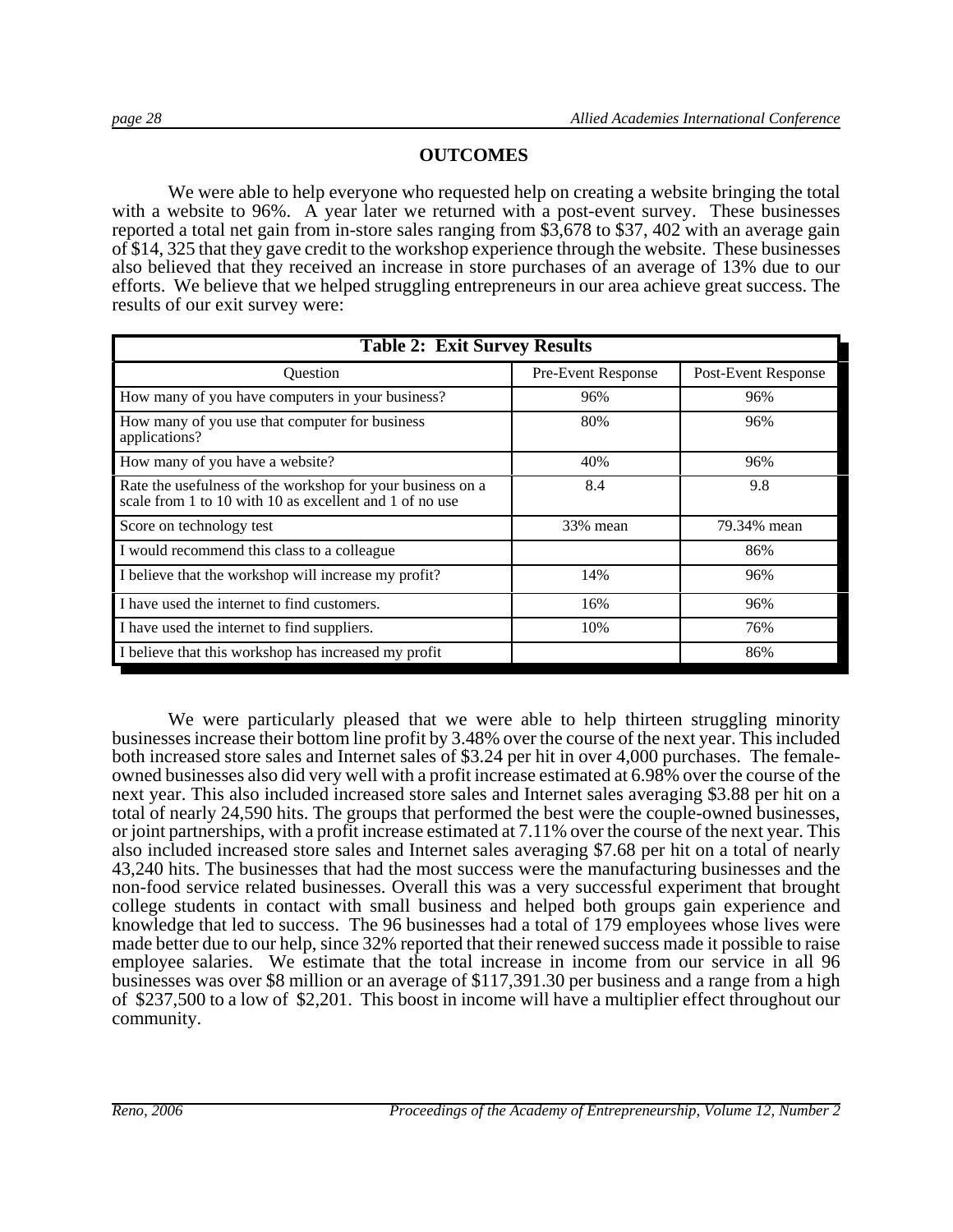#### **OUTCOMES**

We were able to help everyone who requested help on creating a website bringing the total with a website to 96%. A year later we returned with a post-event survey. These businesses reported a total net gain from in-store sales ranging from \$3,678 to \$37, 402 with an average gain of \$14, 325 that they gave credit to the workshop experience through the website. These businesses also believed that they received an increase in store purchases of an average of 13% due to our efforts. We believe that we helped struggling entrepreneurs in our area achieve great success. The results of our exit survey were:

| <b>Table 2: Exit Survey Results</b>                                                                                   |                           |                     |  |  |
|-----------------------------------------------------------------------------------------------------------------------|---------------------------|---------------------|--|--|
| Ouestion                                                                                                              | <b>Pre-Event Response</b> | Post-Event Response |  |  |
| How many of you have computers in your business?                                                                      | 96%                       | 96%                 |  |  |
| How many of you use that computer for business<br>applications?                                                       | 80%                       | 96%                 |  |  |
| How many of you have a website?                                                                                       | 40%                       | 96%                 |  |  |
| Rate the usefulness of the workshop for your business on a<br>scale from 1 to 10 with 10 as excellent and 1 of no use | 8.4                       | 9.8                 |  |  |
| Score on technology test                                                                                              | 33% mean                  | 79.34% mean         |  |  |
| I would recommend this class to a colleague                                                                           |                           | 86%                 |  |  |
| I believe that the workshop will increase my profit?                                                                  | 14%                       | 96%                 |  |  |
| I have used the internet to find customers.                                                                           | 16%                       | 96%                 |  |  |
| I have used the internet to find suppliers.                                                                           | 10%                       | 76%                 |  |  |
| I believe that this workshop has increased my profit                                                                  |                           | 86%                 |  |  |

We were particularly pleased that we were able to help thirteen struggling minority businesses increase their bottom line profit by 3.48% over the course of the next year. This included both increased store sales and Internet sales of \$3.24 per hit in over 4,000 purchases. The femaleowned businesses also did very well with a profit increase estimated at 6.98% over the course of the next year. This also included increased store sales and Internet sales averaging \$3.88 per hit on a total of nearly 24,590 hits. The groups that performed the best were the couple-owned businesses, or joint partnerships, with a profit increase estimated at 7.11% over the course of the next year. This also included increased store sales and Internet sales averaging \$7.68 per hit on a total of nearly 43,240 hits. The businesses that had the most success were the manufacturing businesses and the non-food service related businesses. Overall this was a very successful experiment that brought college students in contact with small business and helped both groups gain experience and knowledge that led to success. The 96 businesses had a total of 179 employees whose lives were made better due to our help, since 32% reported that their renewed success made it possible to raise employee salaries. We estimate that the total increase in income from our service in all 96 businesses was over \$8 million or an average of \$117,391.30 per business and a range from a high of \$237,500 to a low of \$2,201. This boost in income will have a multiplier effect throughout our community.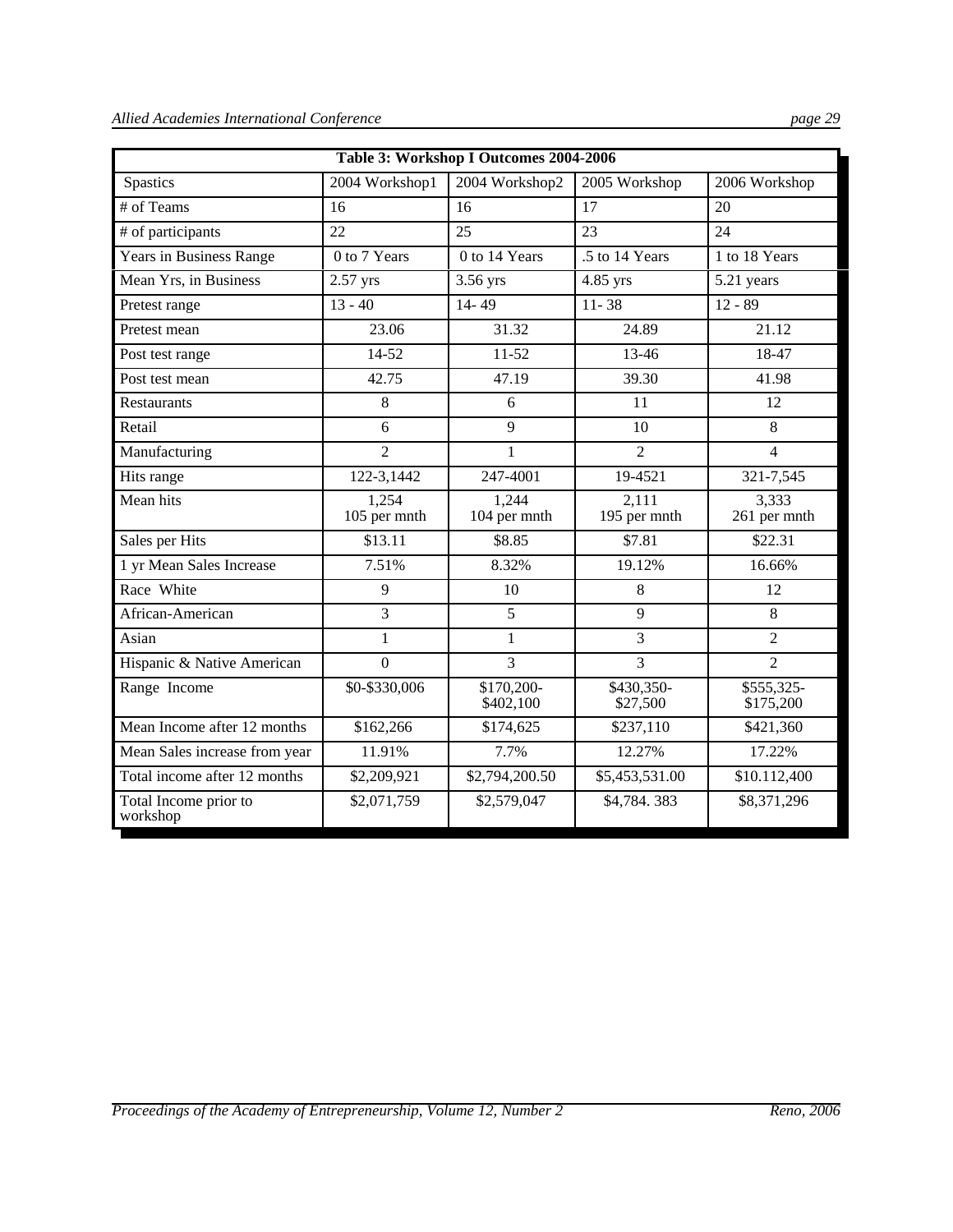| Table 3: Workshop I Outcomes 2004-2006 |                       |                         |                        |                         |  |
|----------------------------------------|-----------------------|-------------------------|------------------------|-------------------------|--|
| <b>Spastics</b>                        | 2004 Workshop1        | 2004 Workshop2          | 2005 Workshop          | 2006 Workshop           |  |
| # of Teams                             | 16                    | 16                      | 17                     | 20                      |  |
| # of participants                      | 22                    | 25                      | 23                     | 24                      |  |
| Years in Business Range                | 0 to 7 Years          | 0 to 14 Years           | .5 to 14 Years         | 1 to 18 Years           |  |
| Mean Yrs, in Business                  | 2.57 yrs              | 3.56 yrs                | 4.85 yrs               | 5.21 years              |  |
| Pretest range                          | $13 - 40$             | 14-49                   | $11 - 38$              | $12 - 89$               |  |
| Pretest mean                           | 23.06                 | 31.32                   | 24.89                  | 21.12                   |  |
| Post test range                        | 14-52                 | $11-52$                 | 13-46                  | $18 - 47$               |  |
| Post test mean                         | 42.75                 | 47.19                   | 39.30                  | 41.98                   |  |
| Restaurants                            | 8                     | 6                       | 11                     | 12                      |  |
| Retail                                 | 6                     | $\overline{9}$          | 10                     | 8                       |  |
| Manufacturing                          | $\overline{2}$        | $\mathbf{1}$            | $\overline{2}$         | $\overline{4}$          |  |
| Hits range                             | 122-3,1442            | 247-4001                | 19-4521                | 321-7,545               |  |
| Mean hits                              | 1,254<br>105 per mnth | 1,244<br>104 per mnth   | 2,111<br>195 per mnth  | 3,333<br>261 per mnth   |  |
| Sales per Hits                         | \$13.11               | \$8.85                  | \$7.81                 | \$22.31                 |  |
| 1 yr Mean Sales Increase               | 7.51%                 | 8.32%                   | 19.12%                 | 16.66%                  |  |
| Race White                             | 9                     | 10                      | 8                      | 12                      |  |
| African-American                       | $\overline{3}$        | 5                       | 9                      | 8                       |  |
| Asian                                  | $\mathbf{1}$          | $\mathbf{1}$            | $\overline{3}$         | $\overline{2}$          |  |
| Hispanic & Native American             | $\overline{0}$        | $\overline{3}$          | $\overline{3}$         | $\overline{2}$          |  |
| Range Income                           | \$0-\$330,006         | \$170,200-<br>\$402,100 | \$430,350-<br>\$27,500 | \$555,325-<br>\$175,200 |  |
| Mean Income after 12 months            | \$162,266             | \$174,625               | \$237,110              | \$421,360               |  |
| Mean Sales increase from year          | 11.91%                | 7.7%                    | 12.27%                 | 17.22%                  |  |
| Total income after 12 months           | \$2,209,921           | \$2,794,200.50          | \$5,453,531.00         | \$10.112,400            |  |
| Total Income prior to<br>workshop      | \$2,071,759           | \$2,579,047             | \$4,784.383            | \$8,371,296             |  |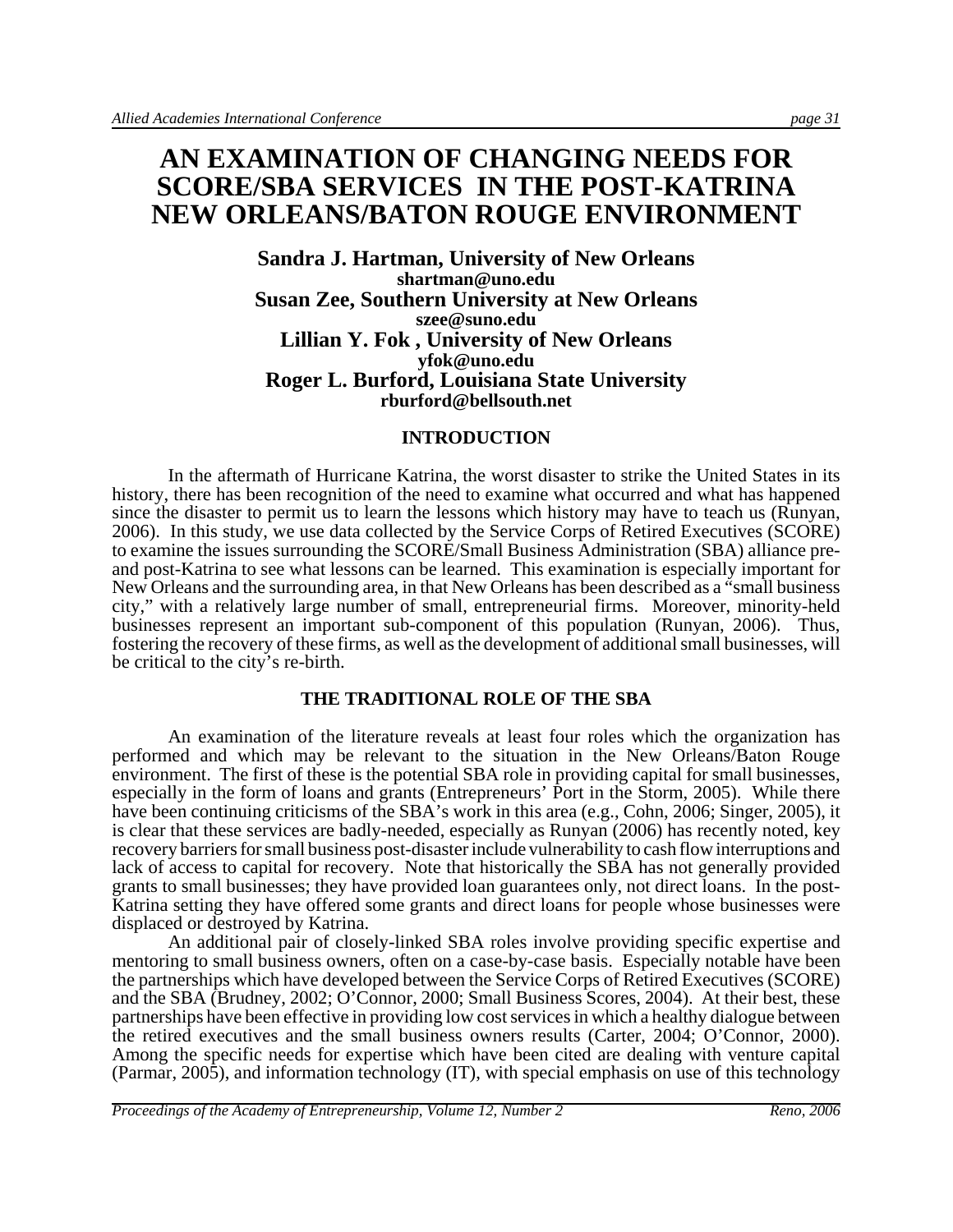# **AN EXAMINATION OF CHANGING NEEDS FOR SCORE/SBA SERVICES IN THE POST-KATRINA NEW ORLEANS/BATON ROUGE ENVIRONMENT**

**Sandra J. Hartman, University of New Orleans shartman@uno.edu Susan Zee, Southern University at New Orleans szee@suno.edu Lillian Y. Fok , University of New Orleans yfok@uno.edu Roger L. Burford, Louisiana State University rburford@bellsouth.net**

#### **INTRODUCTION**

In the aftermath of Hurricane Katrina, the worst disaster to strike the United States in its history, there has been recognition of the need to examine what occurred and what has happened since the disaster to permit us to learn the lessons which history may have to teach us (Runyan, 2006). In this study, we use data collected by the Service Corps of Retired Executives (SCORE) to examine the issues surrounding the SCORE/Small Business Administration (SBA) alliance preand post-Katrina to see what lessons can be learned. This examination is especially important for New Orleans and the surrounding area, in that New Orleans has been described as a "small business city," with a relatively large number of small, entrepreneurial firms. Moreover, minority-held businesses represent an important sub-component of this population (Runyan, 2006). Thus, fostering the recovery of these firms, as well as the development of additional small businesses, will be critical to the city's re-birth.

#### **THE TRADITIONAL ROLE OF THE SBA**

An examination of the literature reveals at least four roles which the organization has performed and which may be relevant to the situation in the New Orleans/Baton Rouge environment. The first of these is the potential SBA role in providing capital for small businesses, especially in the form of loans and grants (Entrepreneurs' Port in the Storm, 2005). While there have been continuing criticisms of the SBA's work in this area (e.g., Cohn, 2006; Singer, 2005), it is clear that these services are badly-needed, especially as Runyan (2006) has recently noted, key recovery barriers for small business post-disaster include vulnerability to cash flow interruptions and lack of access to capital for recovery. Note that historically the SBA has not generally provided grants to small businesses; they have provided loan guarantees only, not direct loans. In the post-Katrina setting they have offered some grants and direct loans for people whose businesses were displaced or destroyed by Katrina.

An additional pair of closely-linked SBA roles involve providing specific expertise and mentoring to small business owners, often on a case-by-case basis. Especially notable have been the partnerships which have developed between the Service Corps of Retired Executives (SCORE) and the SBA (Brudney, 2002; O'Connor, 2000; Small Business Scores, 2004). At their best, these partnerships have been effective in providing low cost services in which a healthy dialogue between the retired executives and the small business owners results (Carter, 2004; O'Connor, 2000). Among the specific needs for expertise which have been cited are dealing with venture capital (Parmar, 2005), and information technology (IT), with special emphasis on use of this technology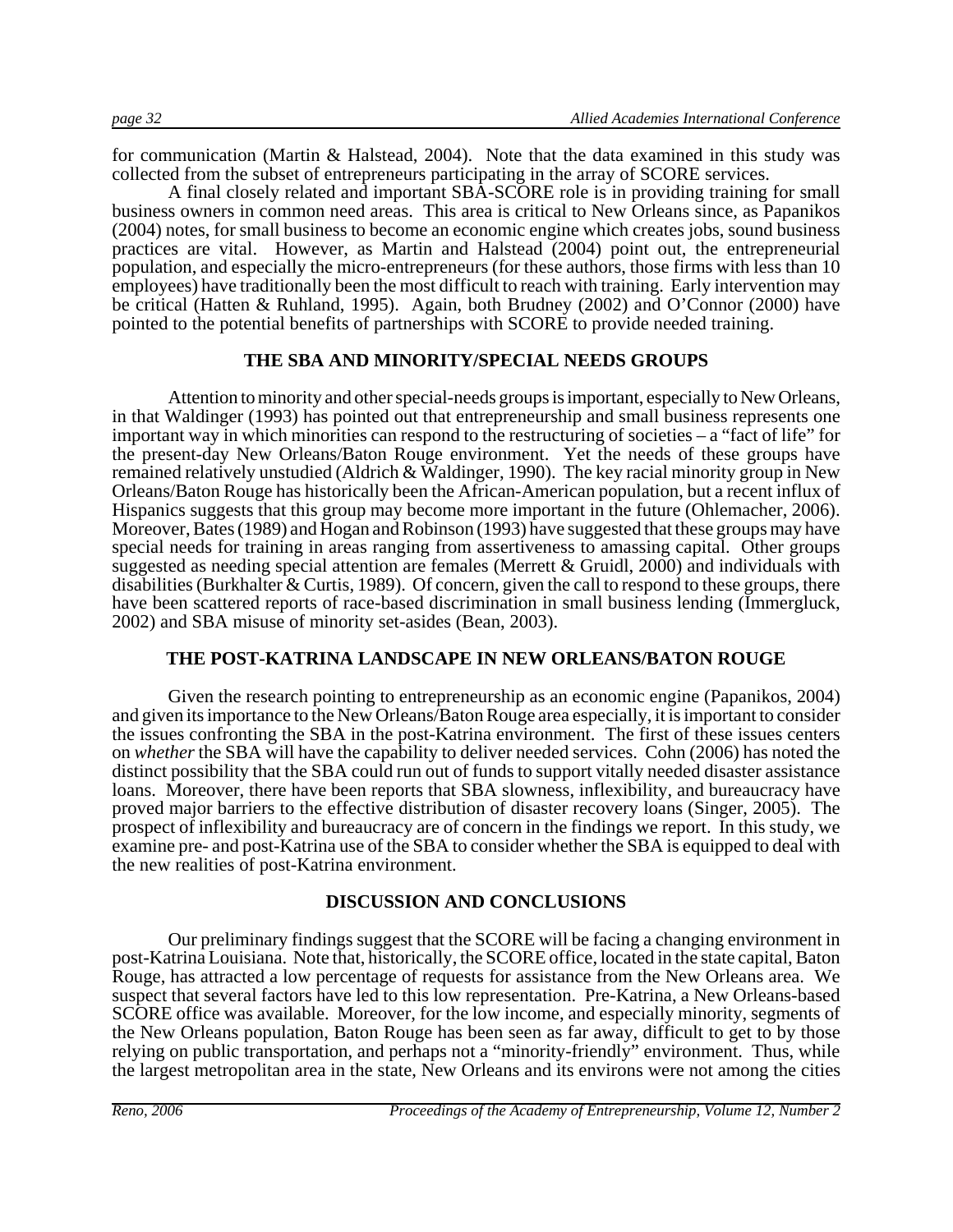for communication (Martin & Halstead, 2004). Note that the data examined in this study was collected from the subset of entrepreneurs participating in the array of SCORE services.

A final closely related and important SBA-SCORE role is in providing training for small business owners in common need areas. This area is critical to New Orleans since, as Papanikos (2004) notes, for small business to become an economic engine which creates jobs, sound business practices are vital. However, as Martin and Halstead (2004) point out, the entrepreneurial population, and especially the micro-entrepreneurs (for these authors, those firms with less than 10 employees) have traditionally been the most difficult to reach with training. Early intervention may be critical (Hatten & Ruhland, 1995). Again, both Brudney (2002) and O'Connor (2000) have pointed to the potential benefits of partnerships with SCORE to provide needed training.

#### **THE SBA AND MINORITY/SPECIAL NEEDS GROUPS**

Attention to minority and other special-needs groups is important, especially to New Orleans, in that Waldinger (1993) has pointed out that entrepreneurship and small business represents one important way in which minorities can respond to the restructuring of societies – a "fact of life" for the present-day New Orleans/Baton Rouge environment. Yet the needs of these groups have remained relatively unstudied (Aldrich & Waldinger, 1990). The key racial minority group in New Orleans/Baton Rouge has historically been the African-American population, but a recent influx of Hispanics suggests that this group may become more important in the future (Ohlemacher, 2006). Moreover, Bates (1989) and Hogan and Robinson (1993) have suggested that these groups may have special needs for training in areas ranging from assertiveness to amassing capital. Other groups suggested as needing special attention are females (Merrett & Gruidl, 2000) and individuals with disabilities (Burkhalter & Curtis, 1989). Of concern, given the call to respond to these groups, there have been scattered reports of race-based discrimination in small business lending (Immergluck, 2002) and SBA misuse of minority set-asides (Bean, 2003).

#### **THE POST-KATRINA LANDSCAPE IN NEW ORLEANS/BATON ROUGE**

Given the research pointing to entrepreneurship as an economic engine (Papanikos, 2004) and given its importance to the New Orleans/Baton Rouge area especially, it is important to consider the issues confronting the SBA in the post-Katrina environment. The first of these issues centers on *whether* the SBA will have the capability to deliver needed services. Cohn (2006) has noted the distinct possibility that the SBA could run out of funds to support vitally needed disaster assistance loans. Moreover, there have been reports that SBA slowness, inflexibility, and bureaucracy have proved major barriers to the effective distribution of disaster recovery loans (Singer, 2005). The prospect of inflexibility and bureaucracy are of concern in the findings we report. In this study, we examine pre- and post-Katrina use of the SBA to consider whether the SBA is equipped to deal with the new realities of post-Katrina environment.

#### **DISCUSSION AND CONCLUSIONS**

Our preliminary findings suggest that the SCORE will be facing a changing environment in post-Katrina Louisiana. Note that, historically, the SCORE office, located in the state capital, Baton Rouge, has attracted a low percentage of requests for assistance from the New Orleans area. We suspect that several factors have led to this low representation. Pre-Katrina, a New Orleans-based SCORE office was available. Moreover, for the low income, and especially minority, segments of the New Orleans population, Baton Rouge has been seen as far away, difficult to get to by those relying on public transportation, and perhaps not a "minority-friendly" environment. Thus, while the largest metropolitan area in the state, New Orleans and its environs were not among the cities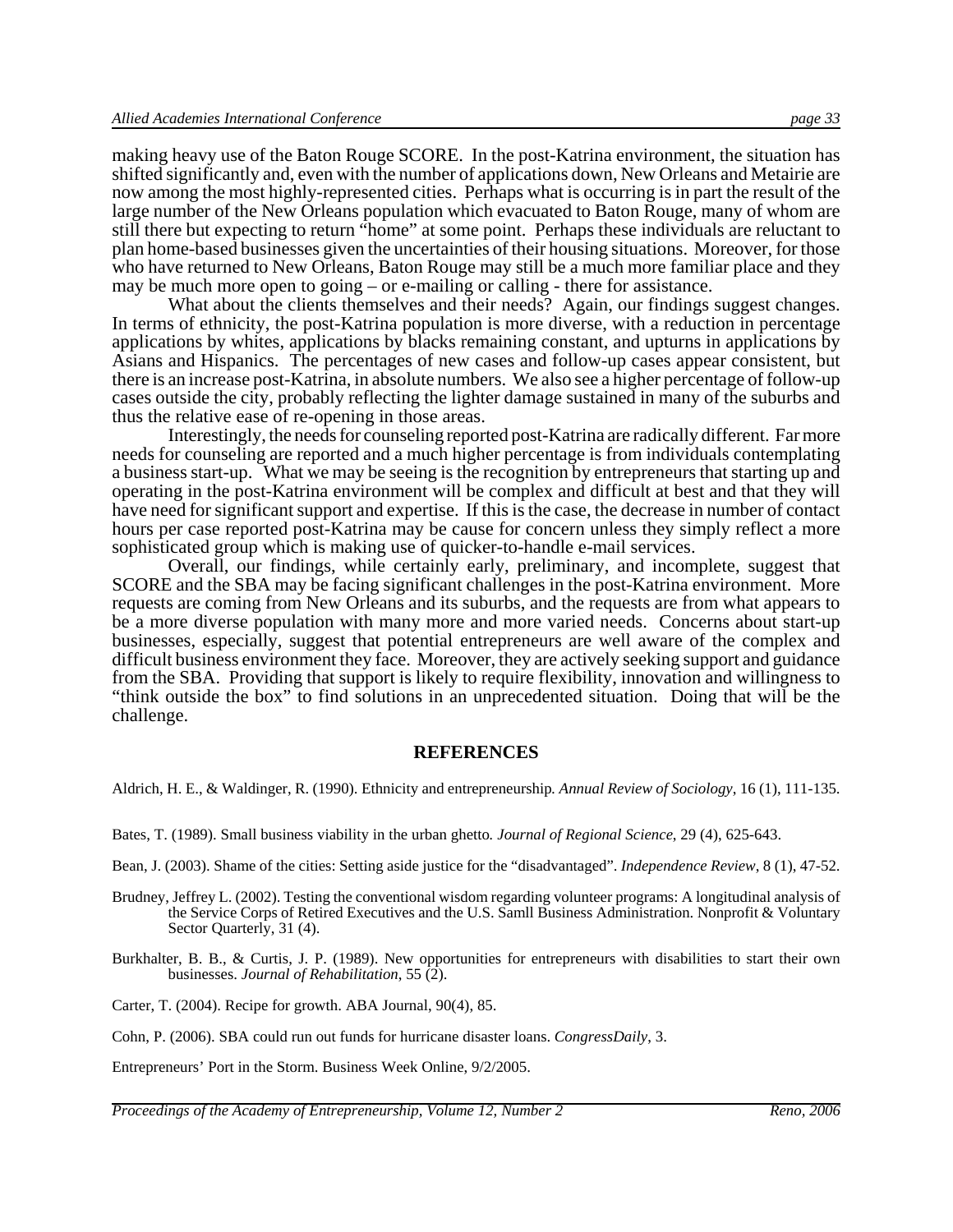making heavy use of the Baton Rouge SCORE. In the post-Katrina environment, the situation has shifted significantly and, even with the number of applications down, New Orleans and Metairie are now among the most highly-represented cities. Perhaps what is occurring is in part the result of the large number of the New Orleans population which evacuated to Baton Rouge, many of whom are still there but expecting to return "home" at some point. Perhaps these individuals are reluctant to plan home-based businesses given the uncertainties of their housing situations. Moreover, for those who have returned to New Orleans, Baton Rouge may still be a much more familiar place and they may be much more open to going – or e-mailing or calling - there for assistance.

What about the clients themselves and their needs? Again, our findings suggest changes. In terms of ethnicity, the post-Katrina population is more diverse, with a reduction in percentage applications by whites, applications by blacks remaining constant, and upturns in applications by Asians and Hispanics. The percentages of new cases and follow-up cases appear consistent, but there is an increase post-Katrina, in absolute numbers. We also see a higher percentage of follow-up cases outside the city, probably reflecting the lighter damage sustained in many of the suburbs and thus the relative ease of re-opening in those areas.

Interestingly, the needs for counseling reported post-Katrina are radically different. Far more needs for counseling are reported and a much higher percentage is from individuals contemplating a business start-up. What we may be seeing is the recognition by entrepreneurs that starting up and operating in the post-Katrina environment will be complex and difficult at best and that they will have need for significant support and expertise. If this is the case, the decrease in number of contact hours per case reported post-Katrina may be cause for concern unless they simply reflect a more sophisticated group which is making use of quicker-to-handle e-mail services.

Overall, our findings, while certainly early, preliminary, and incomplete, suggest that SCORE and the SBA may be facing significant challenges in the post-Katrina environment. More requests are coming from New Orleans and its suburbs, and the requests are from what appears to be a more diverse population with many more and more varied needs. Concerns about start-up businesses, especially, suggest that potential entrepreneurs are well aware of the complex and difficult business environment they face. Moreover, they are actively seeking support and guidance from the SBA. Providing that support is likely to require flexibility, innovation and willingness to "think outside the box" to find solutions in an unprecedented situation. Doing that will be the challenge.

#### **REFERENCES**

Aldrich, H. E., & Waldinger, R. (1990). Ethnicity and entrepreneurship*. Annual Review of Sociology*, 16 (1), 111-135.

Bates, T. (1989). Small business viability in the urban ghetto*. Journal of Regional Science*, 29 (4), 625-643.

Bean, J. (2003). Shame of the cities: Setting aside justice for the "disadvantaged". *Independence Review*, 8 (1), 47-52.

- Brudney, Jeffrey L. (2002). Testing the conventional wisdom regarding volunteer programs: A longitudinal analysis of the Service Corps of Retired Executives and the U.S. Samll Business Administration. Nonprofit & Voluntary Sector Quarterly, 31 (4).
- Burkhalter, B. B., & Curtis, J. P. (1989). New opportunities for entrepreneurs with disabilities to start their own businesses. *Journal of Rehabilitation*, 55 (2).

Carter, T. (2004). Recipe for growth. ABA Journal, 90(4), 85.

Cohn, P. (2006). SBA could run out funds for hurricane disaster loans. *CongressDaily*, 3.

Entrepreneurs' Port in the Storm. Business Week Online, 9/2/2005.

*Proceedings of the Academy of Entrepreneurship, Volume 12, Number 2* Reno, 2006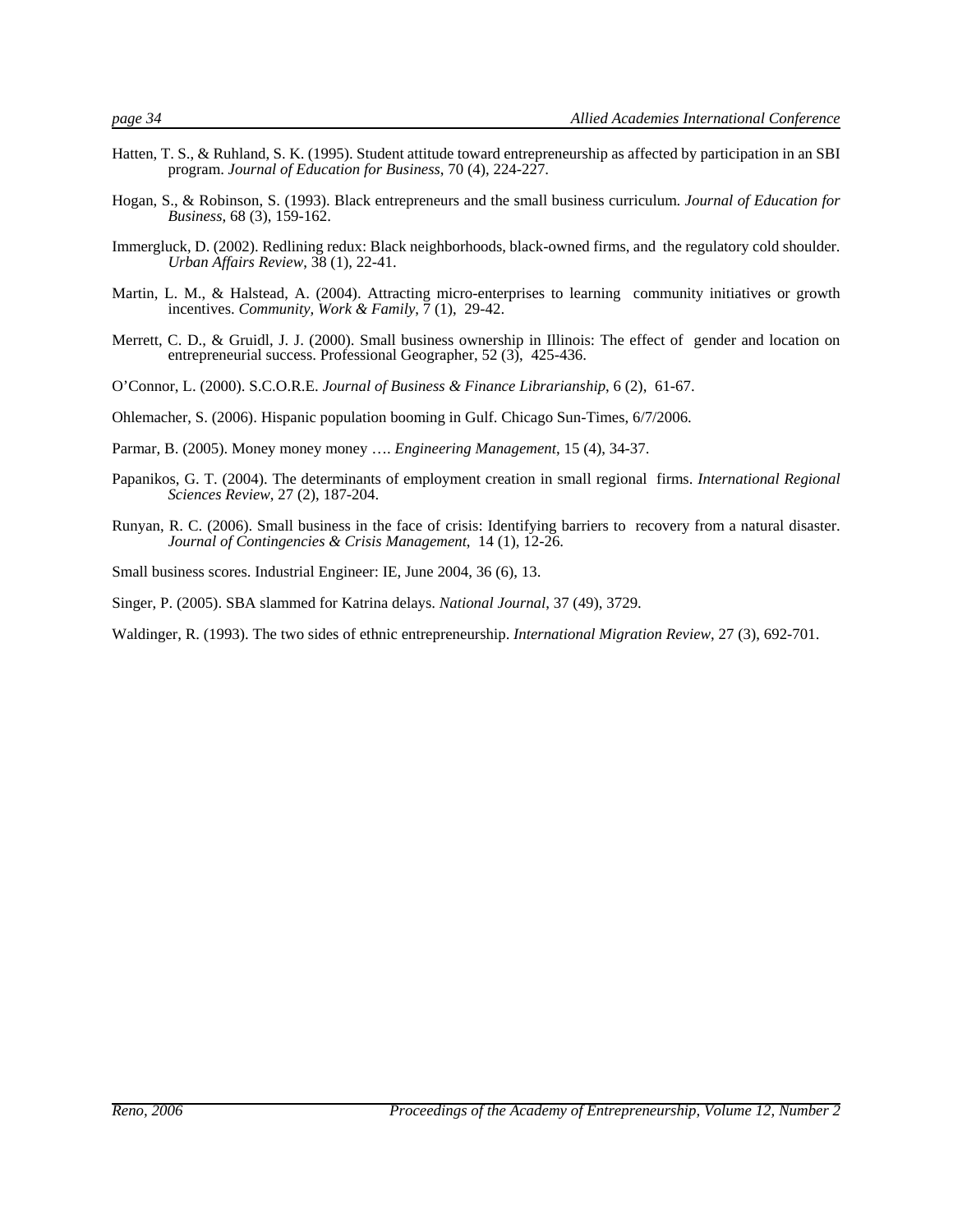- 
- Hatten, T. S., & Ruhland, S. K. (1995). Student attitude toward entrepreneurship as affected by participation in an SBI program. *Journal of Education for Business*, 70 (4), 224-227.
- Hogan, S., & Robinson, S. (1993). Black entrepreneurs and the small business curriculum. *Journal of Education for Business*, 68 (3), 159-162.
- Immergluck, D. (2002). Redlining redux: Black neighborhoods, black-owned firms, and the regulatory cold shoulder. *Urban Affairs Review*, 38 (1), 22-41.
- Martin, L. M., & Halstead, A. (2004). Attracting micro-enterprises to learning community initiatives or growth incentives. *Community, Work & Family*, 7 (1), 29-42.
- Merrett, C. D., & Gruidl, J. J. (2000). Small business ownership in Illinois: The effect of gender and location on entrepreneurial success. Professional Geographer, 52 (3), 425-436.
- O'Connor, L. (2000). S.C.O.R.E. *Journal of Business & Finance Librarianship*, 6 (2), 61-67.
- Ohlemacher, S. (2006). Hispanic population booming in Gulf. Chicago Sun-Times, 6/7/2006.
- Parmar, B. (2005). Money money money …. *Engineering Management*, 15 (4), 34-37.
- Papanikos, G. T. (2004). The determinants of employment creation in small regional firms. *International Regional Sciences Review*, 27 (2), 187-204.
- Runyan, R. C. (2006). Small business in the face of crisis: Identifying barriers to recovery from a natural disaster. *Journal of Contingencies & Crisis Management*, 14 (1), 12-26.

Small business scores. Industrial Engineer: IE, June 2004, 36 (6), 13.

- Singer, P. (2005). SBA slammed for Katrina delays. *National Journal*, 37 (49), 3729.
- Waldinger, R. (1993). The two sides of ethnic entrepreneurship. *International Migration Review*, 27 (3), 692-701.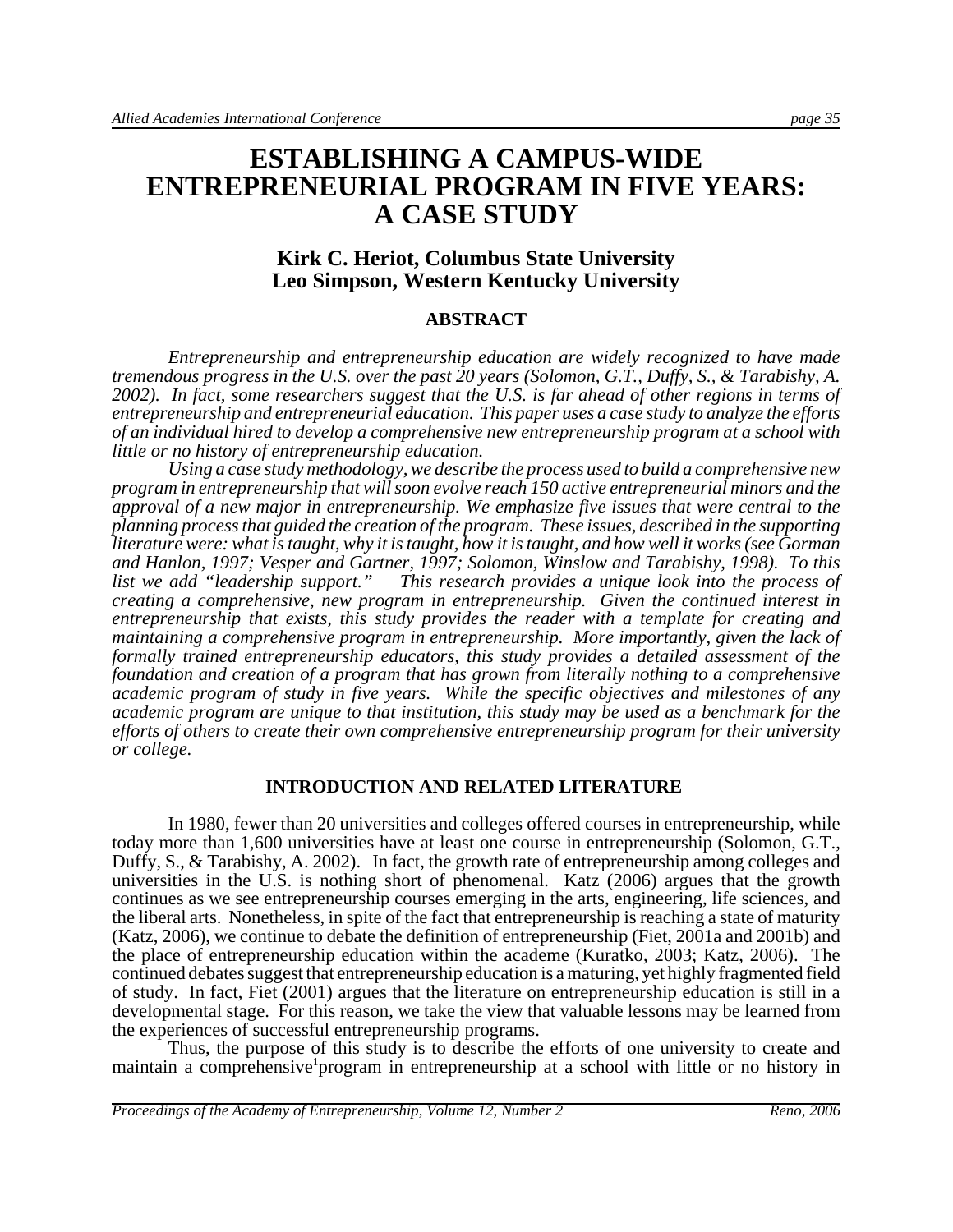# **ESTABLISHING A CAMPUS-WIDE ENTREPRENEURIAL PROGRAM IN FIVE YEARS: A CASE STUDY**

#### **Kirk C. Heriot, Columbus State University Leo Simpson, Western Kentucky University**

#### **ABSTRACT**

*Entrepreneurship and entrepreneurship education are widely recognized to have made tremendous progress in the U.S. over the past 20 years (Solomon, G.T., Duffy, S., & Tarabishy, A. 2002). In fact, some researchers suggest that the U.S. is far ahead of other regions in terms of entrepreneurship and entrepreneurial education. This paper uses a case study to analyze the efforts of an individual hired to develop a comprehensive new entrepreneurship program at a school with little or no history of entrepreneurship education.*

*Using a case study methodology, we describe the process used to build a comprehensive new program in entrepreneurship that will soon evolve reach 150 active entrepreneurial minors and the approval of a new major in entrepreneurship. We emphasize five issues that were central to the planning process that guided the creation of the program. These issues, described in the supporting literature were: what is taught, why it is taught, how it is taught, and how well it works (see Gorman and Hanlon, 1997; Vesper and Gartner, 1997; Solomon, Winslow and Tarabishy, 1998). To this list we add "leadership support." This research provides a unique look into the process of creating a comprehensive, new program in entrepreneurship. Given the continued interest in entrepreneurship that exists, this study provides the reader with a template for creating and maintaining a comprehensive program in entrepreneurship. More importantly, given the lack of formally trained entrepreneurship educators, this study provides a detailed assessment of the foundation and creation of a program that has grown from literally nothing to a comprehensive academic program of study in five years. While the specific objectives and milestones of any academic program are unique to that institution, this study may be used as a benchmark for the efforts of others to create their own comprehensive entrepreneurship program for their university or college.* 

#### **INTRODUCTION AND RELATED LITERATURE**

In 1980, fewer than 20 universities and colleges offered courses in entrepreneurship, while today more than 1,600 universities have at least one course in entrepreneurship (Solomon, G.T., Duffy, S., & Tarabishy, A. 2002).In fact, the growth rate of entrepreneurship among colleges and universities in the U.S. is nothing short of phenomenal. Katz (2006) argues that the growth continues as we see entrepreneurship courses emerging in the arts, engineering, life sciences, and the liberal arts. Nonetheless, in spite of the fact that entrepreneurship is reaching a state of maturity (Katz, 2006), we continue to debate the definition of entrepreneurship (Fiet, 2001a and 2001b) and the place of entrepreneurship education within the academe (Kuratko, 2003; Katz, 2006). The continued debates suggest that entrepreneurship education is a maturing, yet highly fragmented field of study. In fact, Fiet (2001) argues that the literature on entrepreneurship education is still in a developmental stage. For this reason, we take the view that valuable lessons may be learned from the experiences of successful entrepreneurship programs.

Thus, the purpose of this study is to describe the efforts of one university to create and maintain a comprehensive program in entrepreneurship at a school with little or no history in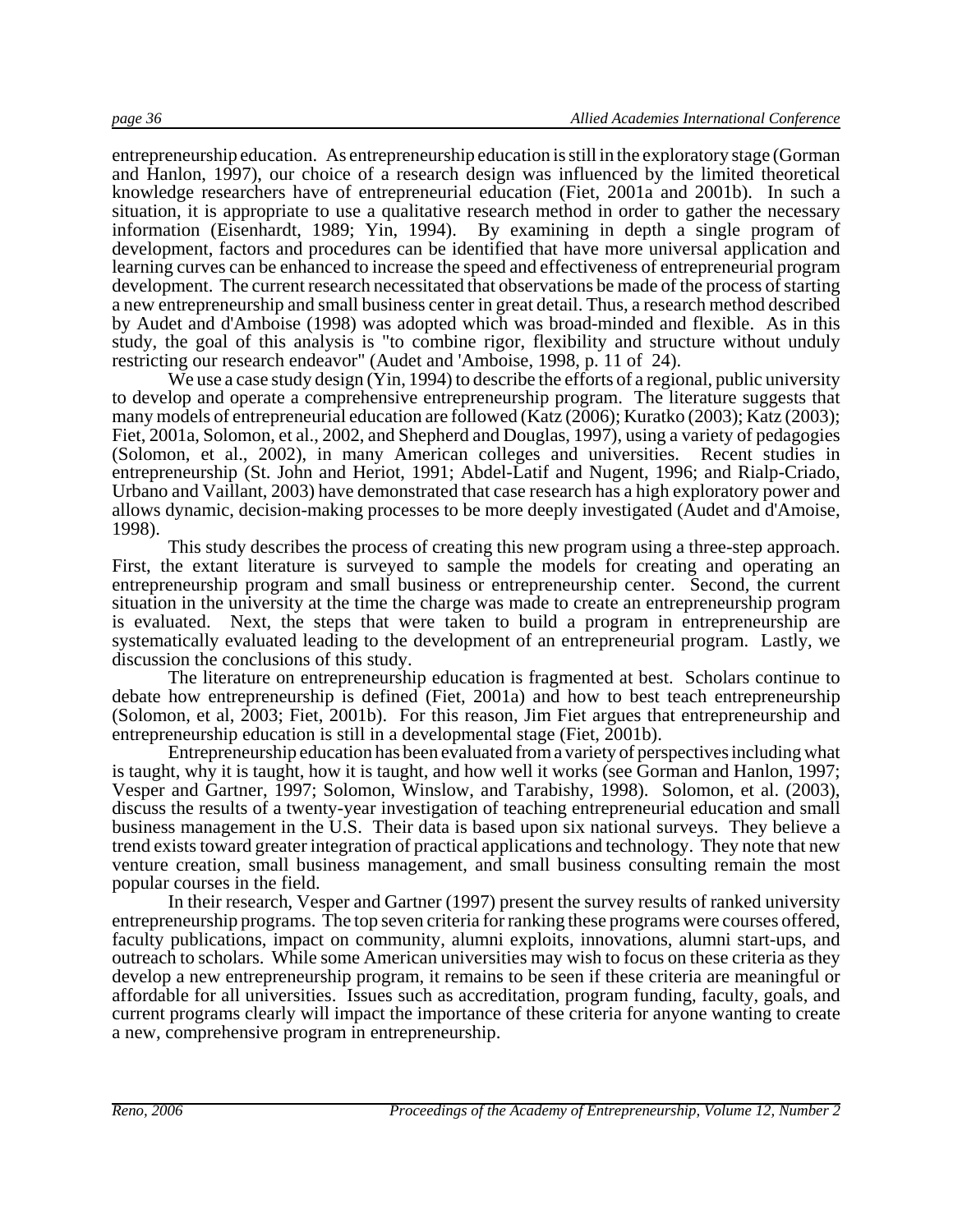entrepreneurship education. As entrepreneurship education is still in the exploratory stage (Gorman and Hanlon, 1997), our choice of a research design was influenced by the limited theoretical knowledge researchers have of entrepreneurial education (Fiet, 2001a and 2001b). In such a situation, it is appropriate to use a qualitative research method in order to gather the necessary information (Eisenhardt, 1989; Yin, 1994). By examining in depth a single program of development, factors and procedures can be identified that have more universal application and learning curves can be enhanced to increase the speed and effectiveness of entrepreneurial program development. The current research necessitated that observations be made of the process of starting a new entrepreneurship and small business center in great detail. Thus, a research method described by Audet and d'Amboise (1998) was adopted which was broad-minded and flexible. As in this study, the goal of this analysis is "to combine rigor, flexibility and structure without unduly restricting our research endeavor" (Audet and 'Amboise, 1998, p. 11 of 24).

We use a case study design (Yin, 1994) to describe the efforts of a regional, public university to develop and operate a comprehensive entrepreneurship program. The literature suggests that many models of entrepreneurial education are followed (Katz (2006); Kuratko (2003); Katz (2003); Fiet, 2001a, Solomon, et al., 2002, and Shepherd and Douglas, 1997), using a variety of pedagogies (Solomon, et al., 2002), in many American colleges and universities. Recent studies in entrepreneurship (St. John and Heriot, 1991; Abdel-Latif and Nugent, 1996; and Rialp-Criado, Urbano and Vaillant, 2003) have demonstrated that case research has a high exploratory power and allows dynamic, decision-making processes to be more deeply investigated (Audet and d'Amoise, 1998).

This study describes the process of creating this new program using a three-step approach. First, the extant literature is surveyed to sample the models for creating and operating an entrepreneurship program and small business or entrepreneurship center. Second, the current situation in the university at the time the charge was made to create an entrepreneurship program is evaluated. Next, the steps that were taken to build a program in entrepreneurship are systematically evaluated leading to the development of an entrepreneurial program. Lastly, we discussion the conclusions of this study.

The literature on entrepreneurship education is fragmented at best. Scholars continue to debate how entrepreneurship is defined (Fiet, 2001a) and how to best teach entrepreneurship (Solomon, et al, 2003; Fiet, 2001b). For this reason, Jim Fiet argues that entrepreneurship and entrepreneurship education is still in a developmental stage (Fiet, 2001b).

Entrepreneurship education has been evaluated from a variety of perspectives including what is taught, why it is taught, how it is taught, and how well it works (see Gorman and Hanlon, 1997; Vesper and Gartner, 1997; Solomon, Winslow, and Tarabishy, 1998). Solomon, et al. (2003), discuss the results of a twenty-year investigation of teaching entrepreneurial education and small business management in the U.S. Their data is based upon six national surveys. They believe a trend exists toward greater integration of practical applications and technology. They note that new venture creation, small business management, and small business consulting remain the most popular courses in the field.

In their research, Vesper and Gartner (1997) present the survey results of ranked university entrepreneurship programs. The top seven criteria for ranking these programs were courses offered, faculty publications, impact on community, alumni exploits, innovations, alumni start-ups, and outreach to scholars. While some American universities may wish to focus on these criteria as they develop a new entrepreneurship program, it remains to be seen if these criteria are meaningful or affordable for all universities. Issues such as accreditation, program funding, faculty, goals, and current programs clearly will impact the importance of these criteria for anyone wanting to create a new, comprehensive program in entrepreneurship.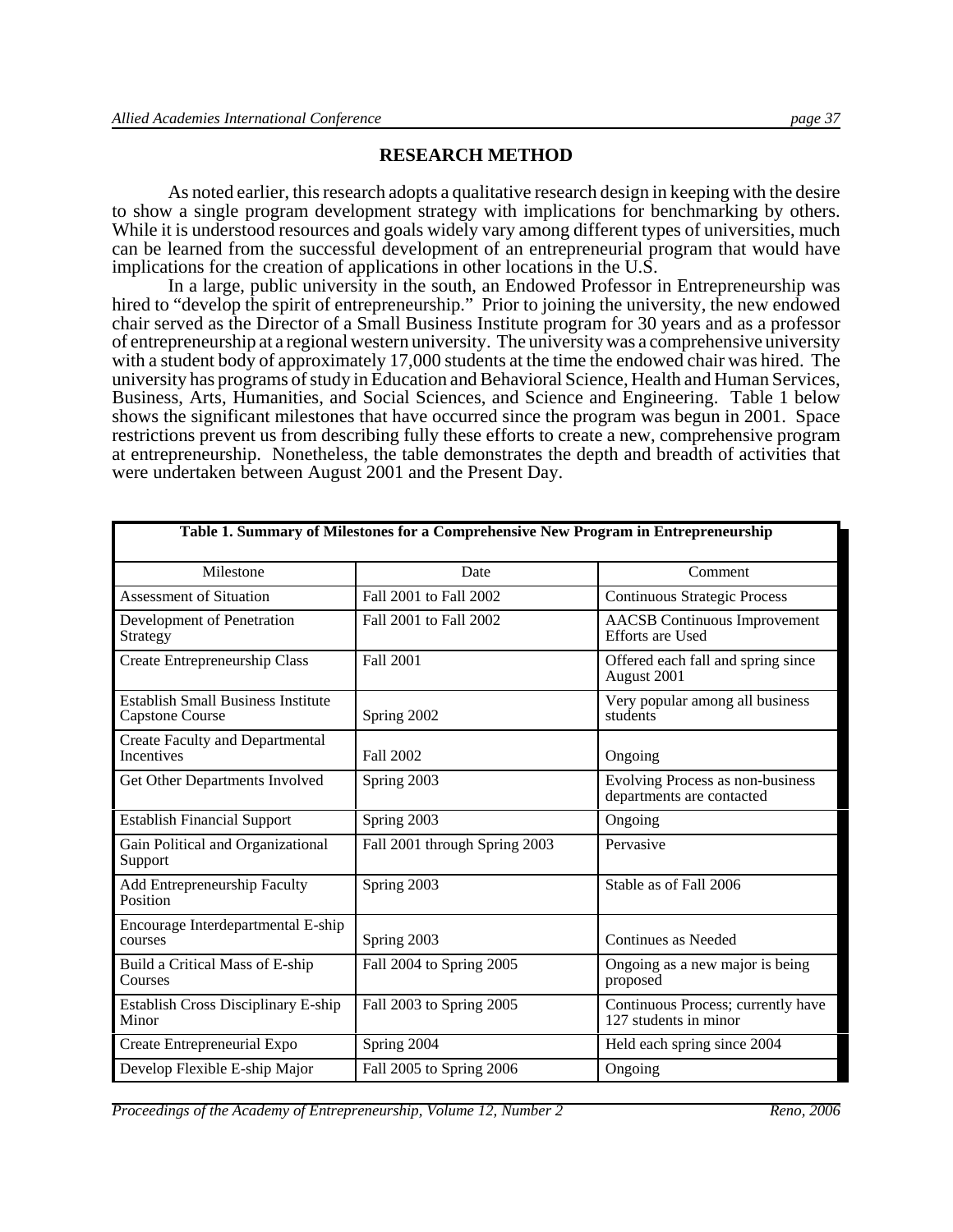#### **RESEARCH METHOD**

As noted earlier, this research adopts a qualitative research design in keeping with the desire to show a single program development strategy with implications for benchmarking by others. While it is understood resources and goals widely vary among different types of universities, much can be learned from the successful development of an entrepreneurial program that would have implications for the creation of applications in other locations in the U.S.

In a large, public university in the south, an Endowed Professor in Entrepreneurship was hired to "develop the spirit of entrepreneurship." Prior to joining the university, the new endowed chair served as the Director of a Small Business Institute program for 30 years and as a professor of entrepreneurship at a regional western university. The university was a comprehensive university with a student body of approximately 17,000 students at the time the endowed chair was hired. The university has programs of study in Education and Behavioral Science, Health and Human Services, Business, Arts, Humanities, and Social Sciences, and Science and Engineering. Table 1 below shows the significant milestones that have occurred since the program was begun in 2001. Space restrictions prevent us from describing fully these efforts to create a new, comprehensive program at entrepreneurship. Nonetheless, the table demonstrates the depth and breadth of activities that were undertaken between August 2001 and the Present Day.

| Table 1. Summary of Milestones for a Comprehensive New Program in Entrepreneurship |                               |                                                                |  |  |
|------------------------------------------------------------------------------------|-------------------------------|----------------------------------------------------------------|--|--|
| Milestone                                                                          | Date<br>Comment               |                                                                |  |  |
| <b>Assessment of Situation</b>                                                     | Fall 2001 to Fall 2002        | <b>Continuous Strategic Process</b>                            |  |  |
| Development of Penetration<br>Strategy                                             | Fall 2001 to Fall 2002        | <b>AACSB</b> Continuous Improvement<br><b>Efforts</b> are Used |  |  |
| Create Entrepreneurship Class                                                      | <b>Fall 2001</b>              | Offered each fall and spring since<br>August 2001              |  |  |
| <b>Establish Small Business Institute</b><br><b>Capstone Course</b>                | Spring 2002                   | Very popular among all business<br>students                    |  |  |
| <b>Create Faculty and Departmental</b><br><b>Incentives</b>                        | Fall 2002                     | Ongoing                                                        |  |  |
| Get Other Departments Involved                                                     | Spring 2003                   | Evolving Process as non-business<br>departments are contacted  |  |  |
| <b>Establish Financial Support</b>                                                 | Spring 2003                   | Ongoing                                                        |  |  |
| Gain Political and Organizational<br>Support                                       | Fall 2001 through Spring 2003 | Pervasive                                                      |  |  |
| Add Entrepreneurship Faculty<br>Position                                           | Spring 2003                   | Stable as of Fall 2006                                         |  |  |
| Encourage Interdepartmental E-ship<br>courses                                      | Spring 2003                   | Continues as Needed                                            |  |  |
| Build a Critical Mass of E-ship<br>Courses                                         | Fall 2004 to Spring 2005      | Ongoing as a new major is being<br>proposed                    |  |  |
| Establish Cross Disciplinary E-ship<br>Minor                                       | Fall 2003 to Spring 2005      | Continuous Process; currently have<br>127 students in minor    |  |  |
| Create Entrepreneurial Expo                                                        | Spring 2004                   | Held each spring since 2004                                    |  |  |
| Develop Flexible E-ship Major                                                      | Fall 2005 to Spring 2006      | Ongoing                                                        |  |  |

*Proceedings of the Academy of Entrepreneurship, Volume 12, Number 2 Reno, 2006*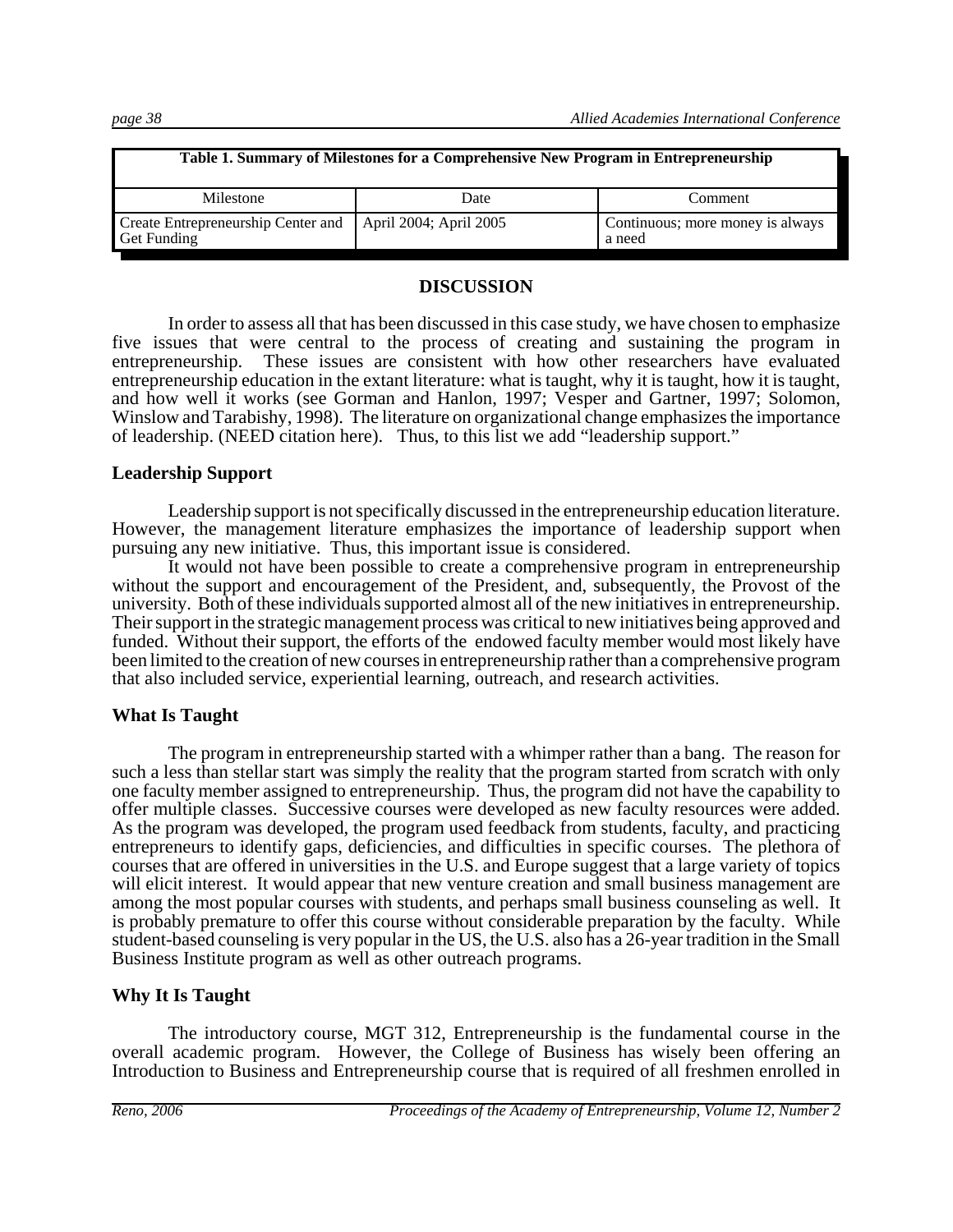| Table 1. Summary of Milestones for a Comprehensive New Program in Entrepreneurship |                        |                                            |  |  |
|------------------------------------------------------------------------------------|------------------------|--------------------------------------------|--|--|
| Milestone                                                                          | Date                   | Comment                                    |  |  |
| Create Entrepreneurship Center and<br><b>Get Funding</b>                           | April 2004; April 2005 | Continuous; more money is always<br>a need |  |  |

#### **DISCUSSION**

In order to assess all that has been discussed in this case study, we have chosen to emphasize five issues that were central to the process of creating and sustaining the program in entrepreneurship. These issues are consistent with how other researchers have evaluated entrepreneurship education in the extant literature: what is taught, why it is taught, how it is taught, and how well it works (see Gorman and Hanlon, 1997; Vesper and Gartner, 1997; Solomon, Winslow and Tarabishy, 1998). The literature on organizational change emphasizes the importance of leadership. (NEED citation here). Thus, to this list we add "leadership support."

#### **Leadership Support**

Leadership support is not specifically discussed in the entrepreneurship education literature. However, the management literature emphasizes the importance of leadership support when pursuing any new initiative. Thus, this important issue is considered.

It would not have been possible to create a comprehensive program in entrepreneurship without the support and encouragement of the President, and, subsequently, the Provost of the university. Both of these individuals supported almost all of the new initiatives in entrepreneurship. Their support in the strategic management process was critical to new initiatives being approved and funded. Without their support, the efforts of the endowed faculty member would most likely have been limited to the creation of new courses in entrepreneurship rather than a comprehensive program that also included service, experiential learning, outreach, and research activities.

#### **What Is Taught**

The program in entrepreneurship started with a whimper rather than a bang. The reason for such a less than stellar start was simply the reality that the program started from scratch with only one faculty member assigned to entrepreneurship. Thus, the program did not have the capability to offer multiple classes. Successive courses were developed as new faculty resources were added. As the program was developed, the program used feedback from students, faculty, and practicing entrepreneurs to identify gaps, deficiencies, and difficulties in specific courses. The plethora of courses that are offered in universities in the U.S. and Europe suggest that a large variety of topics will elicit interest. It would appear that new venture creation and small business management are among the most popular courses with students, and perhaps small business counseling as well. It is probably premature to offer this course without considerable preparation by the faculty. While student-based counseling is very popular in the US, the U.S. also has a 26-year tradition in the Small Business Institute program as well as other outreach programs.

#### **Why It Is Taught**

The introductory course, MGT 312, Entrepreneurship is the fundamental course in the overall academic program. However, the College of Business has wisely been offering an Introduction to Business and Entrepreneurship course that is required of all freshmen enrolled in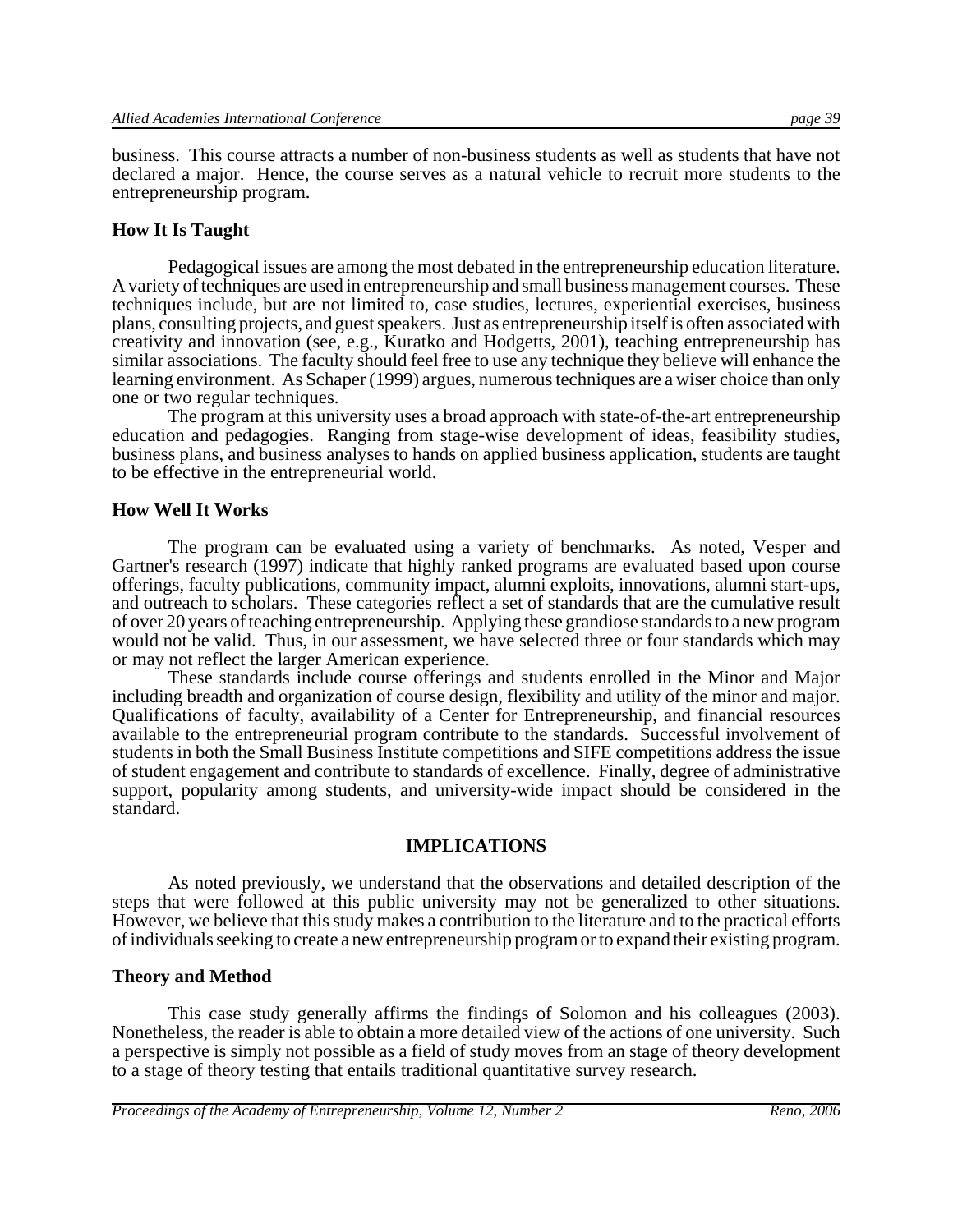business. This course attracts a number of non-business students as well as students that have not declared a major. Hence, the course serves as a natural vehicle to recruit more students to the entrepreneurship program.

#### **How It Is Taught**

Pedagogical issues are among the most debated in the entrepreneurship education literature. A variety of techniques are used in entrepreneurship and small business management courses. These techniques include, but are not limited to, case studies, lectures, experiential exercises, business plans, consulting projects, and guest speakers. Just as entrepreneurship itself is often associated with creativity and innovation (see, e.g., Kuratko and Hodgetts, 2001), teaching entrepreneurship has similar associations. The faculty should feel free to use any technique they believe will enhance the learning environment. As Schaper (1999) argues, numerous techniques are a wiser choice than only one or two regular techniques.

The program at this university uses a broad approach with state-of-the-art entrepreneurship education and pedagogies. Ranging from stage-wise development of ideas, feasibility studies, business plans, and business analyses to hands on applied business application, students are taught to be effective in the entrepreneurial world.

#### **How Well It Works**

The program can be evaluated using a variety of benchmarks. As noted, Vesper and Gartner's research (1997) indicate that highly ranked programs are evaluated based upon course offerings, faculty publications, community impact, alumni exploits, innovations, alumni start-ups, and outreach to scholars. These categories reflect a set of standards that are the cumulative result of over 20 years of teaching entrepreneurship. Applying these grandiose standards to a new program would not be valid. Thus, in our assessment, we have selected three or four standards which may or may not reflect the larger American experience.

These standards include course offerings and students enrolled in the Minor and Major including breadth and organization of course design, flexibility and utility of the minor and major. Qualifications of faculty, availability of a Center for Entrepreneurship, and financial resources available to the entrepreneurial program contribute to the standards. Successful involvement of students in both the Small Business Institute competitions and SIFE competitions address the issue of student engagement and contribute to standards of excellence. Finally, degree of administrative support, popularity among students, and university-wide impact should be considered in the standard.

#### **IMPLICATIONS**

As noted previously, we understand that the observations and detailed description of the steps that were followed at this public university may not be generalized to other situations. However, we believe that this study makes a contribution to the literature and to the practical efforts of individuals seeking to create a new entrepreneurship program or to expand their existing program.

#### **Theory and Method**

This case study generally affirms the findings of Solomon and his colleagues (2003). Nonetheless, the reader is able to obtain a more detailed view of the actions of one university. Such a perspective is simply not possible as a field of study moves from an stage of theory development to a stage of theory testing that entails traditional quantitative survey research.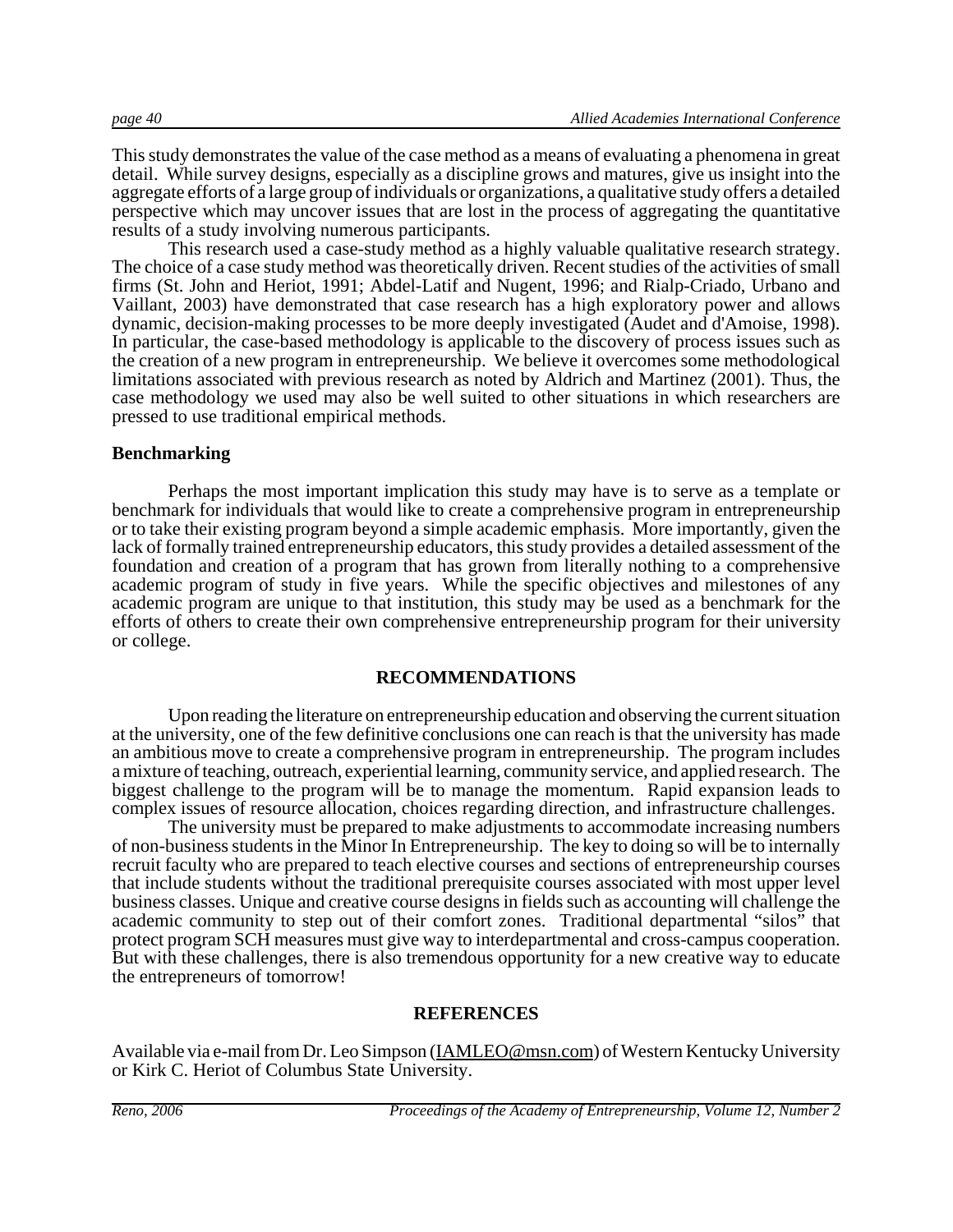This study demonstrates the value of the case method as a means of evaluating a phenomena in great detail. While survey designs, especially as a discipline grows and matures, give us insight into the aggregate efforts of a large group of individuals or organizations, a qualitative study offers a detailed perspective which may uncover issues that are lost in the process of aggregating the quantitative results of a study involving numerous participants.

This research used a case-study method as a highly valuable qualitative research strategy. The choice of a case study method was theoretically driven. Recent studies of the activities of small firms (St. John and Heriot, 1991; Abdel-Latif and Nugent, 1996; and Rialp-Criado, Urbano and Vaillant, 2003) have demonstrated that case research has a high exploratory power and allows dynamic, decision-making processes to be more deeply investigated (Audet and d'Amoise, 1998). In particular, the case-based methodology is applicable to the discovery of process issues such as the creation of a new program in entrepreneurship. We believe it overcomes some methodological limitations associated with previous research as noted by Aldrich and Martinez (2001). Thus, the case methodology we used may also be well suited to other situations in which researchers are pressed to use traditional empirical methods.

#### **Benchmarking**

Perhaps the most important implication this study may have is to serve as a template or benchmark for individuals that would like to create a comprehensive program in entrepreneurship or to take their existing program beyond a simple academic emphasis. More importantly, given the lack of formally trained entrepreneurship educators, this study provides a detailed assessment of the foundation and creation of a program that has grown from literally nothing to a comprehensive academic program of study in five years. While the specific objectives and milestones of any academic program are unique to that institution, this study may be used as a benchmark for the efforts of others to create their own comprehensive entrepreneurship program for their university or college.

#### **RECOMMENDATIONS**

Upon reading the literature on entrepreneurship education and observing the current situation at the university, one of the few definitive conclusions one can reach is that the university has made an ambitious move to create a comprehensive program in entrepreneurship. The program includes a mixture of teaching, outreach, experiential learning, community service, and applied research. The biggest challenge to the program will be to manage the momentum. Rapid expansion leads to complex issues of resource allocation, choices regarding direction, and infrastructure challenges.

The university must be prepared to make adjustments to accommodate increasing numbers of non-business students in the Minor In Entrepreneurship. The key to doing so will be to internally recruit faculty who are prepared to teach elective courses and sections of entrepreneurship courses that include students without the traditional prerequisite courses associated with most upper level business classes. Unique and creative course designs in fields such as accounting will challenge the academic community to step out of their comfort zones. Traditional departmental "silos" that protect program SCH measures must give way to interdepartmental and cross-campus cooperation. But with these challenges, there is also tremendous opportunity for a new creative way to educate the entrepreneurs of tomorrow!

#### **REFERENCES**

Available via e-mail from Dr. Leo Simpson (IAMLEO@msn.com) of Western Kentucky University or Kirk C. Heriot of Columbus State University.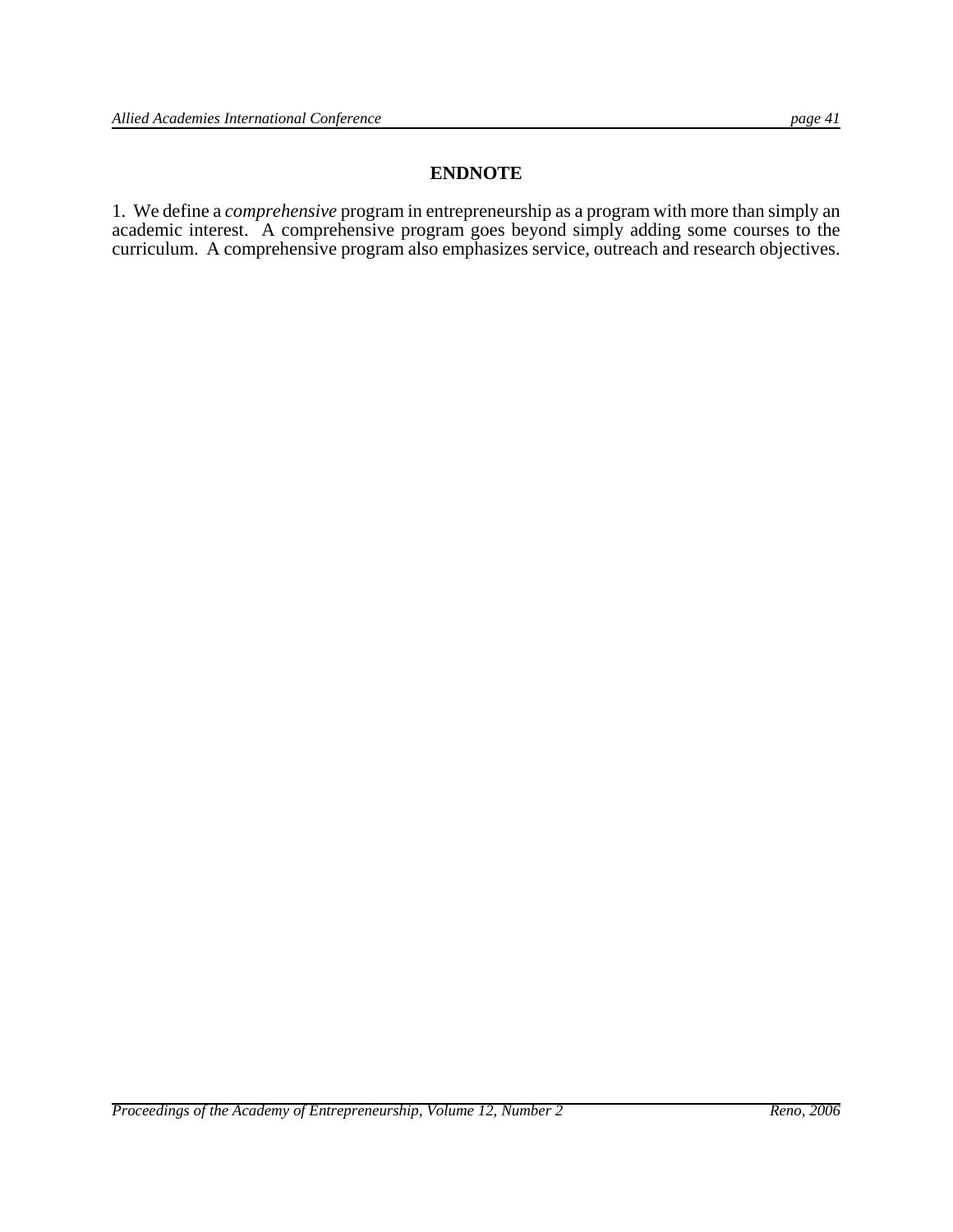#### **ENDNOTE**

1. We define a *comprehensive* program in entrepreneurship as a program with more than simply an academic interest. A comprehensive program goes beyond simply adding some courses to the curriculum. A comprehensive program also emphasizes service, outreach and research objectives.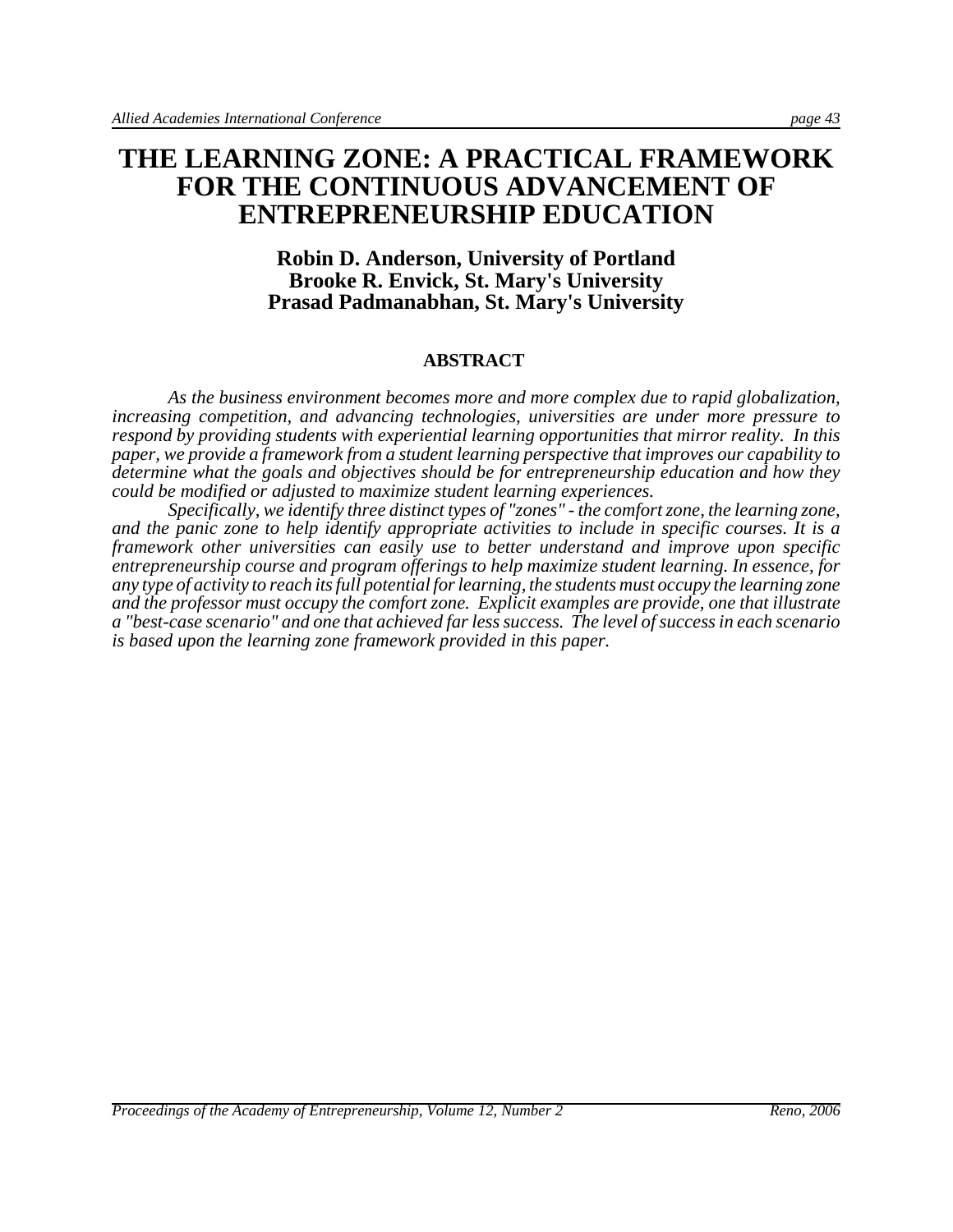# **THE LEARNING ZONE: A PRACTICAL FRAMEWORK FOR THE CONTINUOUS ADVANCEMENT OF ENTREPRENEURSHIP EDUCATION**

#### **Robin D. Anderson, University of Portland Brooke R. Envick, St. Mary's University Prasad Padmanabhan, St. Mary's University**

#### **ABSTRACT**

*As the business environment becomes more and more complex due to rapid globalization, increasing competition, and advancing technologies, universities are under more pressure to respond by providing students with experiential learning opportunities that mirror reality. In this paper, we provide a framework from a student learning perspective that improves our capability to determine what the goals and objectives should be for entrepreneurship education and how they could be modified or adjusted to maximize student learning experiences.* 

*Specifically, we identify three distinct types of "zones" - the comfort zone, the learning zone, and the panic zone to help identify appropriate activities to include in specific courses. It is a framework other universities can easily use to better understand and improve upon specific entrepreneurship course and program offerings to help maximize student learning. In essence, for any type of activity to reach its full potential for learning, the students must occupy the learning zone and the professor must occupy the comfort zone. Explicit examples are provide, one that illustrate a "best-case scenario" and one that achieved far less success. The level of success in each scenario is based upon the learning zone framework provided in this paper.*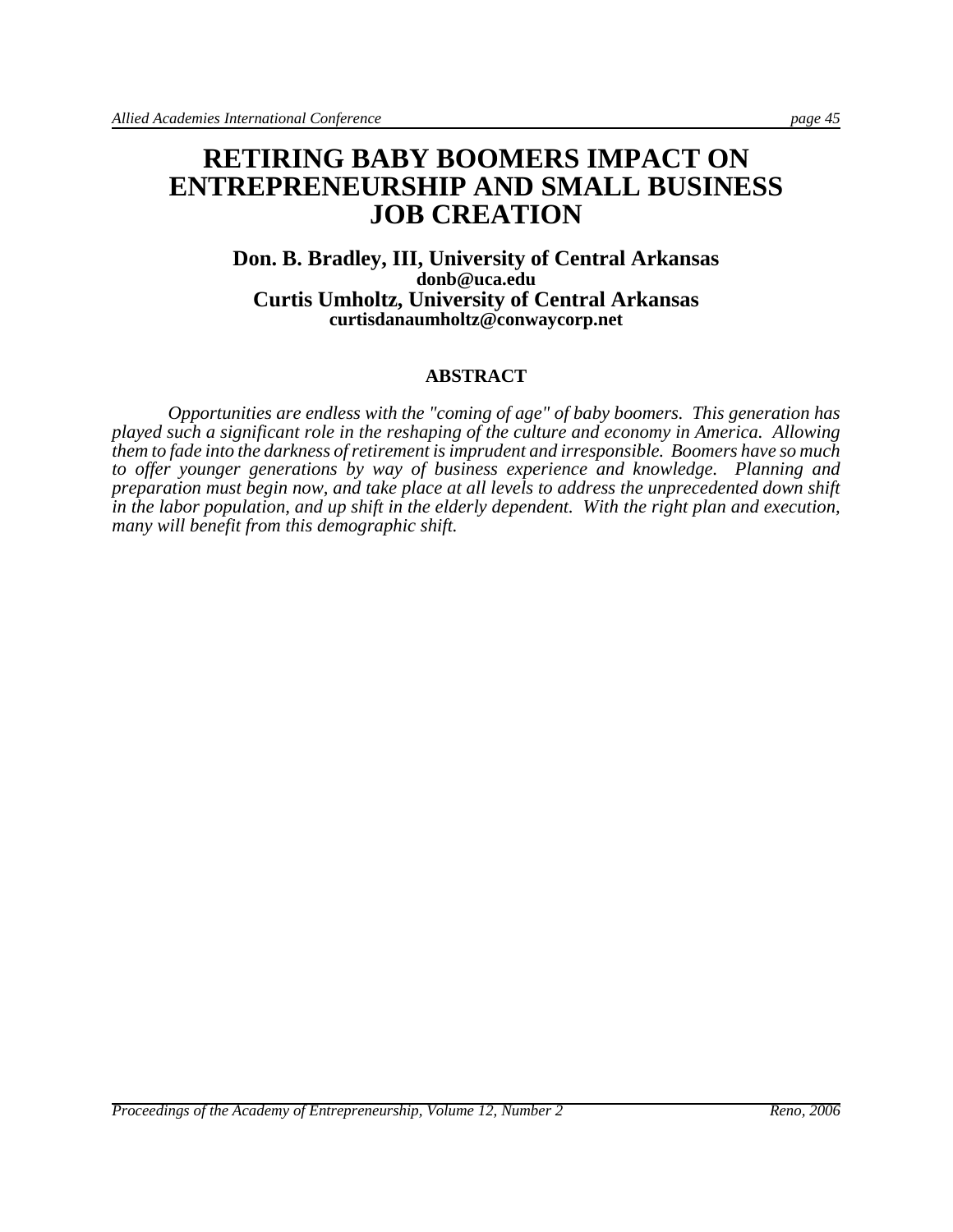# **RETIRING BABY BOOMERS IMPACT ON ENTREPRENEURSHIP AND SMALL BUSINESS JOB CREATION**

#### **Don. B. Bradley, III, University of Central Arkansas donb@uca.edu Curtis Umholtz, University of Central Arkansas curtisdanaumholtz@conwaycorp.net**

#### **ABSTRACT**

*Opportunities are endless with the "coming of age" of baby boomers. This generation has played such a significant role in the reshaping of the culture and economy in America. Allowing them to fade into the darkness of retirement is imprudent and irresponsible. Boomers have so much to offer younger generations by way of business experience and knowledge. Planning and preparation must begin now, and take place at all levels to address the unprecedented down shift in the labor population, and up shift in the elderly dependent. With the right plan and execution, many will benefit from this demographic shift.*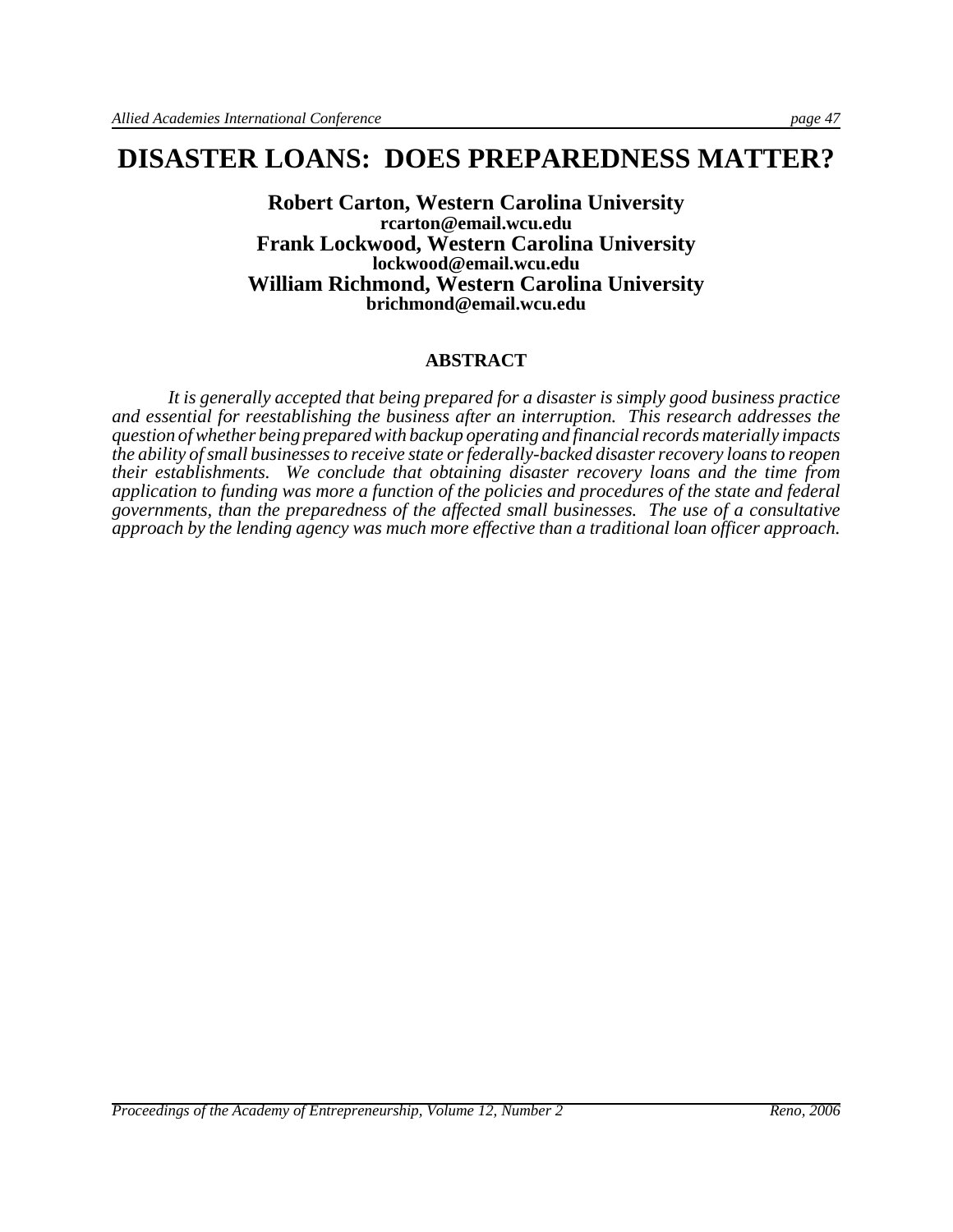# **DISASTER LOANS: DOES PREPAREDNESS MATTER?**

**Robert Carton, Western Carolina University rcarton@email.wcu.edu Frank Lockwood, Western Carolina University lockwood@email.wcu.edu William Richmond, Western Carolina University brichmond@email.wcu.edu**

#### **ABSTRACT**

*It is generally accepted that being prepared for a disaster is simply good business practice and essential for reestablishing the business after an interruption. This research addresses the question of whether being prepared with backup operating and financial records materially impacts the ability of small businesses to receive state or federally-backed disaster recovery loans to reopen their establishments. We conclude that obtaining disaster recovery loans and the time from application to funding was more a function of the policies and procedures of the state and federal governments, than the preparedness of the affected small businesses. The use of a consultative approach by the lending agency was much more effective than a traditional loan officer approach.*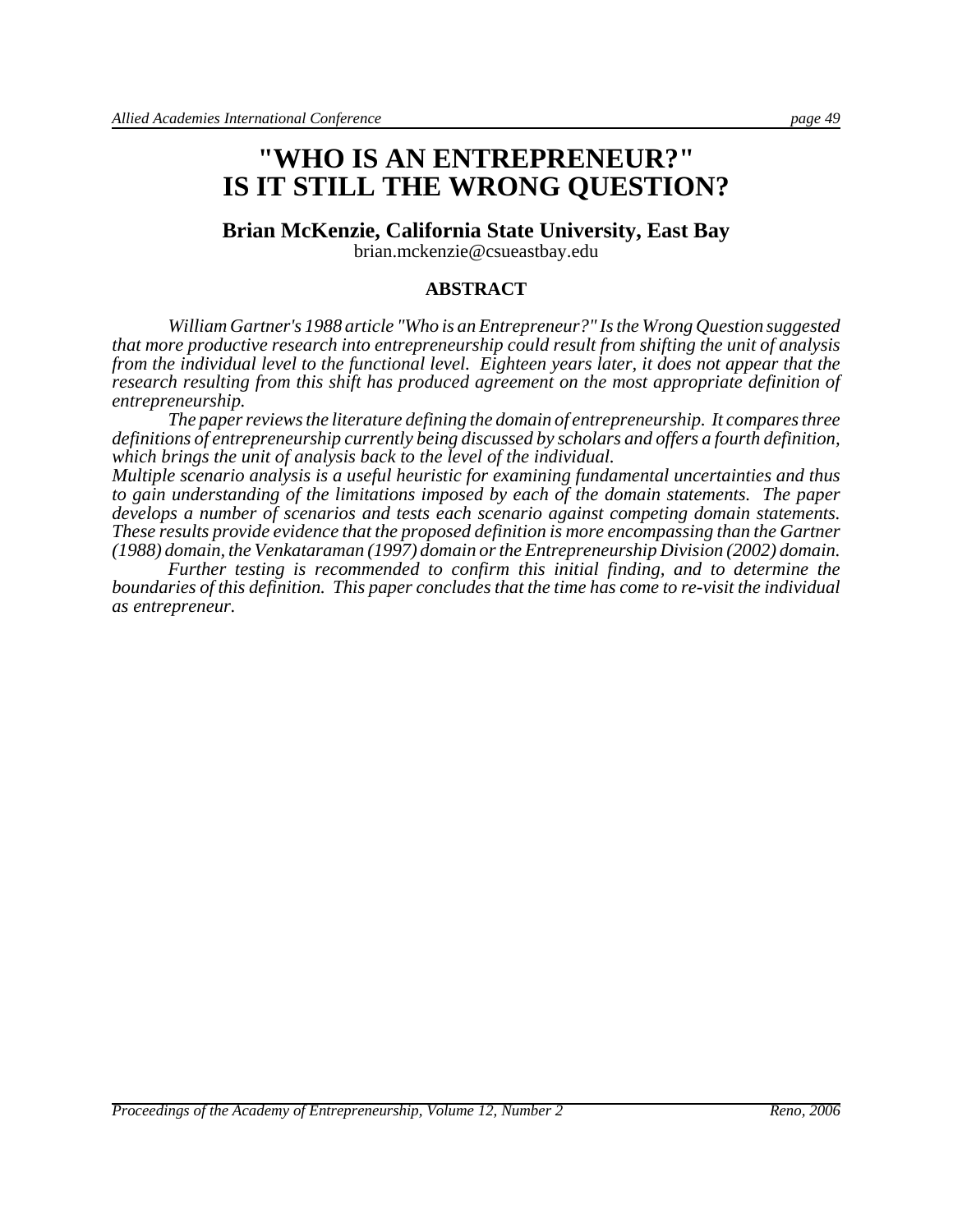# **"WHO IS AN ENTREPRENEUR?" IS IT STILL THE WRONG QUESTION?**

#### **Brian McKenzie, California State University, East Bay**

brian.mckenzie@csueastbay.edu

#### **ABSTRACT**

*William Gartner's 1988 article "Who is an Entrepreneur?" Is the Wrong Question suggested that more productive research into entrepreneurship could result from shifting the unit of analysis from the individual level to the functional level. Eighteen years later, it does not appear that the research resulting from this shift has produced agreement on the most appropriate definition of entrepreneurship.* 

*The paper reviews the literature defining the domain of entrepreneurship. It compares three definitions of entrepreneurship currently being discussed by scholars and offers a fourth definition, which brings the unit of analysis back to the level of the individual.* 

*Multiple scenario analysis is a useful heuristic for examining fundamental uncertainties and thus to gain understanding of the limitations imposed by each of the domain statements. The paper develops a number of scenarios and tests each scenario against competing domain statements. These results provide evidence that the proposed definition is more encompassing than the Gartner (1988) domain, the Venkataraman (1997) domain or the Entrepreneurship Division (2002) domain.*

*Further testing is recommended to confirm this initial finding, and to determine the boundaries of this definition. This paper concludes that the time has come to re-visit the individual as entrepreneur.*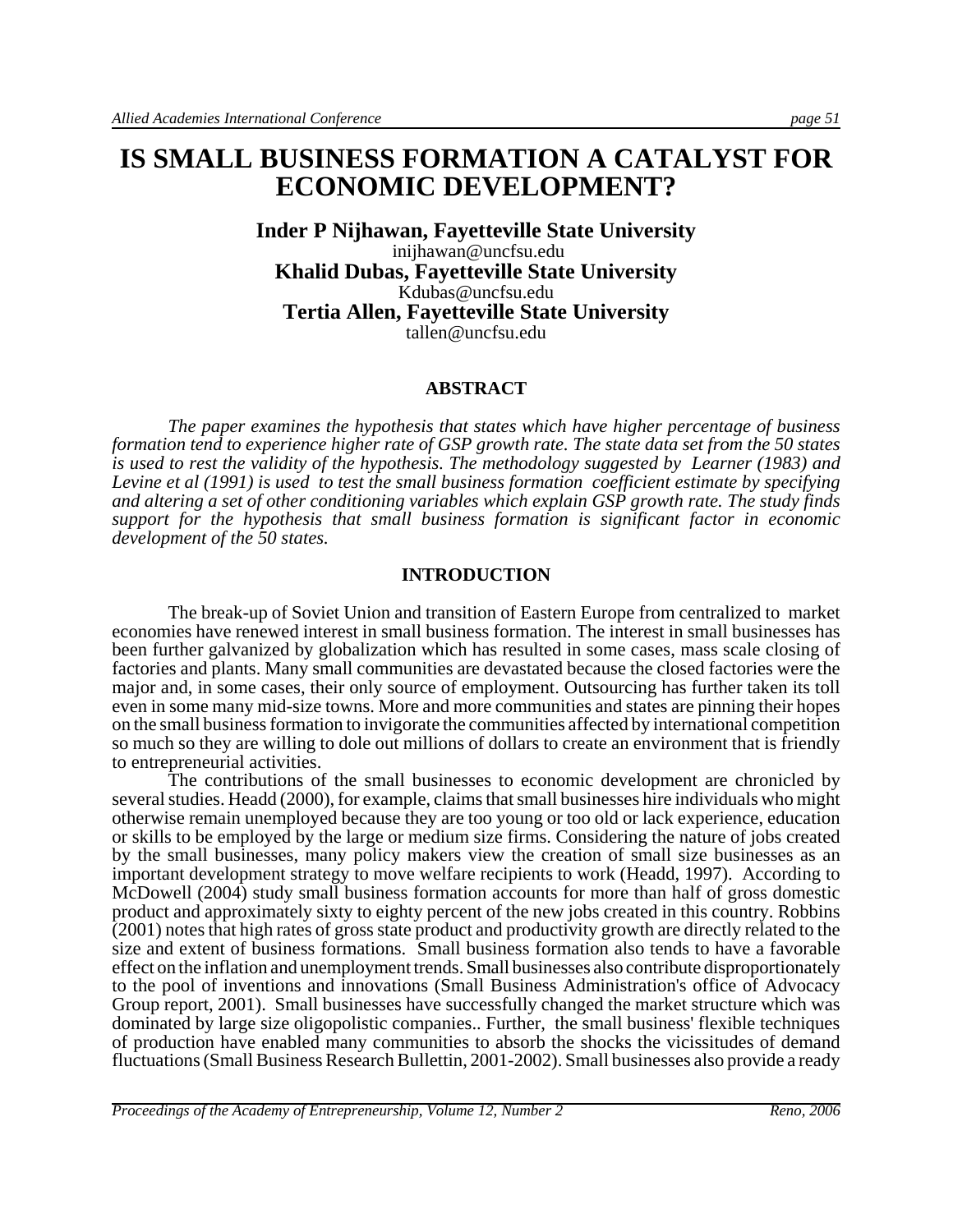# **IS SMALL BUSINESS FORMATION A CATALYST FOR ECONOMIC DEVELOPMENT?**

**Inder P Nijhawan, Fayetteville State University** inijhawan@uncfsu.edu **Khalid Dubas, Fayetteville State University** Kdubas@uncfsu.edu **Tertia Allen, Fayetteville State University** tallen@uncfsu.edu

#### **ABSTRACT**

*The paper examines the hypothesis that states which have higher percentage of business formation tend to experience higher rate of GSP growth rate. The state data set from the 50 states is used to rest the validity of the hypothesis. The methodology suggested by Learner (1983) and Levine et al (1991) is used to test the small business formation coefficient estimate by specifying and altering a set of other conditioning variables which explain GSP growth rate. The study finds support for the hypothesis that small business formation is significant factor in economic development of the 50 states.*

#### **INTRODUCTION**

The break-up of Soviet Union and transition of Eastern Europe from centralized to market economies have renewed interest in small business formation. The interest in small businesses has been further galvanized by globalization which has resulted in some cases, mass scale closing of factories and plants. Many small communities are devastated because the closed factories were the major and, in some cases, their only source of employment. Outsourcing has further taken its toll even in some many mid-size towns. More and more communities and states are pinning their hopes on the small business formation to invigorate the communities affected by international competition so much so they are willing to dole out millions of dollars to create an environment that is friendly to entrepreneurial activities.

The contributions of the small businesses to economic development are chronicled by several studies. Headd (2000), for example, claims that small businesses hire individuals who might otherwise remain unemployed because they are too young or too old or lack experience, education or skills to be employed by the large or medium size firms. Considering the nature of jobs created by the small businesses, many policy makers view the creation of small size businesses as an important development strategy to move welfare recipients to work (Headd, 1997). According to McDowell (2004) study small business formation accounts for more than half of gross domestic product and approximately sixty to eighty percent of the new jobs created in this country. Robbins (2001) notes that high rates of gross state product and productivity growth are directly related to the size and extent of business formations. Small business formation also tends to have a favorable effect on the inflation and unemployment trends. Small businesses also contribute disproportionately to the pool of inventions and innovations (Small Business Administration's office of Advocacy Group report, 2001). Small businesses have successfully changed the market structure which was dominated by large size oligopolistic companies.. Further, the small business' flexible techniques of production have enabled many communities to absorb the shocks the vicissitudes of demand fluctuations (Small Business Research Bullettin, 2001-2002). Small businesses also provide a ready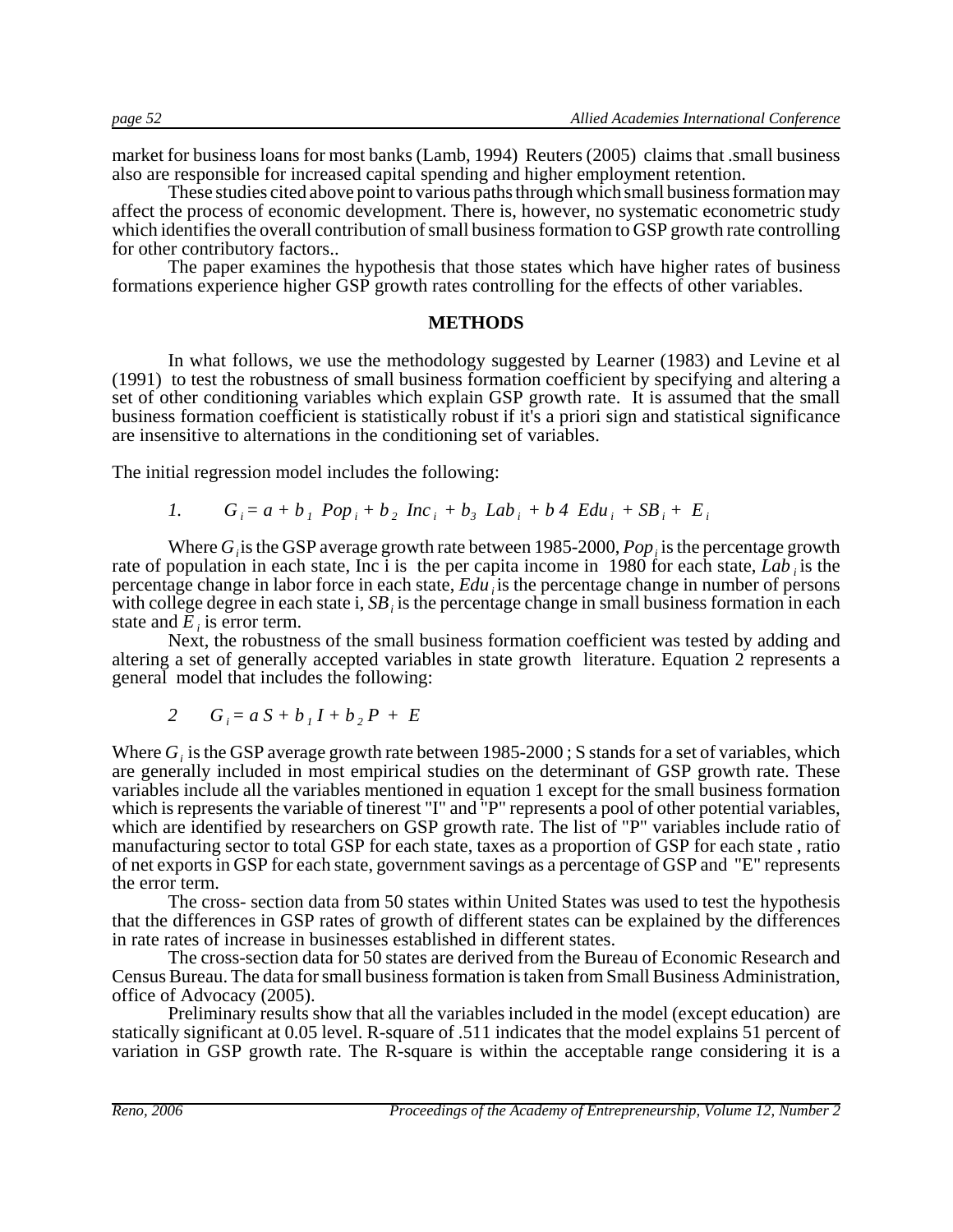market for business loans for most banks (Lamb, 1994) Reuters (2005) claims that .small business also are responsible for increased capital spending and higher employment retention.

These studies cited above point to various paths through which small business formation may affect the process of economic development. There is, however, no systematic econometric study which identifies the overall contribution of small business formation to GSP growth rate controlling for other contributory factors..

The paper examines the hypothesis that those states which have higher rates of business formations experience higher GSP growth rates controlling for the effects of other variables.

#### **METHODS**

In what follows, we use the methodology suggested by Learner (1983) and Levine et al (1991) to test the robustness of small business formation coefficient by specifying and altering a set of other conditioning variables which explain GSP growth rate. It is assumed that the small business formation coefficient is statistically robust if it's a priori sign and statistical significance are insensitive to alternations in the conditioning set of variables.

The initial regression model includes the following:

1. 
$$
G_i = a + b_i Pop_i + b_2 Inc_i + b_3 Lab_i + b4 Edu_i + SB_i + E_i
$$

Where *G<sub>i</sub>* is the GSP average growth rate between 1985-2000, *Pop<sub>i</sub>* is the percentage growth rate of population in each state, Inc i is the per capita income in 1980 for each state, *Lab* is the percentage change in labor force in each state, *Edu*, is the percentage change in number of persons with college degree in each state i, *SB i* is the percentage change in small business formation in each state and *E*, is error term.

Next, the robustness of the small business formation coefficient was tested by adding and altering a set of generally accepted variables in state growth literature. Equation 2 represents a general model that includes the following:

$$
2 \t G_i = a S + b_I I + b_2 P + E
$$

Where *G<sub>i</sub>* is the GSP average growth rate between 1985-2000; S stands for a set of variables, which are generally included in most empirical studies on the determinant of GSP growth rate. These variables include all the variables mentioned in equation 1 except for the small business formation which is represents the variable of tinerest "I" and "P" represents a pool of other potential variables, which are identified by researchers on GSP growth rate. The list of "P" variables include ratio of manufacturing sector to total GSP for each state, taxes as a proportion of GSP for each state , ratio of net exports in GSP for each state, government savings as a percentage of GSP and "E" represents the error term.

The cross- section data from 50 states within United States was used to test the hypothesis that the differences in GSP rates of growth of different states can be explained by the differences in rate rates of increase in businesses established in different states.

The cross-section data for 50 states are derived from the Bureau of Economic Research and Census Bureau. The data for small business formation is taken from Small Business Administration, office of Advocacy (2005).

Preliminary results show that all the variables included in the model (except education) are statically significant at 0.05 level. R-square of .511 indicates that the model explains 51 percent of variation in GSP growth rate. The R-square is within the acceptable range considering it is a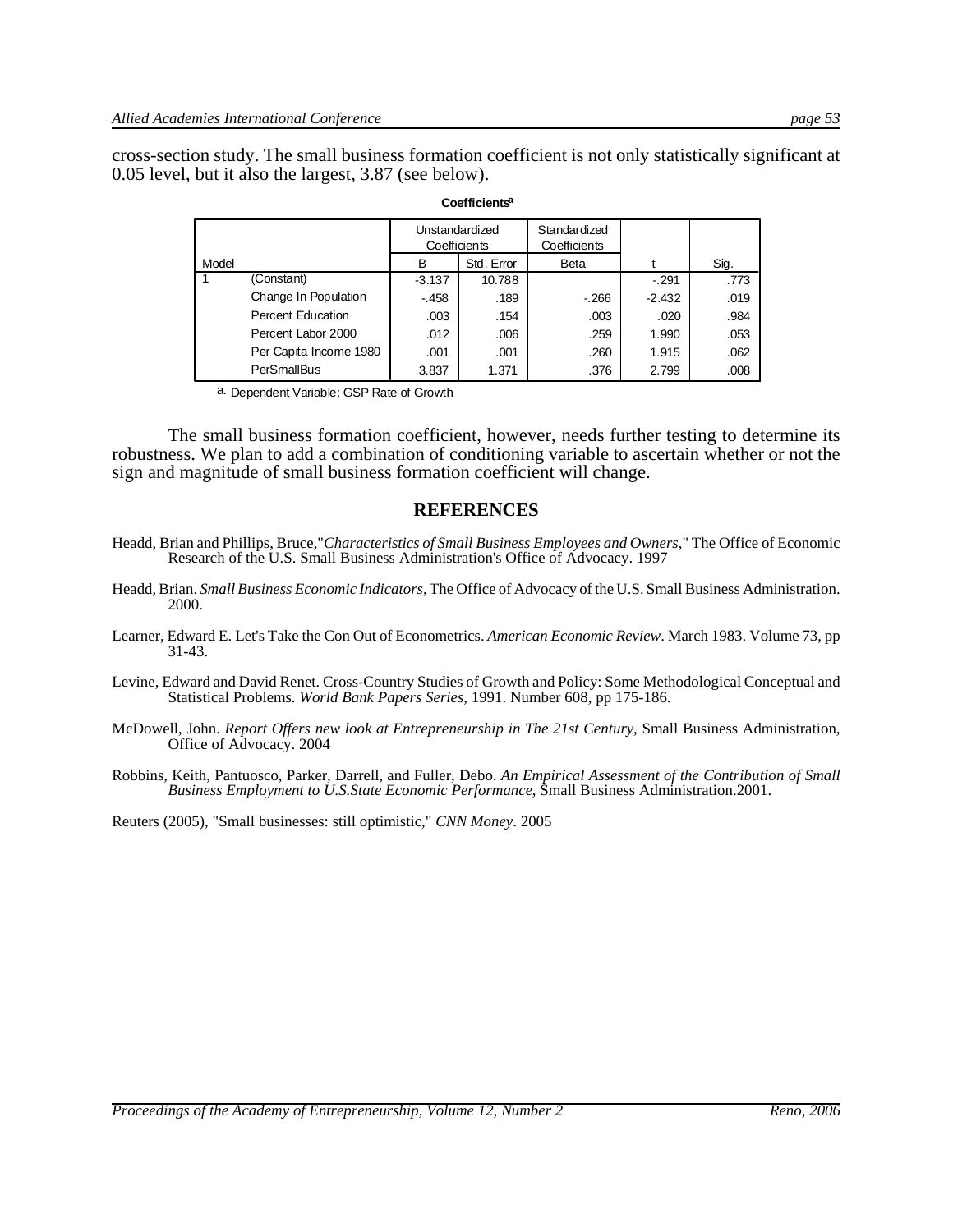cross-section study. The small business formation coefficient is not only statistically significant at 0.05 level, but it also the largest, 3.87 (see below).

|       |                        | Unstandardized<br>Coefficients |            | Standardized<br>Coefficients |          |      |
|-------|------------------------|--------------------------------|------------|------------------------------|----------|------|
| Model |                        | В                              | Std. Error | Beta                         |          | Sig. |
|       | (Constant)             | $-3.137$                       | 10.788     |                              | $-.291$  | .773 |
|       | Change In Population   | $-.458$                        | .189       | $-266$                       | $-2.432$ | .019 |
|       | Percent Education      | .003                           | .154       | .003                         | .020     | .984 |
|       | Percent Labor 2000     | .012                           | .006       | .259                         | 1.990    | .053 |
|       | Per Capita Income 1980 | .001                           | .001       | .260                         | 1.915    | .062 |
|       | <b>PerSmallBus</b>     | 3.837                          | 1.371      | .376                         | 2.799    | .008 |

#### **Coefficientsa**

a. Dependent Variable: GSP Rate of Growth

The small business formation coefficient, however, needs further testing to determine its robustness. We plan to add a combination of conditioning variable to ascertain whether or not the sign and magnitude of small business formation coefficient will change.

#### **REFERENCES**

- Headd, Brian and Phillips, Bruce,"*Characteristics of Small Business Employees and Owners*," The Office of Economic Research of the U.S. Small Business Administration's Office of Advocacy. 1997
- Headd, Brian. *Small Business Economic Indicators*, The Office of Advocacy of the U.S. Small Business Administration. 2000.
- Learner, Edward E. Let's Take the Con Out of Econometrics. *American Economic Review*. March 1983. Volume 73, pp 31-43.
- Levine, Edward and David Renet. Cross-Country Studies of Growth and Policy: Some Methodological Conceptual and Statistical Problems. *World Bank Papers Series*, 1991. Number 608, pp 175-186.
- McDowell, John. *Report Offers new look at Entrepreneurship in The 21st Century*, Small Business Administration, Office of Advocacy. 2004
- Robbins, Keith, Pantuosco, Parker, Darrell, and Fuller, Debo. *An Empirical Assessment of the Contribution of Small Business Employment to U.S.State Economic Performance*, Small Business Administration.2001.

Reuters (2005), "Small businesses: still optimistic," *CNN Money*. 2005